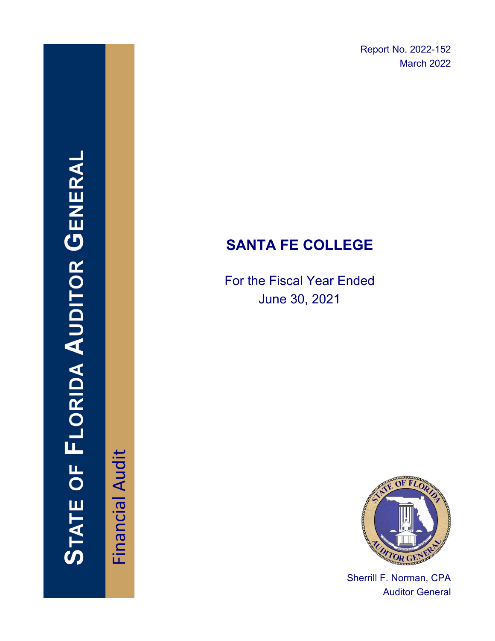Report No. 2022-152 March 2022

# **SANTA FE COLLEGE**

For the Fiscal Year Ended June 30, 2021



Sherrill F. Norman, CPA Auditor General

Financial Audit Financial Audit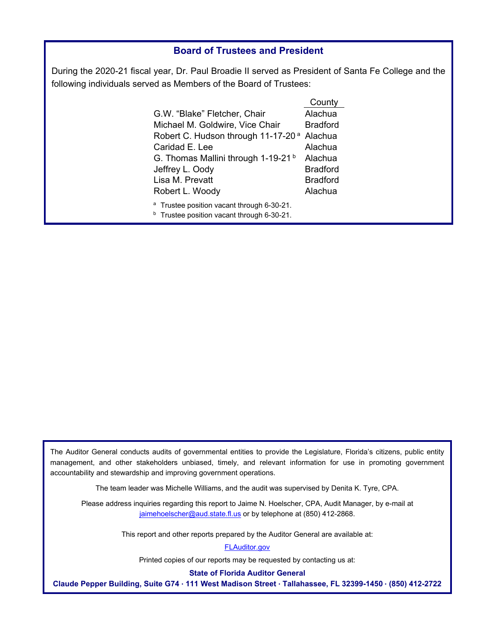#### **Board of Trustees and President**

During the 2020-21 fiscal year, Dr. Paul Broadie II served as President of Santa Fe College and the following individuals served as Members of the Board of Trustees:

|                                                | County          |
|------------------------------------------------|-----------------|
| G.W. "Blake" Fletcher, Chair                   | Alachua         |
| Michael M. Goldwire, Vice Chair                | <b>Bradford</b> |
| Robert C. Hudson through 11-17-20 <sup>a</sup> | Alachua         |
| Caridad E. Lee                                 | Alachua         |
| G. Thomas Mallini through 1-19-21 <sup>b</sup> | Alachua         |
| Jeffrey L. Oody                                | <b>Bradford</b> |
| Lisa M. Prevatt                                | <b>Bradford</b> |
| Robert L. Woody                                | Alachua         |
| Trustee position vacant through 6-30-21.<br>a  |                 |

 $b$  Trustee position vacant through 6-30-21.

The Auditor General conducts audits of governmental entities to provide the Legislature, Florida's citizens, public entity management, and other stakeholders unbiased, timely, and relevant information for use in promoting government accountability and stewardship and improving government operations.

The team leader was Michelle Williams, and the audit was supervised by Denita K. Tyre, CPA.

Please address inquiries regarding this report to Jaime N. Hoelscher, CPA, Audit Manager, by e-mail at jaimehoelscher@aud.state.fl.us or by telephone at (850) 412-2868.

This report and other reports prepared by the Auditor General are available at:

[FLAuditor.gov](http://flauditor.gov/) 

Printed copies of our reports may be requested by contacting us at:

**State of Florida Auditor General** 

**Claude Pepper Building, Suite G74 · 111 West Madison Street · Tallahassee, FL 32399-1450 · (850) 412-2722**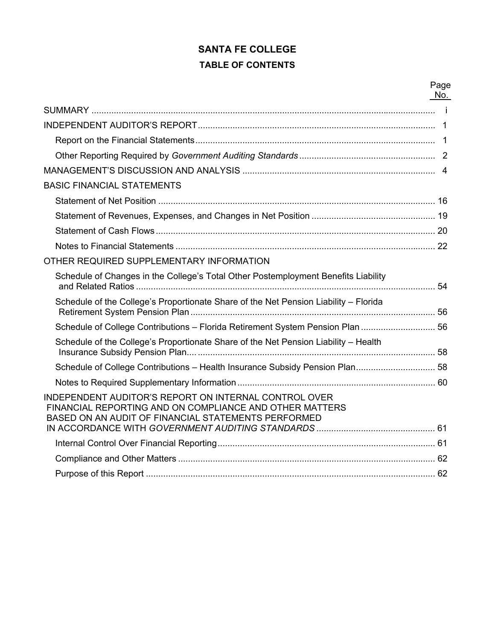## **SANTA FE COLLEGE TABLE OF CONTENTS**

|                                                                                                                                                                         | Page<br>No. |
|-------------------------------------------------------------------------------------------------------------------------------------------------------------------------|-------------|
|                                                                                                                                                                         |             |
|                                                                                                                                                                         |             |
|                                                                                                                                                                         |             |
|                                                                                                                                                                         |             |
|                                                                                                                                                                         |             |
| <b>BASIC FINANCIAL STATEMENTS</b>                                                                                                                                       |             |
|                                                                                                                                                                         |             |
|                                                                                                                                                                         |             |
|                                                                                                                                                                         |             |
|                                                                                                                                                                         |             |
| OTHER REQUIRED SUPPLEMENTARY INFORMATION                                                                                                                                |             |
| Schedule of Changes in the College's Total Other Postemployment Benefits Liability                                                                                      |             |
| Schedule of the College's Proportionate Share of the Net Pension Liability - Florida                                                                                    |             |
| Schedule of College Contributions - Florida Retirement System Pension Plan  56                                                                                          |             |
| Schedule of the College's Proportionate Share of the Net Pension Liability - Health                                                                                     |             |
|                                                                                                                                                                         |             |
|                                                                                                                                                                         |             |
| INDEPENDENT AUDITOR'S REPORT ON INTERNAL CONTROL OVER<br>FINANCIAL REPORTING AND ON COMPLIANCE AND OTHER MATTERS<br>BASED ON AN AUDIT OF FINANCIAL STATEMENTS PERFORMED |             |
|                                                                                                                                                                         |             |
|                                                                                                                                                                         |             |
|                                                                                                                                                                         |             |
|                                                                                                                                                                         |             |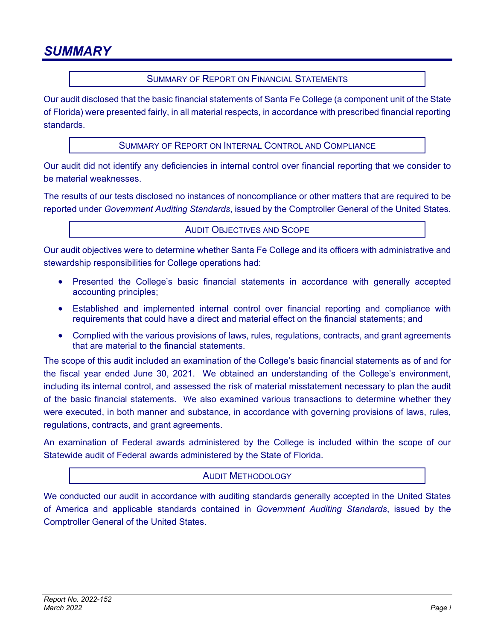#### SUMMARY OF REPORT ON FINANCIAL STATEMENTS

<span id="page-3-0"></span>Our audit disclosed that the basic financial statements of Santa Fe College (a component unit of the State of Florida) were presented fairly, in all material respects, in accordance with prescribed financial reporting standards.

SUMMARY OF REPORT ON INTERNAL CONTROL AND COMPLIANCE

Our audit did not identify any deficiencies in internal control over financial reporting that we consider to be material weaknesses.

The results of our tests disclosed no instances of noncompliance or other matters that are required to be reported under *Government Auditing Standards*, issued by the Comptroller General of the United States.

#### AUDIT OBJECTIVES AND SCOPE

Our audit objectives were to determine whether Santa Fe College and its officers with administrative and stewardship responsibilities for College operations had:

- Presented the College's basic financial statements in accordance with generally accepted accounting principles;
- Established and implemented internal control over financial reporting and compliance with requirements that could have a direct and material effect on the financial statements; and
- Complied with the various provisions of laws, rules, regulations, contracts, and grant agreements that are material to the financial statements.

The scope of this audit included an examination of the College's basic financial statements as of and for the fiscal year ended June 30, 2021. We obtained an understanding of the College's environment, including its internal control, and assessed the risk of material misstatement necessary to plan the audit of the basic financial statements. We also examined various transactions to determine whether they were executed, in both manner and substance, in accordance with governing provisions of laws, rules, regulations, contracts, and grant agreements.

An examination of Federal awards administered by the College is included within the scope of our Statewide audit of Federal awards administered by the State of Florida.

## AUDIT METHODOLOGY

We conducted our audit in accordance with auditing standards generally accepted in the United States of America and applicable standards contained in *Government Auditing Standards*, issued by the Comptroller General of the United States.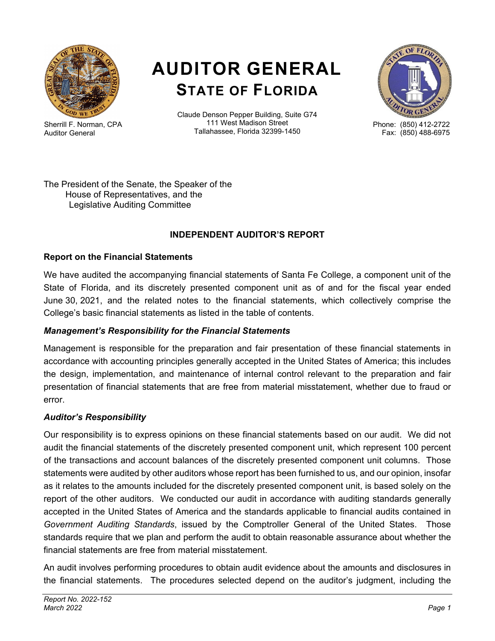<span id="page-4-0"></span>

Sherrill F. Norman, CPA Auditor General

# **AUDITOR GENERAL STATE OF FLORIDA**

Claude Denson Pepper Building, Suite G74 111 West Madison Street Tallahassee, Florida 32399-1450



Phone: (850) 412-2722 Fax: (850) 488-6975

The President of the Senate, the Speaker of the House of Representatives, and the Legislative Auditing Committee

## **INDEPENDENT AUDITOR'S REPORT**

## **Report on the Financial Statements**

We have audited the accompanying financial statements of Santa Fe College, a component unit of the State of Florida, and its discretely presented component unit as of and for the fiscal year ended June 30, 2021, and the related notes to the financial statements, which collectively comprise the College's basic financial statements as listed in the table of contents.

## *Management's Responsibility for the Financial Statements*

Management is responsible for the preparation and fair presentation of these financial statements in accordance with accounting principles generally accepted in the United States of America; this includes the design, implementation, and maintenance of internal control relevant to the preparation and fair presentation of financial statements that are free from material misstatement, whether due to fraud or error.

## *Auditor's Responsibility*

Our responsibility is to express opinions on these financial statements based on our audit. We did not audit the financial statements of the discretely presented component unit, which represent 100 percent of the transactions and account balances of the discretely presented component unit columns. Those statements were audited by other auditors whose report has been furnished to us, and our opinion, insofar as it relates to the amounts included for the discretely presented component unit, is based solely on the report of the other auditors. We conducted our audit in accordance with auditing standards generally accepted in the United States of America and the standards applicable to financial audits contained in *Government Auditing Standards*, issued by the Comptroller General of the United States. Those standards require that we plan and perform the audit to obtain reasonable assurance about whether the financial statements are free from material misstatement.

An audit involves performing procedures to obtain audit evidence about the amounts and disclosures in the financial statements. The procedures selected depend on the auditor's judgment, including the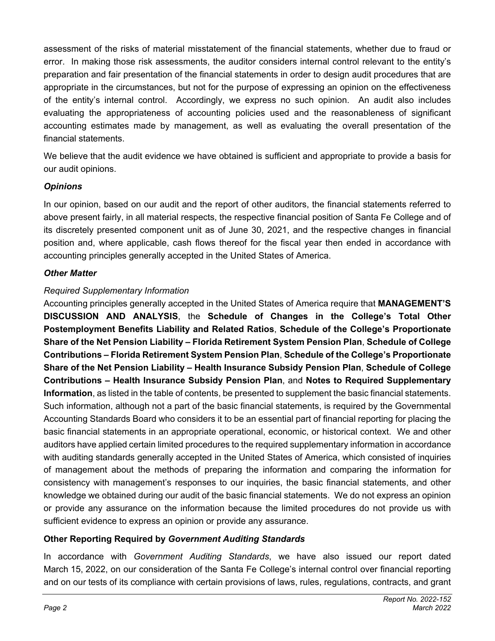<span id="page-5-0"></span>assessment of the risks of material misstatement of the financial statements, whether due to fraud or error. In making those risk assessments, the auditor considers internal control relevant to the entity's preparation and fair presentation of the financial statements in order to design audit procedures that are appropriate in the circumstances, but not for the purpose of expressing an opinion on the effectiveness of the entity's internal control. Accordingly, we express no such opinion. An audit also includes evaluating the appropriateness of accounting policies used and the reasonableness of significant accounting estimates made by management, as well as evaluating the overall presentation of the financial statements.

We believe that the audit evidence we have obtained is sufficient and appropriate to provide a basis for our audit opinions.

## *Opinions*

In our opinion, based on our audit and the report of other auditors, the financial statements referred to above present fairly, in all material respects, the respective financial position of Santa Fe College and of its discretely presented component unit as of June 30, 2021, and the respective changes in financial position and, where applicable, cash flows thereof for the fiscal year then ended in accordance with accounting principles generally accepted in the United States of America.

## *Other Matter*

## *Required Supplementary Information*

Accounting principles generally accepted in the United States of America require that **MANAGEMENT'S DISCUSSION AND ANALYSIS**, the **Schedule of Changes in the College's Total Other Postemployment Benefits Liability and Related Ratios**, **Schedule of the College's Proportionate Share of the Net Pension Liability – Florida Retirement System Pension Plan**, **Schedule of College Contributions – Florida Retirement System Pension Plan**, **Schedule of the College's Proportionate Share of the Net Pension Liability – Health Insurance Subsidy Pension Plan**, **Schedule of College Contributions – Health Insurance Subsidy Pension Plan**, and **Notes to Required Supplementary Information**, as listed in the table of contents, be presented to supplement the basic financial statements. Such information, although not a part of the basic financial statements, is required by the Governmental Accounting Standards Board who considers it to be an essential part of financial reporting for placing the basic financial statements in an appropriate operational, economic, or historical context. We and other auditors have applied certain limited procedures to the required supplementary information in accordance with auditing standards generally accepted in the United States of America, which consisted of inquiries of management about the methods of preparing the information and comparing the information for consistency with management's responses to our inquiries, the basic financial statements, and other knowledge we obtained during our audit of the basic financial statements. We do not express an opinion or provide any assurance on the information because the limited procedures do not provide us with sufficient evidence to express an opinion or provide any assurance.

## **Other Reporting Required by** *Government Auditing Standards*

In accordance with *Government Auditing Standards*, we have also issued our report dated March 15, 2022, on our consideration of the Santa Fe College's internal control over financial reporting and on our tests of its compliance with certain provisions of laws, rules, regulations, contracts, and grant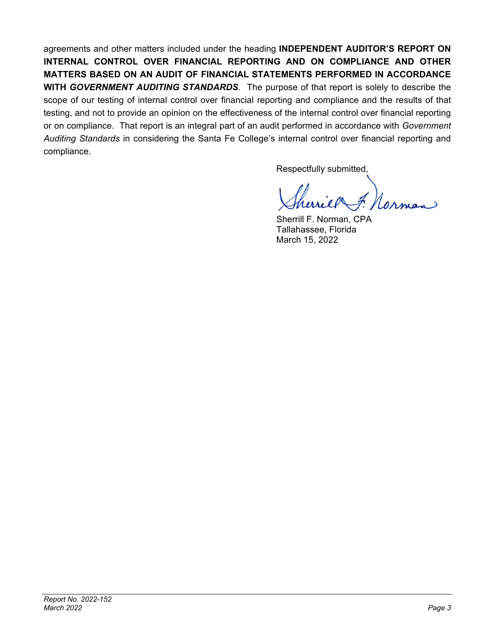agreements and other matters included under the heading **INDEPENDENT AUDITOR'S REPORT ON INTERNAL CONTROL OVER FINANCIAL REPORTING AND ON COMPLIANCE AND OTHER MATTERS BASED ON AN AUDIT OF FINANCIAL STATEMENTS PERFORMED IN ACCORDANCE WITH** *GOVERNMENT AUDITING STANDARDS*. The purpose of that report is solely to describe the scope of our testing of internal control over financial reporting and compliance and the results of that testing, and not to provide an opinion on the effectiveness of the internal control over financial reporting or on compliance. That report is an integral part of an audit performed in accordance with *Government Auditing Standards* in considering the Santa Fe College's internal control over financial reporting and compliance.

Respectfully submitted,

Sherrill F. Norman, CPA Tallahassee, Florida March 15, 2022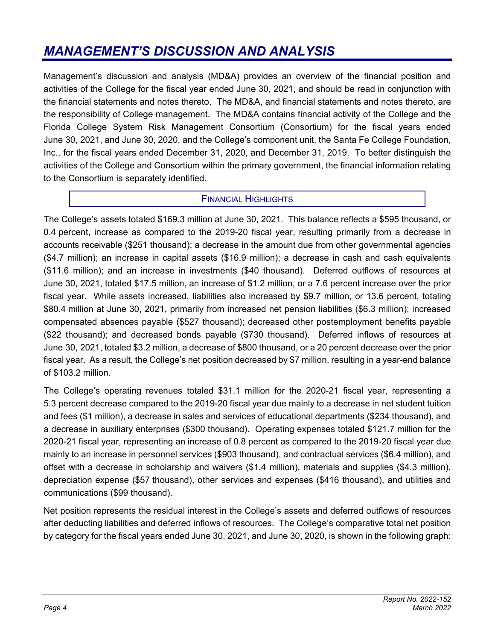## *MANAGEMENT'S DISCUSSION AND ANALYSIS*

Management's discussion and analysis (MD&A) provides an overview of the financial position and activities of the College for the fiscal year ended June 30, 2021, and should be read in conjunction with the financial statements and notes thereto. The MD&A, and financial statements and notes thereto, are the responsibility of College management. The MD&A contains financial activity of the College and the Florida College System Risk Management Consortium (Consortium) for the fiscal years ended June 30, 2021, and June 30, 2020, and the College's component unit, the Santa Fe College Foundation, Inc., for the fiscal years ended December 31, 2020, and December 31, 2019. To better distinguish the activities of the College and Consortium within the primary government, the financial information relating to the Consortium is separately identified.

#### FINANCIAL HIGHLIGHTS

The College's assets totaled \$169.3 million at June 30, 2021. This balance reflects a \$595 thousand, or 0.4 percent, increase as compared to the 2019-20 fiscal year, resulting primarily from a decrease in accounts receivable (\$251 thousand); a decrease in the amount due from other governmental agencies (\$4.7 million); an increase in capital assets (\$16.9 million); a decrease in cash and cash equivalents (\$11.6 million); and an increase in investments (\$40 thousand). Deferred outflows of resources at June 30, 2021, totaled \$17.5 million, an increase of \$1.2 million, or a 7.6 percent increase over the prior fiscal year. While assets increased, liabilities also increased by \$9.7 million, or 13.6 percent, totaling \$80.4 million at June 30, 2021, primarily from increased net pension liabilities (\$6.3 million); increased compensated absences payable (\$527 thousand); decreased other postemployment benefits payable (\$22 thousand); and decreased bonds payable (\$730 thousand). Deferred inflows of resources at June 30, 2021, totaled \$3.2 million, a decrease of \$800 thousand, or a 20 percent decrease over the prior fiscal year. As a result, the College's net position decreased by \$7 million, resulting in a year-end balance of \$103.2 million.

The College's operating revenues totaled \$31.1 million for the 2020-21 fiscal year, representing a 5.3 percent decrease compared to the 2019-20 fiscal year due mainly to a decrease in net student tuition and fees (\$1 million), a decrease in sales and services of educational departments (\$234 thousand), and a decrease in auxiliary enterprises (\$300 thousand). Operating expenses totaled \$121.7 million for the 2020-21 fiscal year, representing an increase of 0.8 percent as compared to the 2019-20 fiscal year due mainly to an increase in personnel services (\$903 thousand), and contractual services (\$6.4 million), and offset with a decrease in scholarship and waivers (\$1.4 million), materials and supplies (\$4.3 million), depreciation expense (\$57 thousand), other services and expenses (\$416 thousand), and utilities and communications (\$99 thousand).

Net position represents the residual interest in the College's assets and deferred outflows of resources after deducting liabilities and deferred inflows of resources. The College's comparative total net position by category for the fiscal years ended June 30, 2021, and June 30, 2020, is shown in the following graph: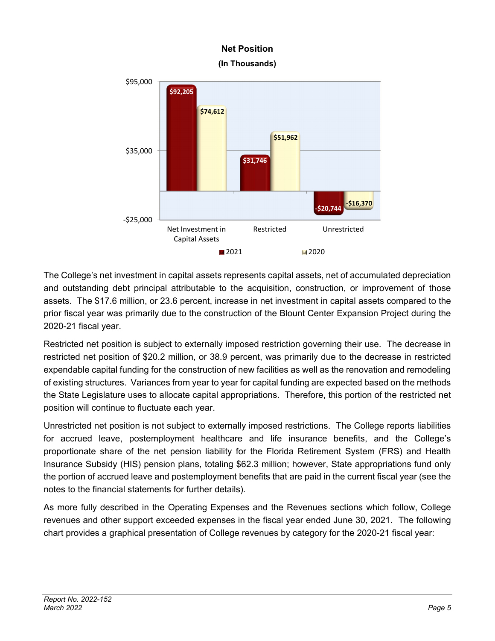## **Net Position (In Thousands)**



The College's net investment in capital assets represents capital assets, net of accumulated depreciation and outstanding debt principal attributable to the acquisition, construction, or improvement of those assets. The \$17.6 million, or 23.6 percent, increase in net investment in capital assets compared to the prior fiscal year was primarily due to the construction of the Blount Center Expansion Project during the 2020-21 fiscal year.

Restricted net position is subject to externally imposed restriction governing their use. The decrease in restricted net position of \$20.2 million, or 38.9 percent, was primarily due to the decrease in restricted expendable capital funding for the construction of new facilities as well as the renovation and remodeling of existing structures. Variances from year to year for capital funding are expected based on the methods the State Legislature uses to allocate capital appropriations. Therefore, this portion of the restricted net position will continue to fluctuate each year.

Unrestricted net position is not subject to externally imposed restrictions. The College reports liabilities for accrued leave, postemployment healthcare and life insurance benefits, and the College's proportionate share of the net pension liability for the Florida Retirement System (FRS) and Health Insurance Subsidy (HIS) pension plans, totaling \$62.3 million; however, State appropriations fund only the portion of accrued leave and postemployment benefits that are paid in the current fiscal year (see the notes to the financial statements for further details).

As more fully described in the Operating Expenses and the Revenues sections which follow, College revenues and other support exceeded expenses in the fiscal year ended June 30, 2021. The following chart provides a graphical presentation of College revenues by category for the 2020-21 fiscal year: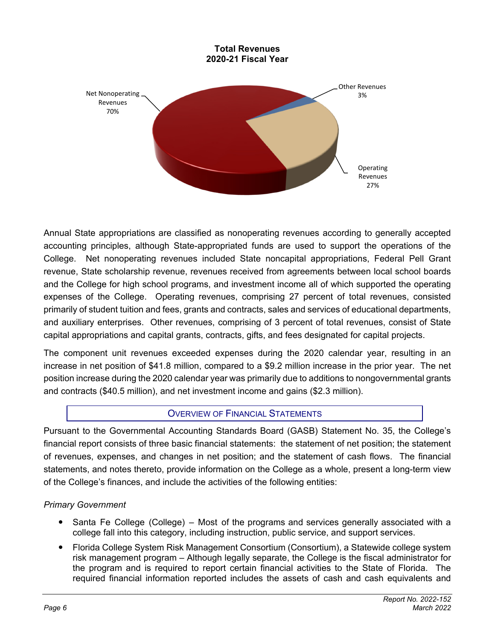

Annual State appropriations are classified as nonoperating revenues according to generally accepted accounting principles, although State-appropriated funds are used to support the operations of the College. Net nonoperating revenues included State noncapital appropriations, Federal Pell Grant revenue, State scholarship revenue, revenues received from agreements between local school boards and the College for high school programs, and investment income all of which supported the operating expenses of the College. Operating revenues, comprising 27 percent of total revenues, consisted primarily of student tuition and fees, grants and contracts, sales and services of educational departments, and auxiliary enterprises. Other revenues, comprising of 3 percent of total revenues, consist of State capital appropriations and capital grants, contracts, gifts, and fees designated for capital projects.

The component unit revenues exceeded expenses during the 2020 calendar year, resulting in an increase in net position of \$41.8 million, compared to a \$9.2 million increase in the prior year. The net position increase during the 2020 calendar year was primarily due to additions to nongovernmental grants and contracts (\$40.5 million), and net investment income and gains (\$2.3 million).

## OVERVIEW OF FINANCIAL STATEMENTS

Pursuant to the Governmental Accounting Standards Board (GASB) Statement No. 35, the College's financial report consists of three basic financial statements: the statement of net position; the statement of revenues, expenses, and changes in net position; and the statement of cash flows. The financial statements, and notes thereto, provide information on the College as a whole, present a long-term view of the College's finances, and include the activities of the following entities:

## *Primary Government*

- Santa Fe College (College) Most of the programs and services generally associated with a college fall into this category, including instruction, public service, and support services.
- Florida College System Risk Management Consortium (Consortium), a Statewide college system risk management program – Although legally separate, the College is the fiscal administrator for the program and is required to report certain financial activities to the State of Florida. The required financial information reported includes the assets of cash and cash equivalents and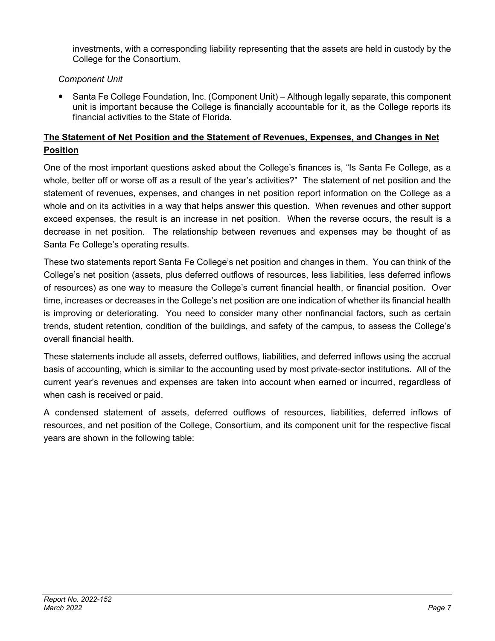investments, with a corresponding liability representing that the assets are held in custody by the College for the Consortium.

## *Component Unit*

 Santa Fe College Foundation, Inc. (Component Unit) – Although legally separate, this component unit is important because the College is financially accountable for it, as the College reports its financial activities to the State of Florida.

## **The Statement of Net Position and the Statement of Revenues, Expenses, and Changes in Net Position**

One of the most important questions asked about the College's finances is, "Is Santa Fe College, as a whole, better off or worse off as a result of the year's activities?" The statement of net position and the statement of revenues, expenses, and changes in net position report information on the College as a whole and on its activities in a way that helps answer this question. When revenues and other support exceed expenses, the result is an increase in net position. When the reverse occurs, the result is a decrease in net position. The relationship between revenues and expenses may be thought of as Santa Fe College's operating results.

These two statements report Santa Fe College's net position and changes in them. You can think of the College's net position (assets, plus deferred outflows of resources, less liabilities, less deferred inflows of resources) as one way to measure the College's current financial health, or financial position. Over time, increases or decreases in the College's net position are one indication of whether its financial health is improving or deteriorating. You need to consider many other nonfinancial factors, such as certain trends, student retention, condition of the buildings, and safety of the campus, to assess the College's overall financial health.

These statements include all assets, deferred outflows, liabilities, and deferred inflows using the accrual basis of accounting, which is similar to the accounting used by most private-sector institutions. All of the current year's revenues and expenses are taken into account when earned or incurred, regardless of when cash is received or paid.

A condensed statement of assets, deferred outflows of resources, liabilities, deferred inflows of resources, and net position of the College, Consortium, and its component unit for the respective fiscal years are shown in the following table: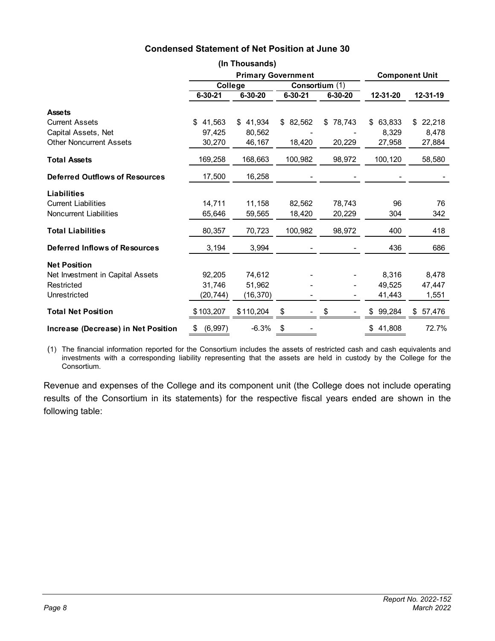#### **Condensed Statement of Net Position at June 30**

| (In Thousands)                        |               |               |                           |                |                       |                |  |
|---------------------------------------|---------------|---------------|---------------------------|----------------|-----------------------|----------------|--|
|                                       |               |               | <b>Primary Government</b> |                | <b>Component Unit</b> |                |  |
|                                       |               | College       |                           | Consortium (1) |                       |                |  |
|                                       | 6-30-21       | $6 - 30 - 20$ | 6-30-21                   | $6 - 30 - 20$  | 12-31-20              | $12 - 31 - 19$ |  |
| <b>Assets</b>                         |               |               |                           |                |                       |                |  |
| <b>Current Assets</b>                 | \$<br>41,563  | \$41,934      | \$82,562                  | 78,743<br>\$   | 63,833<br>\$          | 22,218<br>\$   |  |
| Capital Assets, Net                   | 97.425        | 80.562        |                           |                | 8.329                 | 8,478          |  |
| <b>Other Noncurrent Assets</b>        | 30,270        | 46,167        | 18,420                    | 20,229         | 27,958                | 27,884         |  |
| <b>Total Assets</b>                   | 169,258       | 168,663       | 100,982                   | 98,972         | 100,120               | 58,580         |  |
| <b>Deferred Outflows of Resources</b> | 17,500        | 16,258        |                           |                |                       |                |  |
| <b>Liabilities</b>                    |               |               |                           |                |                       |                |  |
| <b>Current Liabilities</b>            | 14,711        | 11,158        | 82,562                    | 78,743         | 96                    | 76             |  |
| <b>Noncurrent Liabilities</b>         | 65.646        | 59,565        | 18,420                    | 20,229         | 304                   | 342            |  |
| <b>Total Liabilities</b>              | 80,357        | 70,723        | 100,982                   | 98,972         | 400                   | 418            |  |
| <b>Deferred Inflows of Resources</b>  | 3,194         | 3,994         |                           |                | 436                   | 686            |  |
| <b>Net Position</b>                   |               |               |                           |                |                       |                |  |
| Net Investment in Capital Assets      | 92,205        | 74,612        |                           |                | 8,316                 | 8,478          |  |
| Restricted                            | 31,746        | 51,962        |                           |                | 49.525                | 47,447         |  |
| Unrestricted                          | (20,744)      | (16, 370)     |                           |                | 41,443                | 1,551          |  |
| <b>Total Net Position</b>             | \$103,207     | \$110,204     | \$                        | \$             | 99,284<br>\$          | 57,476<br>\$.  |  |
| Increase (Decrease) in Net Position   | (6,997)<br>\$ | $-6.3%$       | \$                        |                | 41,808<br>\$          | 72.7%          |  |

(1) The financial information reported for the Consortium includes the assets of restricted cash and cash equivalents and investments with a corresponding liability representing that the assets are held in custody by the College for the Consortium.

Revenue and expenses of the College and its component unit (the College does not include operating results of the Consortium in its statements) for the respective fiscal years ended are shown in the following table: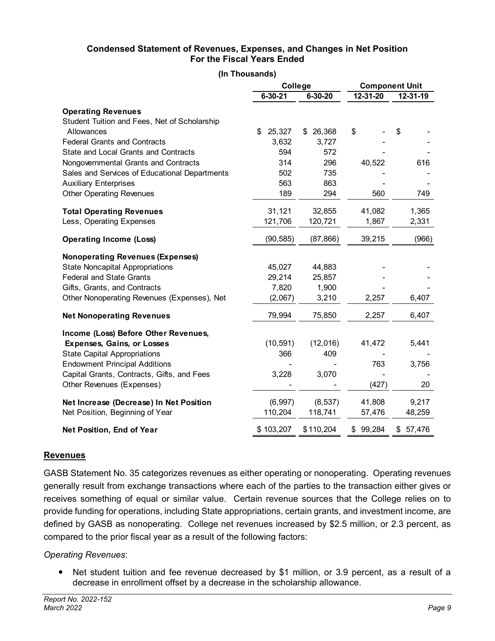#### **Condensed Statement of Revenues, Expenses, and Changes in Net Position For the Fiscal Years Ended**

**(In Thousands)** 

|                                               | College      |           |                | <b>Component Unit</b> |
|-----------------------------------------------|--------------|-----------|----------------|-----------------------|
|                                               | 6-30-21      | 6-30-20   | $12 - 31 - 20$ | 12-31-19              |
| <b>Operating Revenues</b>                     |              |           |                |                       |
| Student Tuition and Fees, Net of Scholarship  |              |           |                |                       |
| Allowances                                    | 25,327<br>\$ | \$26,368  | \$             | \$                    |
| <b>Federal Grants and Contracts</b>           | 3,632        | 3,727     |                |                       |
| State and Local Grants and Contracts          | 594          | 572       |                |                       |
| Nongovernmental Grants and Contracts          | 314          | 296       | 40,522         | 616                   |
| Sales and Services of Educational Departments | 502          | 735       |                |                       |
| <b>Auxiliary Enterprises</b>                  | 563          | 863       |                |                       |
| <b>Other Operating Revenues</b>               | 189          | 294       | 560            | 749                   |
| <b>Total Operating Revenues</b>               | 31,121       | 32,855    | 41,082         | 1,365                 |
| Less, Operating Expenses                      | 121,706      | 120,721   | 1,867          | 2,331                 |
| <b>Operating Income (Loss)</b>                | (90, 585)    | (87, 866) | 39,215         | (966)                 |
| <b>Nonoperating Revenues (Expenses)</b>       |              |           |                |                       |
| <b>State Noncapital Appropriations</b>        | 45,027       | 44,883    |                |                       |
| <b>Federal and State Grants</b>               | 29,214       | 25,857    |                |                       |
| Gifts, Grants, and Contracts                  | 7,820        | 1,900     |                |                       |
| Other Nonoperating Revenues (Expenses), Net   | (2,067)      | 3,210     | 2,257          | 6,407                 |
| <b>Net Nonoperating Revenues</b>              | 79,994       | 75,850    | 2,257          | 6,407                 |
| Income (Loss) Before Other Revenues,          |              |           |                |                       |
| <b>Expenses, Gains, or Losses</b>             | (10, 591)    | (12,016)  | 41,472         | 5,441                 |
| <b>State Capital Appropriations</b>           | 366          | 409       |                |                       |
| <b>Endowment Principal Additions</b>          |              |           | 763            | 3,756                 |
| Capital Grants, Contracts, Gifts, and Fees    | 3,228        | 3,070     |                |                       |
| Other Revenues (Expenses)                     |              |           | (427)          | 20                    |
| Net Increase (Decrease) In Net Position       | (6,997)      | (8, 537)  | 41,808         | 9,217                 |
| Net Position, Beginning of Year               | 110,204      | 118,741   | 57,476         | 48,259                |
| Net Position, End of Year                     | \$103,207    | \$110,204 | \$99,284       | 57,476<br>\$          |

#### **Revenues**

GASB Statement No. 35 categorizes revenues as either operating or nonoperating. Operating revenues generally result from exchange transactions where each of the parties to the transaction either gives or receives something of equal or similar value. Certain revenue sources that the College relies on to provide funding for operations, including State appropriations, certain grants, and investment income, are defined by GASB as nonoperating. College net revenues increased by \$2.5 million, or 2.3 percent, as compared to the prior fiscal year as a result of the following factors:

#### *Operating Revenues*:

 Net student tuition and fee revenue decreased by \$1 million, or 3.9 percent, as a result of a decrease in enrollment offset by a decrease in the scholarship allowance.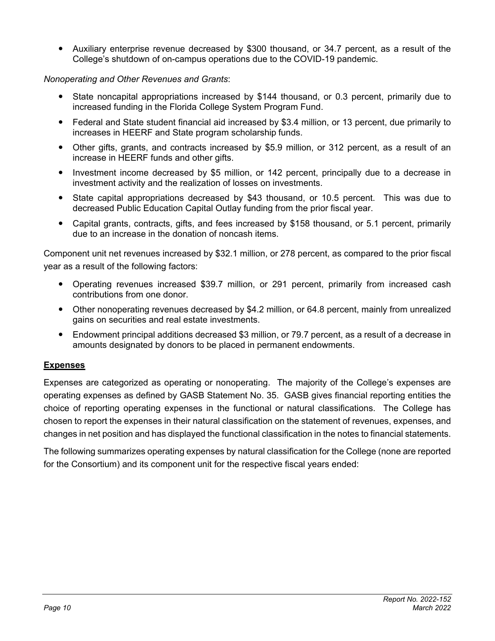Auxiliary enterprise revenue decreased by \$300 thousand, or 34.7 percent, as a result of the College's shutdown of on-campus operations due to the COVID-19 pandemic.

*Nonoperating and Other Revenues and Grants*:

- State noncapital appropriations increased by \$144 thousand, or 0.3 percent, primarily due to increased funding in the Florida College System Program Fund.
- Federal and State student financial aid increased by \$3.4 million, or 13 percent, due primarily to increases in HEERF and State program scholarship funds.
- Other gifts, grants, and contracts increased by \$5.9 million, or 312 percent, as a result of an increase in HEERF funds and other gifts.
- Investment income decreased by \$5 million, or 142 percent, principally due to a decrease in investment activity and the realization of losses on investments.
- State capital appropriations decreased by \$43 thousand, or 10.5 percent. This was due to decreased Public Education Capital Outlay funding from the prior fiscal year.
- Capital grants, contracts, gifts, and fees increased by \$158 thousand, or 5.1 percent, primarily due to an increase in the donation of noncash items.

Component unit net revenues increased by \$32.1 million, or 278 percent, as compared to the prior fiscal year as a result of the following factors:

- Operating revenues increased \$39.7 million, or 291 percent, primarily from increased cash contributions from one donor.
- Other nonoperating revenues decreased by \$4.2 million, or 64.8 percent, mainly from unrealized gains on securities and real estate investments.
- Endowment principal additions decreased \$3 million, or 79.7 percent, as a result of a decrease in amounts designated by donors to be placed in permanent endowments.

## **Expenses**

Expenses are categorized as operating or nonoperating. The majority of the College's expenses are operating expenses as defined by GASB Statement No. 35. GASB gives financial reporting entities the choice of reporting operating expenses in the functional or natural classifications. The College has chosen to report the expenses in their natural classification on the statement of revenues, expenses, and changes in net position and has displayed the functional classification in the notes to financial statements.

The following summarizes operating expenses by natural classification for the College (none are reported for the Consortium) and its component unit for the respective fiscal years ended: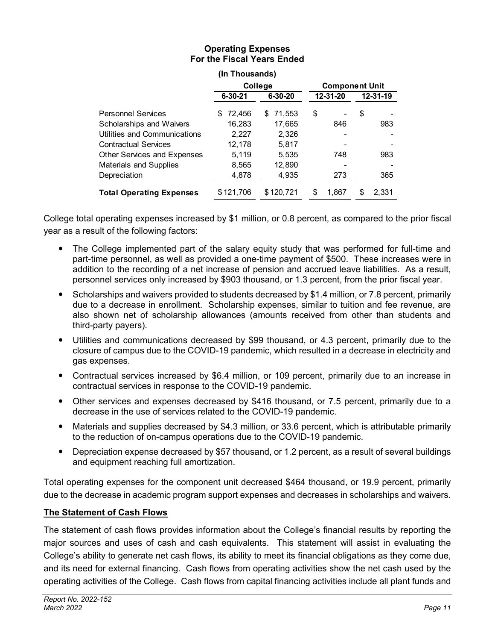|                                    |             | College       | <b>Component Unit</b> |          |    |          |
|------------------------------------|-------------|---------------|-----------------------|----------|----|----------|
|                                    | 6-30-21     | $6 - 30 - 20$ |                       | 12-31-20 |    | 12-31-19 |
| <b>Personnel Services</b>          | 72.456<br>S | 71,553<br>SS. | \$                    |          | \$ |          |
| Scholarships and Waivers           | 16,283      | 17,665        |                       | 846      |    | 983      |
| Utilities and Communications       | 2,227       | 2,326         |                       |          |    |          |
| <b>Contractual Services</b>        | 12,178      | 5,817         |                       |          |    |          |
| <b>Other Services and Expenses</b> | 5,119       | 5,535         |                       | 748      |    | 983      |
| <b>Materials and Supplies</b>      | 8,565       | 12,890        |                       |          |    |          |
| Depreciation                       | 4,878       | 4,935         |                       | 273      |    | 365      |
| <b>Total Operating Expenses</b>    | \$121,706   | \$120,721     | \$                    | 1.867    | S  | 2.331    |

## **Operating Expenses For the Fiscal Years Ended**

**(In Thousands)** 

College total operating expenses increased by \$1 million, or 0.8 percent, as compared to the prior fiscal year as a result of the following factors:

- The College implemented part of the salary equity study that was performed for full-time and part-time personnel, as well as provided a one-time payment of \$500. These increases were in addition to the recording of a net increase of pension and accrued leave liabilities. As a result, personnel services only increased by \$903 thousand, or 1.3 percent, from the prior fiscal year.
- Scholarships and waivers provided to students decreased by \$1.4 million, or 7.8 percent, primarily due to a decrease in enrollment. Scholarship expenses, similar to tuition and fee revenue, are also shown net of scholarship allowances (amounts received from other than students and third-party payers).
- Utilities and communications decreased by \$99 thousand, or 4.3 percent, primarily due to the closure of campus due to the COVID-19 pandemic, which resulted in a decrease in electricity and gas expenses.
- Contractual services increased by \$6.4 million, or 109 percent, primarily due to an increase in contractual services in response to the COVID-19 pandemic.
- Other services and expenses decreased by \$416 thousand, or 7.5 percent, primarily due to a decrease in the use of services related to the COVID-19 pandemic.
- Materials and supplies decreased by \$4.3 million, or 33.6 percent, which is attributable primarily to the reduction of on-campus operations due to the COVID-19 pandemic.
- Depreciation expense decreased by \$57 thousand, or 1.2 percent, as a result of several buildings and equipment reaching full amortization.

Total operating expenses for the component unit decreased \$464 thousand, or 19.9 percent, primarily due to the decrease in academic program support expenses and decreases in scholarships and waivers.

## **The Statement of Cash Flows**

The statement of cash flows provides information about the College's financial results by reporting the major sources and uses of cash and cash equivalents. This statement will assist in evaluating the College's ability to generate net cash flows, its ability to meet its financial obligations as they come due, and its need for external financing. Cash flows from operating activities show the net cash used by the operating activities of the College. Cash flows from capital financing activities include all plant funds and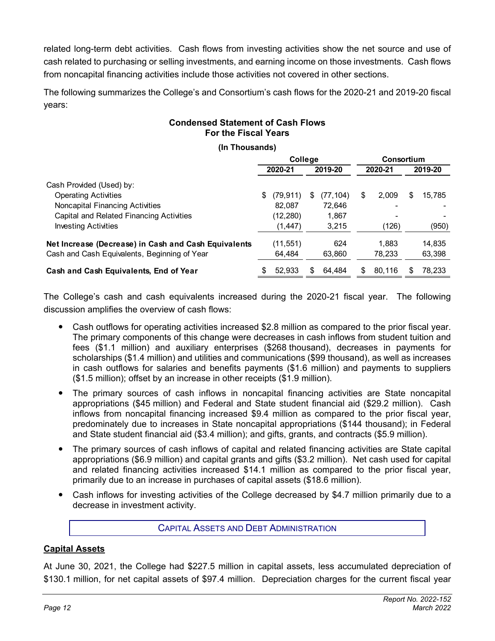related long-term debt activities. Cash flows from investing activities show the net source and use of cash related to purchasing or selling investments, and earning income on those investments. Cash flows from noncapital financing activities include those activities not covered in other sections.

The following summarizes the College's and Consortium's cash flows for the 2020-21 and 2019-20 fiscal years:

## **Condensed Statement of Cash Flows For the Fiscal Years**

#### **(In Thousands)**

|                                                      | College |           | Consortium |           |    |         |    |         |
|------------------------------------------------------|---------|-----------|------------|-----------|----|---------|----|---------|
|                                                      |         | 2020-21   |            | 2019-20   |    | 2020-21 |    | 2019-20 |
| Cash Provided (Used) by:                             |         |           |            |           |    |         |    |         |
| <b>Operating Activities</b>                          | \$      | (79.911)  | S          | (77, 104) | \$ | 2.009   | \$ | 15,785  |
| <b>Noncapital Financing Activities</b>               |         | 82.087    |            | 72,646    |    |         |    |         |
| Capital and Related Financing Activities             |         | (12, 280) |            | 1,867     |    |         |    |         |
| <b>Investing Activities</b>                          |         | (1, 447)  |            | 3,215     |    | (126)   |    | (950)   |
| Net Increase (Decrease) in Cash and Cash Equivalents |         | (11, 551) |            | 624       |    | 1,883   |    | 14,835  |
| Cash and Cash Equivalents, Beginning of Year         |         | 64,484    |            | 63,860    |    | 78.233  |    | 63,398  |
| Cash and Cash Equivalents, End of Year               | \$      | 52,933    | \$.        | 64.484    | S  | 80.116  |    | 78,233  |

The College's cash and cash equivalents increased during the 2020-21 fiscal year. The following discussion amplifies the overview of cash flows:

- Cash outflows for operating activities increased \$2.8 million as compared to the prior fiscal year. The primary components of this change were decreases in cash inflows from student tuition and fees (\$1.1 million) and auxiliary enterprises (\$268 thousand), decreases in payments for scholarships (\$1.4 million) and utilities and communications (\$99 thousand), as well as increases in cash outflows for salaries and benefits payments (\$1.6 million) and payments to suppliers (\$1.5 million); offset by an increase in other receipts (\$1.9 million).
- The primary sources of cash inflows in noncapital financing activities are State noncapital appropriations (\$45 million) and Federal and State student financial aid (\$29.2 million). Cash inflows from noncapital financing increased \$9.4 million as compared to the prior fiscal year, predominately due to increases in State noncapital appropriations (\$144 thousand); in Federal and State student financial aid (\$3.4 million); and gifts, grants, and contracts (\$5.9 million).
- The primary sources of cash inflows of capital and related financing activities are State capital appropriations (\$6.9 million) and capital grants and gifts (\$3.2 million). Net cash used for capital and related financing activities increased \$14.1 million as compared to the prior fiscal year, primarily due to an increase in purchases of capital assets (\$18.6 million).
- Cash inflows for investing activities of the College decreased by \$4.7 million primarily due to a decrease in investment activity.

## CAPITAL ASSETS AND DEBT ADMINISTRATION

## **Capital Assets**

At June 30, 2021, the College had \$227.5 million in capital assets, less accumulated depreciation of \$130.1 million, for net capital assets of \$97.4 million. Depreciation charges for the current fiscal year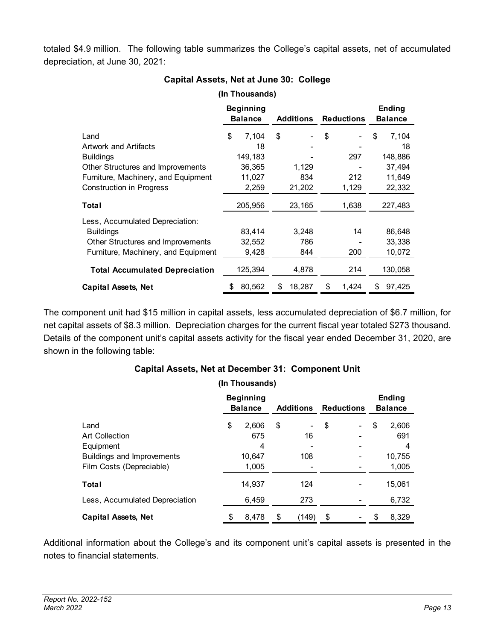totaled \$4.9 million. The following table summarizes the College's capital assets, net of accumulated depreciation, at June 30, 2021:

| (In Thousands)                        |    |                                    |    |                  |    |                   |    |                                 |
|---------------------------------------|----|------------------------------------|----|------------------|----|-------------------|----|---------------------------------|
|                                       |    | <b>Beginning</b><br><b>Balance</b> |    | <b>Additions</b> |    | <b>Reductions</b> |    | <b>Ending</b><br><b>Balance</b> |
| Land                                  | \$ | 7,104                              | \$ |                  | \$ |                   | \$ | 7,104                           |
| <b>Artwork and Artifacts</b>          |    | 18                                 |    |                  |    |                   |    | 18                              |
| <b>Buildings</b>                      |    | 149,183                            |    |                  |    | 297               |    | 148,886                         |
| Other Structures and Improvements     |    | 36,365                             |    | 1,129            |    |                   |    | 37,494                          |
| Furniture, Machinery, and Equipment   |    | 11,027                             |    | 834              |    | 212               |    | 11,649                          |
| <b>Construction in Progress</b>       |    | 2,259                              |    | 21,202           |    | 1,129             |    | 22,332                          |
| Total                                 |    | 205,956                            |    | 23,165           |    | 1,638             |    | 227,483                         |
| Less, Accumulated Depreciation:       |    |                                    |    |                  |    |                   |    |                                 |
| <b>Buildings</b>                      |    | 83,414                             |    | 3,248            |    | 14                |    | 86,648                          |
| Other Structures and Improvements     |    | 32,552                             |    | 786              |    |                   |    | 33,338                          |
| Furniture, Machinery, and Equipment   |    | 9,428                              |    | 844              |    | 200               |    | 10,072                          |
| <b>Total Accumulated Depreciation</b> |    | 125,394                            |    | 4,878            |    | 214               |    | 130,058                         |
| <b>Capital Assets, Net</b>            | \$ | 80,562                             | \$ | 18,287           | \$ | 1,424             | \$ | 97,425                          |

#### **Capital Assets, Net at June 30: College**

The component unit had \$15 million in capital assets, less accumulated depreciation of \$6.7 million, for net capital assets of \$8.3 million. Depreciation charges for the current fiscal year totaled \$273 thousand. Details of the component unit's capital assets activity for the fiscal year ended December 31, 2020, are shown in the following table:

#### **Capital Assets, Net at December 31: Component Unit**

| (In Thousands)                    |    |                                    |    |                  |    |                   |    |                          |
|-----------------------------------|----|------------------------------------|----|------------------|----|-------------------|----|--------------------------|
|                                   |    | <b>Beginning</b><br><b>Balance</b> |    | <b>Additions</b> |    | <b>Reductions</b> |    | Ending<br><b>Balance</b> |
| Land                              | \$ | 2,606                              | \$ |                  | \$ | $\blacksquare$    | \$ | 2,606                    |
| <b>Art Collection</b>             |    | 675                                |    | 16               |    |                   |    | 691                      |
| Equipment                         |    | 4                                  |    |                  |    |                   |    | 4                        |
| <b>Buildings and Improvements</b> |    | 10,647                             |    | 108              |    |                   |    | 10,755                   |
| Film Costs (Depreciable)          |    | 1,005                              |    |                  |    |                   |    | 1,005                    |
| Total                             |    | 14,937                             |    | 124              |    |                   |    | 15,061                   |
| Less, Accumulated Depreciation    |    | 6,459                              |    | 273              |    |                   |    | 6,732                    |
| <b>Capital Assets, Net</b>        |    | 8,478                              | \$ | (149)            | \$ |                   | \$ | 8,329                    |

Additional information about the College's and its component unit's capital assets is presented in the notes to financial statements.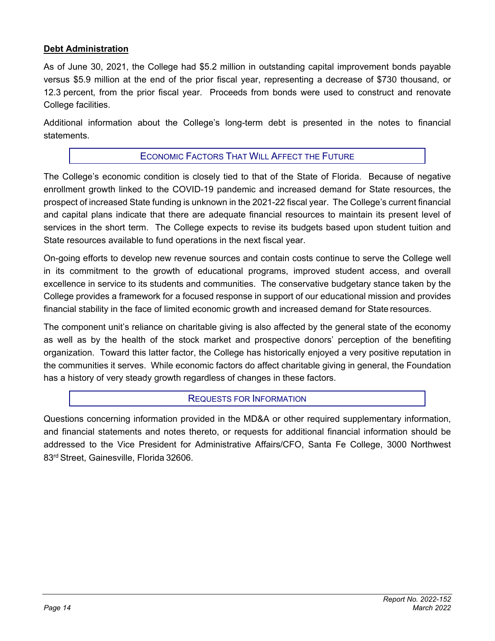## **Debt Administration**

As of June 30, 2021, the College had \$5.2 million in outstanding capital improvement bonds payable versus \$5.9 million at the end of the prior fiscal year, representing a decrease of \$730 thousand, or 12.3 percent, from the prior fiscal year. Proceeds from bonds were used to construct and renovate College facilities.

Additional information about the College's long-term debt is presented in the notes to financial statements.

## ECONOMIC FACTORS THAT WILL AFFECT THE FUTURE

The College's economic condition is closely tied to that of the State of Florida. Because of negative enrollment growth linked to the COVID-19 pandemic and increased demand for State resources, the prospect of increased State funding is unknown in the 2021-22 fiscal year. The College's current financial and capital plans indicate that there are adequate financial resources to maintain its present level of services in the short term. The College expects to revise its budgets based upon student tuition and State resources available to fund operations in the next fiscal year.

On-going efforts to develop new revenue sources and contain costs continue to serve the College well in its commitment to the growth of educational programs, improved student access, and overall excellence in service to its students and communities. The conservative budgetary stance taken by the College provides a framework for a focused response in support of our educational mission and provides financial stability in the face of limited economic growth and increased demand for State resources.

The component unit's reliance on charitable giving is also affected by the general state of the economy as well as by the health of the stock market and prospective donors' perception of the benefiting organization. Toward this latter factor, the College has historically enjoyed a very positive reputation in the communities it serves. While economic factors do affect charitable giving in general, the Foundation has a history of very steady growth regardless of changes in these factors.

#### REQUESTS FOR INFORMATION

Questions concerning information provided in the MD&A or other required supplementary information, and financial statements and notes thereto, or requests for additional financial information should be addressed to the Vice President for Administrative Affairs/CFO, Santa Fe College, 3000 Northwest 83rd Street, Gainesville, Florida 32606.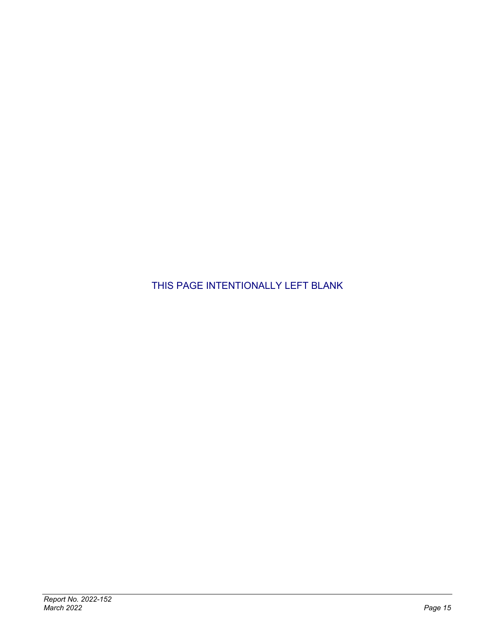THIS PAGE INTENTIONALLY LEFT BLANK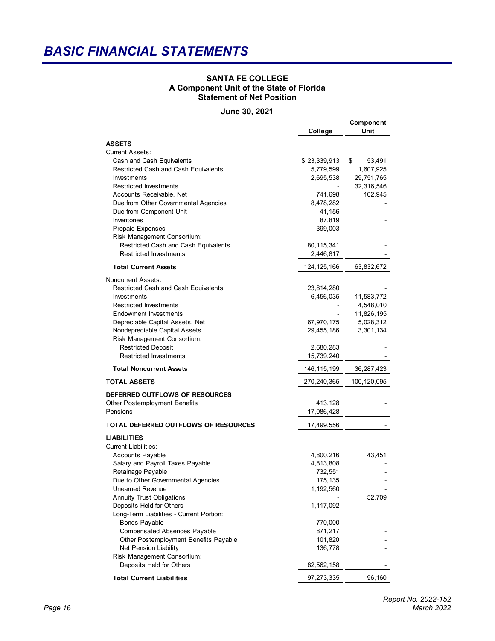## <span id="page-19-0"></span>*BASIC FINANCIAL STATEMENTS*

#### **SANTA FE COLLEGE A Component Unit of the State of Florida Statement of Net Position**

#### **June 30, 2021**

|                                          |              | Component     |
|------------------------------------------|--------------|---------------|
|                                          | College      | Unit          |
| <b>ASSETS</b>                            |              |               |
| <b>Current Assets:</b>                   |              |               |
| Cash and Cash Equivalents                | \$23,339,913 | \$<br>53,491  |
| Restricted Cash and Cash Equivalents     | 5,779,599    | 1,607,925     |
| Investments                              | 2,695,538    | 29,751,765    |
| Restricted Investments                   |              | 32,316,546    |
| Accounts Receivable, Net                 | 741,698      | 102,945       |
| Due from Other Governmental Agencies     | 8,478,282    |               |
| Due from Component Unit                  | 41,156       |               |
| Inventories                              | 87,819       |               |
| <b>Prepaid Expenses</b>                  | 399,003      |               |
| Risk Management Consortium:              |              |               |
| Restricted Cash and Cash Equivalents     | 80,115,341   |               |
| <b>Restricted Investments</b>            | 2,446,817    |               |
| <b>Total Current Assets</b>              | 124,125,166  | 63,832,672    |
| Noncurrent Assets:                       |              |               |
| Restricted Cash and Cash Equivalents     | 23,814,280   |               |
| Investments                              | 6,456,035    | 11,583,772    |
| <b>Restricted Investments</b>            |              | 4,548,010     |
| <b>Endowment Investments</b>             |              | 11,826,195    |
| Depreciable Capital Assets, Net          | 67,970,175   | 5,028,312     |
| Nondepreciable Capital Assets            | 29,455,186   | 3,301,134     |
| Risk Management Consortium:              |              |               |
| <b>Restricted Deposit</b>                | 2,680,283    |               |
| <b>Restricted Investments</b>            | 15,739,240   |               |
| <b>Total Noncurrent Assets</b>           | 146,115,199  | 36,287,423    |
| <b>TOTAL ASSETS</b>                      | 270,240,365  | 100, 120, 095 |
|                                          |              |               |
| DEFERRED OUTFLOWS OF RESOURCES           |              |               |
| <b>Other Postemployment Benefits</b>     | 413,128      |               |
| Pensions                                 | 17,086,428   |               |
| TOTAL DEFERRED OUTFLOWS OF RESOURCES     | 17,499,556   |               |
| <b>LIABILITIES</b>                       |              |               |
| <b>Current Liabilities:</b>              |              |               |
| <b>Accounts Payable</b>                  | 4,800,216    | 43,451        |
| Salary and Payroll Taxes Payable         | 4,813,808    |               |
| Retainage Payable                        | 732,551      |               |
| Due to Other Governmental Agencies       | 175,135      |               |
| Unearned Revenue                         | 1,192,560    |               |
| <b>Annuity Trust Obligations</b>         |              | 52,709        |
| Deposits Held for Others                 | 1,117,092    |               |
| Long-Term Liabilities - Current Portion: |              |               |
| <b>Bonds Payable</b>                     | 770,000      |               |
| <b>Compensated Absences Payable</b>      | 871,217      |               |
| Other Postemployment Benefits Payable    | 101,820      |               |
| Net Pension Liability                    | 136,778      |               |
| Risk Management Consortium:              |              |               |
| Deposits Held for Others                 | 82,562,158   |               |
| <b>Total Current Liabilities</b>         | 97,273,335   | 96,160        |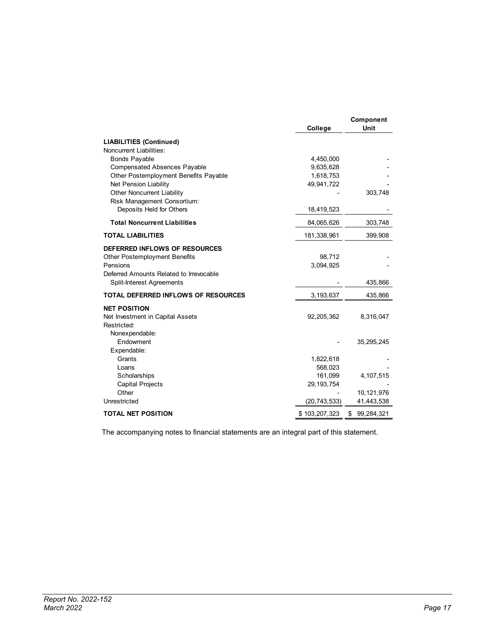|                                                                                                                              | College             | Component<br>Unit |
|------------------------------------------------------------------------------------------------------------------------------|---------------------|-------------------|
| <b>LIABILITIES (Continued)</b><br>Noncurrent Liabilities:                                                                    |                     |                   |
| <b>Bonds Payable</b>                                                                                                         | 4,450,000           |                   |
| <b>Compensated Absences Payable</b>                                                                                          | 9,635,628           |                   |
| Other Postemployment Benefits Payable                                                                                        | 1,618,753           |                   |
| Net Pension Liability                                                                                                        | 49,941,722          |                   |
| Other Noncurrent Liability<br>Risk Management Consortium:                                                                    |                     | 303,748           |
| Deposits Held for Others                                                                                                     | 18,419,523          |                   |
| <b>Total Noncurrent Liabilities</b>                                                                                          | 84,065,626          | 303,748           |
| <b>TOTAL LIABILITIES</b>                                                                                                     | 181,338,961         | 399,908           |
| DEFERRED INFLOWS OF RESOURCES<br><b>Other Postemployment Benefits</b><br>Pensions<br>Deferred Amounts Related to Irrevocable | 98,712<br>3,094,925 |                   |
| <b>Split-Interest Agreements</b>                                                                                             |                     | 435,866           |
| <b>TOTAL DEFERRED INFLOWS OF RESOURCES</b>                                                                                   | 3,193,637           | 435,866           |
| <b>NET POSITION</b><br>Net Investment in Capital Assets<br>Restricted:<br>Nonexpendable:                                     | 92,205,362          | 8,316,047         |
| Endowment                                                                                                                    |                     | 35,295,245        |
| Expendable:                                                                                                                  |                     |                   |
| Grants                                                                                                                       | 1,822,618           |                   |
| Loans<br>Scholarships                                                                                                        | 568,023<br>161,099  | 4,107,515         |
| <b>Capital Projects</b>                                                                                                      | 29, 193, 754        |                   |
| Other                                                                                                                        |                     | 10,121,976        |
| Unrestricted                                                                                                                 | (20, 743, 533)      | 41,443,538        |
| <b>TOTAL NET POSITION</b>                                                                                                    | \$103,207,323       | 99,284,321<br>\$  |

The accompanying notes to financial statements are an integral part of this statement.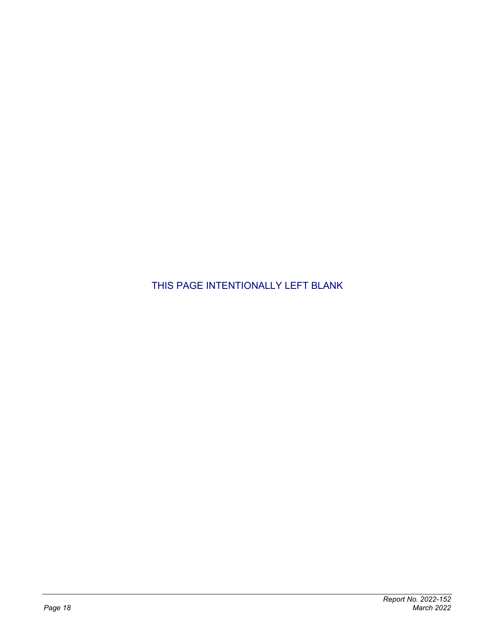THIS PAGE INTENTIONALLY LEFT BLANK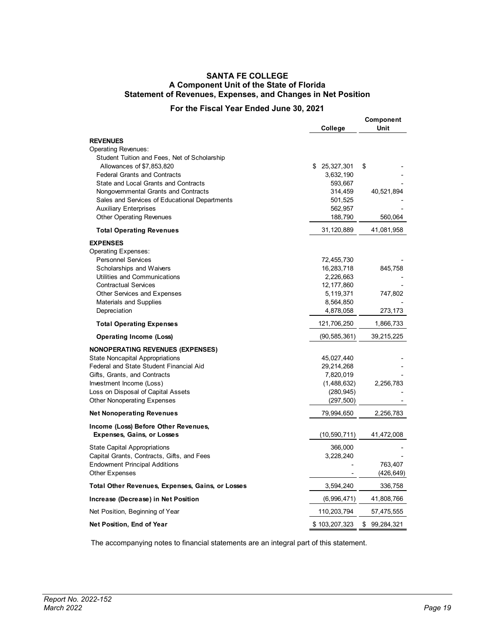#### <span id="page-22-0"></span>**SANTA FE COLLEGE A Component Unit of the State of Florida Statement of Revenues, Expenses, and Changes in Net Position**

#### **For the Fiscal Year Ended June 30, 2021**

|                                                                                               |                  | Component    |
|-----------------------------------------------------------------------------------------------|------------------|--------------|
|                                                                                               | College          | Unit         |
| <b>REVENUES</b><br><b>Operating Revenues:</b><br>Student Tuition and Fees, Net of Scholarship |                  |              |
| Allowances of \$7,853,820                                                                     | \$<br>25,327,301 | \$           |
| <b>Federal Grants and Contracts</b>                                                           | 3,632,190        |              |
| <b>State and Local Grants and Contracts</b>                                                   | 593,667          |              |
| Nongovernmental Grants and Contracts                                                          | 314,459          | 40,521,894   |
| Sales and Services of Educational Departments                                                 | 501,525          |              |
| <b>Auxiliary Enterprises</b>                                                                  | 562,957          |              |
| <b>Other Operating Revenues</b>                                                               | 188,790          | 560,064      |
| <b>Total Operating Revenues</b>                                                               | 31,120,889       | 41,081,958   |
| <b>EXPENSES</b>                                                                               |                  |              |
| <b>Operating Expenses:</b>                                                                    |                  |              |
| <b>Personnel Services</b>                                                                     | 72,455,730       |              |
| Scholarships and Waivers                                                                      | 16,283,718       | 845,758      |
| Utilities and Communications                                                                  | 2,226,663        |              |
| <b>Contractual Services</b>                                                                   | 12, 177, 860     |              |
| <b>Other Services and Expenses</b>                                                            | 5,119,371        | 747,802      |
| Materials and Supplies                                                                        | 8,564,850        |              |
| Depreciation                                                                                  | 4,878,058        | 273,173      |
| <b>Total Operating Expenses</b>                                                               | 121,706,250      | 1,866,733    |
| <b>Operating Income (Loss)</b>                                                                | (90, 585, 361)   | 39,215,225   |
| <b>NONOPERATING REVENUES (EXPENSES)</b>                                                       |                  |              |
| State Noncapital Appropriations                                                               | 45,027,440       |              |
| Federal and State Student Financial Aid                                                       | 29,214,268       |              |
| Gifts, Grants, and Contracts                                                                  | 7,820,019        |              |
| Investment Income (Loss)                                                                      | (1,488,632)      | 2,256,783    |
| Loss on Disposal of Capital Assets                                                            | (280, 945)       |              |
| <b>Other Nonoperating Expenses</b>                                                            | (297, 500)       |              |
| <b>Net Nonoperating Revenues</b>                                                              | 79,994,650       | 2,256,783    |
| Income (Loss) Before Other Revenues,                                                          |                  |              |
| <b>Expenses, Gains, or Losses</b>                                                             | (10, 590, 711)   | 41,472,008   |
| <b>State Capital Appropriations</b>                                                           | 366,000          |              |
| Capital Grants, Contracts, Gifts, and Fees                                                    | 3,228,240        |              |
| <b>Endowment Principal Additions</b>                                                          |                  | 763,407      |
| <b>Other Expenses</b>                                                                         |                  | (426,649)    |
| Total Other Revenues, Expenses, Gains, or Losses                                              | 3,594,240        | 336,758      |
| Increase (Decrease) in Net Position                                                           | (6,996,471)      | 41,808,766   |
| Net Position, Beginning of Year                                                               | 110,203,794      | 57,475,555   |
| Net Position, End of Year                                                                     | \$103,207,323    | \$99,284,321 |

The accompanying notes to financial statements are an integral part of this statement.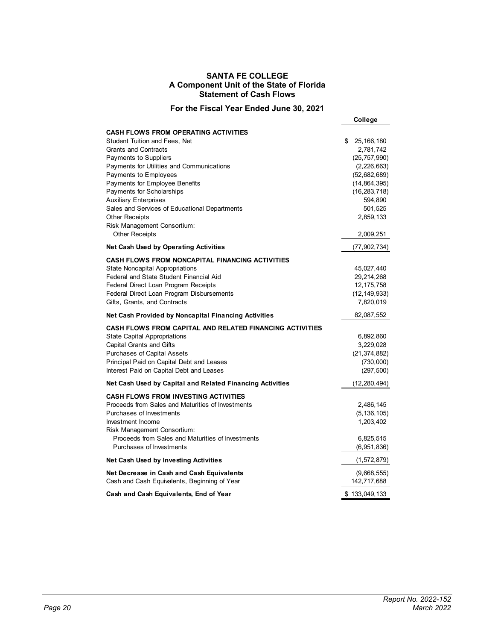#### **SANTA FE COLLEGE A Component Unit of the State of Florida Statement of Cash Flows**

#### **For the Fiscal Year Ended June 30, 2021**

<span id="page-23-0"></span>

|                                                                 | College          |
|-----------------------------------------------------------------|------------------|
| <b>CASH FLOWS FROM OPERATING ACTIVITIES</b>                     |                  |
| <b>Student Tuition and Fees. Net</b>                            | \$<br>25,166,180 |
| <b>Grants and Contracts</b>                                     | 2,781,742        |
| Payments to Suppliers                                           | (25, 757, 990)   |
| Payments for Utilities and Communications                       | (2, 226, 663)    |
| Payments to Employees                                           | (52,682,689)     |
| Payments for Employee Benefits                                  | (14, 864, 395)   |
| Payments for Scholarships                                       | (16, 283, 718)   |
| <b>Auxiliary Enterprises</b>                                    | 594,890          |
| Sales and Services of Educational Departments                   | 501,525          |
| <b>Other Receipts</b>                                           | 2,859,133        |
| Risk Management Consortium:                                     |                  |
| <b>Other Receipts</b>                                           | 2,009,251        |
| Net Cash Used by Operating Activities                           | (77,902,734)     |
| <b>CASH FLOWS FROM NONCAPITAL FINANCING ACTIVITIES</b>          |                  |
| <b>State Noncapital Appropriations</b>                          | 45,027,440       |
| Federal and State Student Financial Aid                         | 29,214,268       |
| Federal Direct Loan Program Receipts                            | 12, 175, 758     |
| Federal Direct Loan Program Disbursements                       | (12, 149, 933)   |
| Gifts, Grants, and Contracts                                    | 7,820,019        |
| Net Cash Provided by Noncapital Financing Activities            | 82,087,552       |
| <b>CASH FLOWS FROM CAPITAL AND RELATED FINANCING ACTIVITIES</b> |                  |
| <b>State Capital Appropriations</b>                             | 6,892,860        |
| Capital Grants and Gifts                                        | 3,229,028        |
| <b>Purchases of Capital Assets</b>                              | (21, 374, 882)   |
| Principal Paid on Capital Debt and Leases                       | (730,000)        |
| Interest Paid on Capital Debt and Leases                        | (297, 500)       |
| Net Cash Used by Capital and Related Financing Activities       | (12,280,494)     |
| <b>CASH FLOWS FROM INVESTING ACTIVITIES</b>                     |                  |
| Proceeds from Sales and Maturities of Investments               | 2,486,145        |
| Purchases of Investments                                        | (5, 136, 105)    |
| Investment Income                                               | 1,203,402        |
| Risk Management Consortium:                                     |                  |
| Proceeds from Sales and Maturities of Investments               | 6,825,515        |
| Purchases of Investments                                        | (6,951,836)      |
| Net Cash Used by Investing Activities                           | (1,572,879)      |
| Net Decrease in Cash and Cash Equivalents                       | (9,668,555)      |
| Cash and Cash Equivalents, Beginning of Year                    | 142,717,688      |
| Cash and Cash Equivalents, End of Year                          | \$133,049,133    |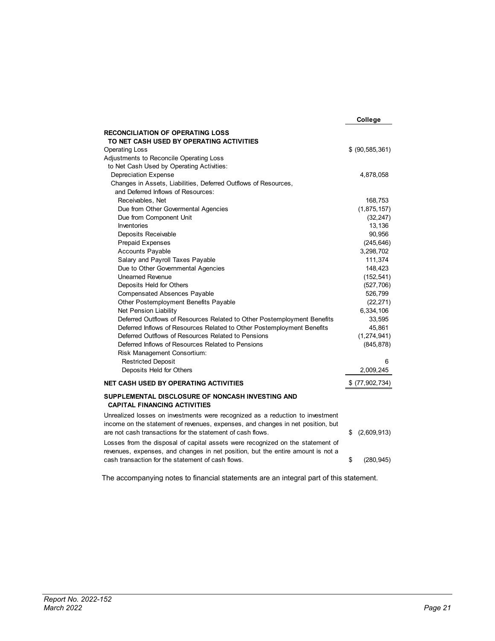|                                                                                         | College           |
|-----------------------------------------------------------------------------------------|-------------------|
| <b>RECONCILIATION OF OPERATING LOSS</b>                                                 |                   |
| TO NET CASH USED BY OPERATING ACTIVITIES                                                |                   |
| <b>Operating Loss</b>                                                                   | \$ (90, 585, 361) |
| Adjustments to Reconcile Operating Loss                                                 |                   |
| to Net Cash Used by Operating Activities:                                               |                   |
| <b>Depreciation Expense</b>                                                             | 4,878,058         |
| Changes in Assets, Liabilities, Deferred Outflows of Resources,                         |                   |
| and Deferred Inflows of Resources:                                                      |                   |
| Receivables, Net                                                                        | 168,753           |
| Due from Other Govermental Agencies                                                     | (1, 875, 157)     |
| Due from Component Unit                                                                 | (32, 247)         |
| Inventories                                                                             | 13,136            |
| Deposits Receivable                                                                     | 90,956            |
| <b>Prepaid Expenses</b>                                                                 | (245, 646)        |
| <b>Accounts Payable</b>                                                                 | 3,298,702         |
| Salary and Payroll Taxes Payable                                                        | 111,374           |
| Due to Other Governmental Agencies                                                      | 148,423           |
| <b>Unearned Revenue</b>                                                                 | (152, 541)        |
| Deposits Held for Others                                                                | (527, 706)        |
| <b>Compensated Absences Payable</b>                                                     | 526,799           |
| Other Postemployment Benefits Payable                                                   | (22, 271)         |
| Net Pension Liability                                                                   | 6,334,106         |
| Deferred Outflows of Resources Related to Other Postemployment Benefits                 | 33,595            |
| Deferred Inflows of Resources Related to Other Postemployment Benefits                  | 45,861            |
| Deferred Outflows of Resources Related to Pensions                                      | (1, 274, 941)     |
| Deferred Inflows of Resources Related to Pensions                                       | (845, 878)        |
| Risk Management Consortium:                                                             |                   |
| <b>Restricted Deposit</b>                                                               | 6                 |
| Deposits Held for Others                                                                | 2,009,245         |
| <b>NET CASH USED BY OPERATING ACTIVITIES</b>                                            | \$ (77,902,734)   |
| SUPPLEMENTAL DISCLOSURE OF NONCASH INVESTING AND<br><b>CAPITAL FINANCING ACTIVITIES</b> |                   |
| Unrealized losses on investments were recognized as a reduction to investment           |                   |
| income on the statement of revenues, expenses, and changes in net position, but         |                   |
| are not cash transactions for the statement of cash flows.                              | (2,609,913)<br>\$ |
| Losses from the disposal of capital assets were recognized on the statement of          |                   |
| revenues, expenses, and changes in net position, but the entire amount is not a         |                   |
| cash transaction for the statement of cash flows.                                       | \$<br>(280, 945)  |
|                                                                                         |                   |

The accompanying notes to financial statements are an integral part of this statement.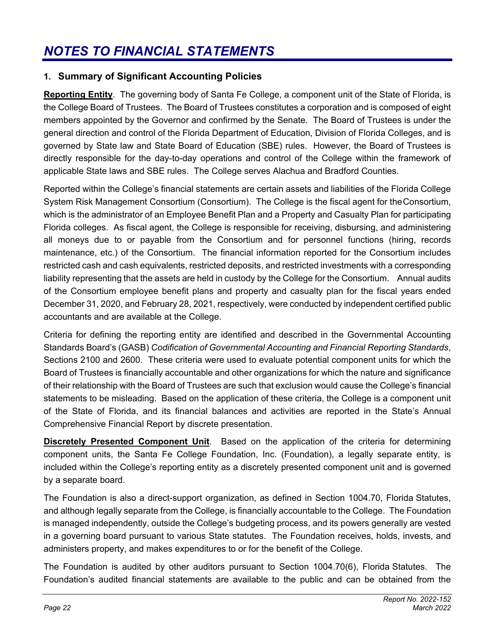## <span id="page-25-0"></span>*NOTES TO FINANCIAL STATEMENTS*

## **1. Summary of Significant Accounting Policies**

**Reporting Entity**. The governing body of Santa Fe College, a component unit of the State of Florida, is the College Board of Trustees. The Board of Trustees constitutes a corporation and is composed of eight members appointed by the Governor and confirmed by the Senate. The Board of Trustees is under the general direction and control of the Florida Department of Education, Division of Florida Colleges, and is governed by State law and State Board of Education (SBE) rules. However, the Board of Trustees is directly responsible for the day-to-day operations and control of the College within the framework of applicable State laws and SBE rules. The College serves Alachua and Bradford Counties.

Reported within the College's financial statements are certain assets and liabilities of the Florida College System Risk Management Consortium (Consortium). The College is the fiscal agent for the Consortium, which is the administrator of an Employee Benefit Plan and a Property and Casualty Plan for participating Florida colleges. As fiscal agent, the College is responsible for receiving, disbursing, and administering all moneys due to or payable from the Consortium and for personnel functions (hiring, records maintenance, etc.) of the Consortium. The financial information reported for the Consortium includes restricted cash and cash equivalents, restricted deposits, and restricted investments with a corresponding liability representing that the assets are held in custody by the College for the Consortium. Annual audits of the Consortium employee benefit plans and property and casualty plan for the fiscal years ended December 31, 2020, and February 28, 2021, respectively, were conducted by independent certified public accountants and are available at the College.

Criteria for defining the reporting entity are identified and described in the Governmental Accounting Standards Board's (GASB) *Codification of Governmental Accounting and Financial Reporting Standards*, Sections 2100 and 2600. These criteria were used to evaluate potential component units for which the Board of Trustees is financially accountable and other organizations for which the nature and significance of their relationship with the Board of Trustees are such that exclusion would cause the College's financial statements to be misleading. Based on the application of these criteria, the College is a component unit of the State of Florida, and its financial balances and activities are reported in the State's Annual Comprehensive Financial Report by discrete presentation.

**Discretely Presented Component Unit**. Based on the application of the criteria for determining component units, the Santa Fe College Foundation, Inc. (Foundation), a legally separate entity, is included within the College's reporting entity as a discretely presented component unit and is governed by a separate board.

The Foundation is also a direct-support organization, as defined in Section 1004.70, Florida Statutes, and although legally separate from the College, is financially accountable to the College. The Foundation is managed independently, outside the College's budgeting process, and its powers generally are vested in a governing board pursuant to various State statutes. The Foundation receives, holds, invests, and administers property, and makes expenditures to or for the benefit of the College.

The Foundation is audited by other auditors pursuant to Section 1004.70(6), Florida Statutes. The Foundation's audited financial statements are available to the public and can be obtained from the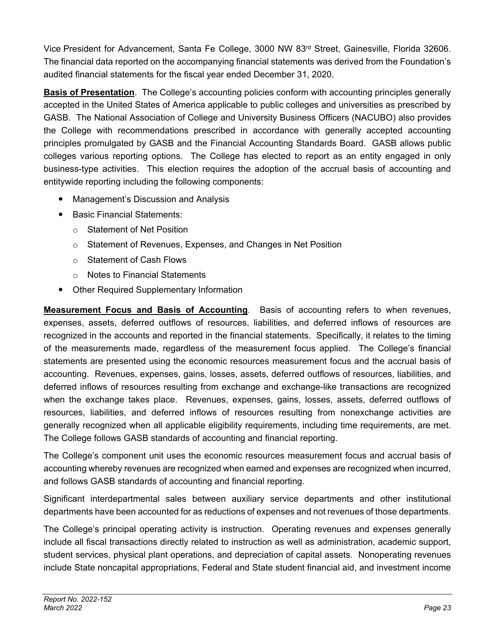Vice President for Advancement, Santa Fe College, 3000 NW 83rd Street, Gainesville, Florida 32606. The financial data reported on the accompanying financial statements was derived from the Foundation's audited financial statements for the fiscal year ended December 31, 2020.

**Basis of Presentation**. The College's accounting policies conform with accounting principles generally accepted in the United States of America applicable to public colleges and universities as prescribed by GASB. The National Association of College and University Business Officers (NACUBO) also provides the College with recommendations prescribed in accordance with generally accepted accounting principles promulgated by GASB and the Financial Accounting Standards Board. GASB allows public colleges various reporting options. The College has elected to report as an entity engaged in only business-type activities. This election requires the adoption of the accrual basis of accounting and entitywide reporting including the following components:

- Management's Discussion and Analysis
- Basic Financial Statements:
	- o Statement of Net Position
	- o Statement of Revenues, Expenses, and Changes in Net Position
	- o Statement of Cash Flows
	- o Notes to Financial Statements
- Other Required Supplementary Information

**Measurement Focus and Basis of Accounting**. Basis of accounting refers to when revenues, expenses, assets, deferred outflows of resources, liabilities, and deferred inflows of resources are recognized in the accounts and reported in the financial statements. Specifically, it relates to the timing of the measurements made, regardless of the measurement focus applied. The College's financial statements are presented using the economic resources measurement focus and the accrual basis of accounting. Revenues, expenses, gains, losses, assets, deferred outflows of resources, liabilities, and deferred inflows of resources resulting from exchange and exchange-like transactions are recognized when the exchange takes place. Revenues, expenses, gains, losses, assets, deferred outflows of resources, liabilities, and deferred inflows of resources resulting from nonexchange activities are generally recognized when all applicable eligibility requirements, including time requirements, are met. The College follows GASB standards of accounting and financial reporting.

The College's component unit uses the economic resources measurement focus and accrual basis of accounting whereby revenues are recognized when earned and expenses are recognized when incurred, and follows GASB standards of accounting and financial reporting.

Significant interdepartmental sales between auxiliary service departments and other institutional departments have been accounted for as reductions of expenses and not revenues of those departments.

The College's principal operating activity is instruction. Operating revenues and expenses generally include all fiscal transactions directly related to instruction as well as administration, academic support, student services, physical plant operations, and depreciation of capital assets. Nonoperating revenues include State noncapital appropriations, Federal and State student financial aid, and investment income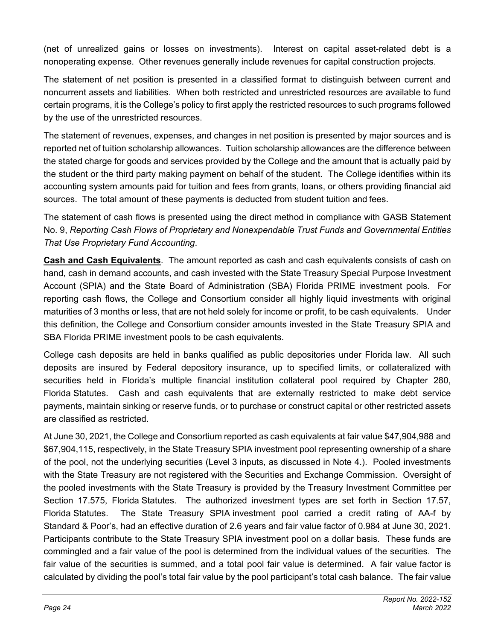(net of unrealized gains or losses on investments). Interest on capital asset-related debt is a nonoperating expense. Other revenues generally include revenues for capital construction projects.

The statement of net position is presented in a classified format to distinguish between current and noncurrent assets and liabilities. When both restricted and unrestricted resources are available to fund certain programs, it is the College's policy to first apply the restricted resources to such programs followed by the use of the unrestricted resources.

The statement of revenues, expenses, and changes in net position is presented by major sources and is reported net of tuition scholarship allowances. Tuition scholarship allowances are the difference between the stated charge for goods and services provided by the College and the amount that is actually paid by the student or the third party making payment on behalf of the student. The College identifies within its accounting system amounts paid for tuition and fees from grants, loans, or others providing financial aid sources. The total amount of these payments is deducted from student tuition and fees.

The statement of cash flows is presented using the direct method in compliance with GASB Statement No. 9, *Reporting Cash Flows of Proprietary and Nonexpendable Trust Funds and Governmental Entities That Use Proprietary Fund Accounting*.

**Cash and Cash Equivalents**. The amount reported as cash and cash equivalents consists of cash on hand, cash in demand accounts, and cash invested with the State Treasury Special Purpose Investment Account (SPIA) and the State Board of Administration (SBA) Florida PRIME investment pools. For reporting cash flows, the College and Consortium consider all highly liquid investments with original maturities of 3 months or less, that are not held solely for income or profit, to be cash equivalents. Under this definition, the College and Consortium consider amounts invested in the State Treasury SPIA and SBA Florida PRIME investment pools to be cash equivalents.

College cash deposits are held in banks qualified as public depositories under Florida law. All such deposits are insured by Federal depository insurance, up to specified limits, or collateralized with securities held in Florida's multiple financial institution collateral pool required by Chapter 280, Florida Statutes. Cash and cash equivalents that are externally restricted to make debt service payments, maintain sinking or reserve funds, or to purchase or construct capital or other restricted assets are classified as restricted.

At June 30, 2021, the College and Consortium reported as cash equivalents at fair value \$47,904,988 and \$67,904,115, respectively, in the State Treasury SPIA investment pool representing ownership of a share of the pool, not the underlying securities (Level 3 inputs, as discussed in Note 4.). Pooled investments with the State Treasury are not registered with the Securities and Exchange Commission. Oversight of the pooled investments with the State Treasury is provided by the Treasury Investment Committee per Section 17.575, Florida Statutes. The authorized investment types are set forth in Section 17.57, Florida Statutes. The State Treasury SPIA investment pool carried a credit rating of AA-f by Standard & Poor's, had an effective duration of 2.6 years and fair value factor of 0.984 at June 30, 2021. Participants contribute to the State Treasury SPIA investment pool on a dollar basis. These funds are commingled and a fair value of the pool is determined from the individual values of the securities. The fair value of the securities is summed, and a total pool fair value is determined. A fair value factor is calculated by dividing the pool's total fair value by the pool participant's total cash balance. The fair value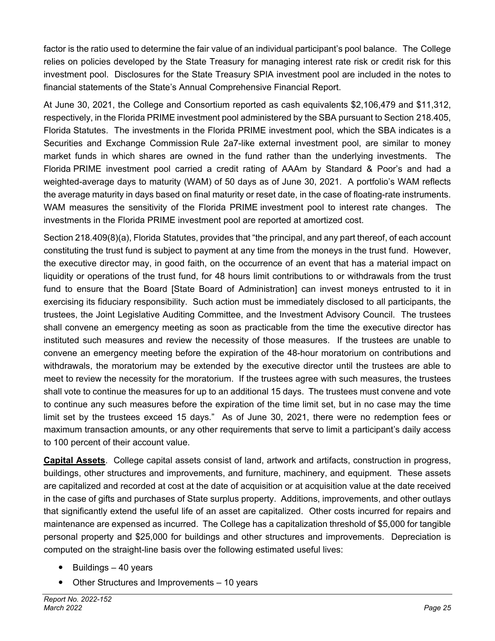factor is the ratio used to determine the fair value of an individual participant's pool balance. The College relies on policies developed by the State Treasury for managing interest rate risk or credit risk for this investment pool. Disclosures for the State Treasury SPIA investment pool are included in the notes to financial statements of the State's Annual Comprehensive Financial Report.

At June 30, 2021, the College and Consortium reported as cash equivalents \$2,106,479 and \$11,312, respectively, in the Florida PRIME investment pool administered by the SBA pursuant to Section 218.405, Florida Statutes. The investments in the Florida PRIME investment pool, which the SBA indicates is a Securities and Exchange Commission Rule 2a7-like external investment pool, are similar to money market funds in which shares are owned in the fund rather than the underlying investments. The Florida PRIME investment pool carried a credit rating of AAAm by Standard & Poor's and had a weighted-average days to maturity (WAM) of 50 days as of June 30, 2021. A portfolio's WAM reflects the average maturity in days based on final maturity or reset date, in the case of floating-rate instruments. WAM measures the sensitivity of the Florida PRIME investment pool to interest rate changes. The investments in the Florida PRIME investment pool are reported at amortized cost.

Section 218.409(8)(a), Florida Statutes, provides that "the principal, and any part thereof, of each account constituting the trust fund is subject to payment at any time from the moneys in the trust fund. However, the executive director may, in good faith, on the occurrence of an event that has a material impact on liquidity or operations of the trust fund, for 48 hours limit contributions to or withdrawals from the trust fund to ensure that the Board [State Board of Administration] can invest moneys entrusted to it in exercising its fiduciary responsibility. Such action must be immediately disclosed to all participants, the trustees, the Joint Legislative Auditing Committee, and the Investment Advisory Council. The trustees shall convene an emergency meeting as soon as practicable from the time the executive director has instituted such measures and review the necessity of those measures. If the trustees are unable to convene an emergency meeting before the expiration of the 48-hour moratorium on contributions and withdrawals, the moratorium may be extended by the executive director until the trustees are able to meet to review the necessity for the moratorium. If the trustees agree with such measures, the trustees shall vote to continue the measures for up to an additional 15 days. The trustees must convene and vote to continue any such measures before the expiration of the time limit set, but in no case may the time limit set by the trustees exceed 15 days." As of June 30, 2021, there were no redemption fees or maximum transaction amounts, or any other requirements that serve to limit a participant's daily access to 100 percent of their account value.

**Capital Assets**. College capital assets consist of land, artwork and artifacts, construction in progress, buildings, other structures and improvements, and furniture, machinery, and equipment. These assets are capitalized and recorded at cost at the date of acquisition or at acquisition value at the date received in the case of gifts and purchases of State surplus property. Additions, improvements, and other outlays that significantly extend the useful life of an asset are capitalized. Other costs incurred for repairs and maintenance are expensed as incurred. The College has a capitalization threshold of \$5,000 for tangible personal property and \$25,000 for buildings and other structures and improvements. Depreciation is computed on the straight-line basis over the following estimated useful lives:

- Buildings 40 years
- Other Structures and Improvements 10 years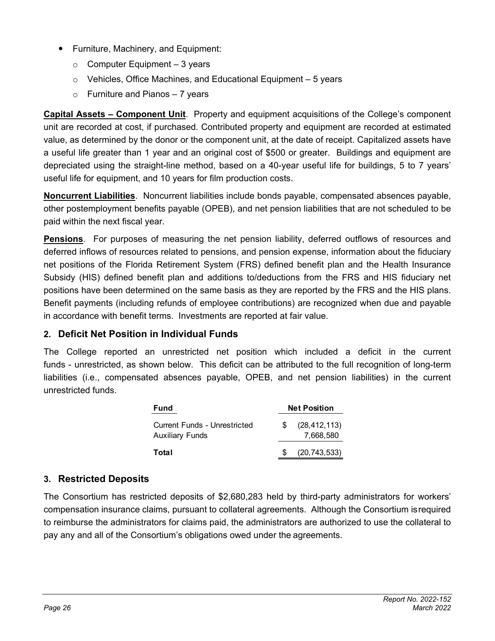- Furniture, Machinery, and Equipment:
	- $\circ$  Computer Equipment 3 years
	- $\circ$  Vehicles, Office Machines, and Educational Equipment 5 years
	- $\circ$  Furniture and Pianos 7 years

**Capital Assets – Component Unit**. Property and equipment acquisitions of the College's component unit are recorded at cost, if purchased. Contributed property and equipment are recorded at estimated value, as determined by the donor or the component unit, at the date of receipt. Capitalized assets have a useful life greater than 1 year and an original cost of \$500 or greater. Buildings and equipment are depreciated using the straight-line method, based on a 40-year useful life for buildings, 5 to 7 years' useful life for equipment, and 10 years for film production costs.

**Noncurrent Liabilities**. Noncurrent liabilities include bonds payable, compensated absences payable, other postemployment benefits payable (OPEB), and net pension liabilities that are not scheduled to be paid within the next fiscal year.

**Pensions**. For purposes of measuring the net pension liability, deferred outflows of resources and deferred inflows of resources related to pensions, and pension expense, information about the fiduciary net positions of the Florida Retirement System (FRS) defined benefit plan and the Health Insurance Subsidy (HIS) defined benefit plan and additions to/deductions from the FRS and HIS fiduciary net positions have been determined on the same basis as they are reported by the FRS and the HIS plans. Benefit payments (including refunds of employee contributions) are recognized when due and payable in accordance with benefit terms. Investments are reported at fair value.

## **2. Deficit Net Position in Individual Funds**

The College reported an unrestricted net position which included a deficit in the current funds - unrestricted, as shown below. This deficit can be attributed to the full recognition of long-term liabilities (i.e., compensated absences payable, OPEB, and net pension liabilities) in the current unrestricted funds.

| <b>Fund</b>                                                   | <b>Net Position</b>         |
|---------------------------------------------------------------|-----------------------------|
| <b>Current Funds - Unrestricted</b><br><b>Auxiliary Funds</b> | (28, 412, 113)<br>7.668.580 |
| Total                                                         | (20, 743, 533)              |

## **3. Restricted Deposits**

The Consortium has restricted deposits of \$2,680,283 held by third-party administrators for workers' compensation insurance claims, pursuant to collateral agreements. Although the Consortium is required to reimburse the administrators for claims paid, the administrators are authorized to use the collateral to pay any and all of the Consortium's obligations owed under the agreements.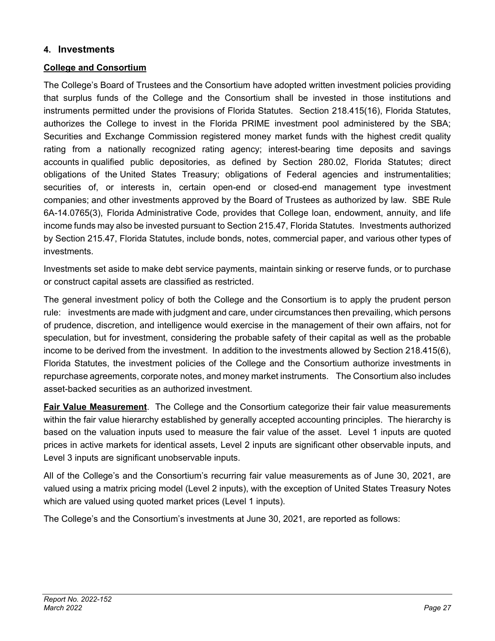## **4. Investments**

#### **College and Consortium**

The College's Board of Trustees and the Consortium have adopted written investment policies providing that surplus funds of the College and the Consortium shall be invested in those institutions and instruments permitted under the provisions of Florida Statutes. Section 218.415(16), Florida Statutes, authorizes the College to invest in the Florida PRIME investment pool administered by the SBA; Securities and Exchange Commission registered money market funds with the highest credit quality rating from a nationally recognized rating agency; interest-bearing time deposits and savings accounts in qualified public depositories, as defined by Section 280.02, Florida Statutes; direct obligations of the United States Treasury; obligations of Federal agencies and instrumentalities; securities of, or interests in, certain open-end or closed-end management type investment companies; and other investments approved by the Board of Trustees as authorized by law. SBE Rule 6A-14.0765(3), Florida Administrative Code, provides that College loan, endowment, annuity, and life income funds may also be invested pursuant to Section 215.47, Florida Statutes. Investments authorized by Section 215.47, Florida Statutes, include bonds, notes, commercial paper, and various other types of investments.

Investments set aside to make debt service payments, maintain sinking or reserve funds, or to purchase or construct capital assets are classified as restricted.

The general investment policy of both the College and the Consortium is to apply the prudent person rule: investments are made with judgment and care, under circumstances then prevailing, which persons of prudence, discretion, and intelligence would exercise in the management of their own affairs, not for speculation, but for investment, considering the probable safety of their capital as well as the probable income to be derived from the investment. In addition to the investments allowed by Section 218.415(6), Florida Statutes, the investment policies of the College and the Consortium authorize investments in repurchase agreements, corporate notes, and money market instruments. The Consortium also includes asset-backed securities as an authorized investment.

**Fair Value Measurement**. The College and the Consortium categorize their fair value measurements within the fair value hierarchy established by generally accepted accounting principles. The hierarchy is based on the valuation inputs used to measure the fair value of the asset. Level 1 inputs are quoted prices in active markets for identical assets, Level 2 inputs are significant other observable inputs, and Level 3 inputs are significant unobservable inputs.

All of the College's and the Consortium's recurring fair value measurements as of June 30, 2021, are valued using a matrix pricing model (Level 2 inputs), with the exception of United States Treasury Notes which are valued using quoted market prices (Level 1 inputs).

The College's and the Consortium's investments at June 30, 2021, are reported as follows: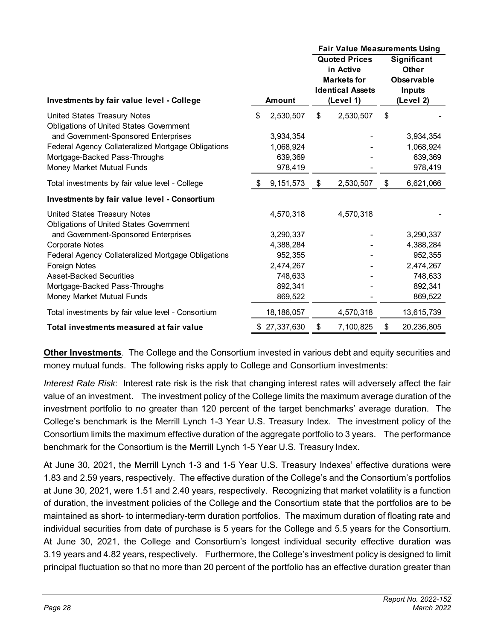|   |            | <b>Fair Value Measurements Using</b>                    |           |                                                                                                              |                                                                         |  |
|---|------------|---------------------------------------------------------|-----------|--------------------------------------------------------------------------------------------------------------|-------------------------------------------------------------------------|--|
|   |            |                                                         |           |                                                                                                              | Significant<br><b>Other</b><br><b>Observable</b><br>Inputs<br>(Level 2) |  |
|   |            |                                                         |           |                                                                                                              |                                                                         |  |
|   |            |                                                         |           |                                                                                                              |                                                                         |  |
|   |            |                                                         |           |                                                                                                              | 3,934,354                                                               |  |
|   | 1,068,924  |                                                         |           |                                                                                                              | 1,068,924                                                               |  |
|   | 639,369    |                                                         |           |                                                                                                              | 639,369                                                                 |  |
|   | 978,419    |                                                         |           |                                                                                                              | 978,419                                                                 |  |
| S | 9,151,573  | \$                                                      | 2,530,507 | \$                                                                                                           | 6,621,066                                                               |  |
|   |            |                                                         |           |                                                                                                              |                                                                         |  |
|   | 4,570,318  |                                                         | 4,570,318 |                                                                                                              |                                                                         |  |
|   |            |                                                         |           |                                                                                                              |                                                                         |  |
|   | 3,290,337  |                                                         |           |                                                                                                              | 3,290,337                                                               |  |
|   | 4,388,284  |                                                         |           |                                                                                                              | 4,388,284                                                               |  |
|   | 952,355    |                                                         |           |                                                                                                              | 952,355                                                                 |  |
|   | 2,474,267  |                                                         |           |                                                                                                              | 2,474,267                                                               |  |
|   | 748,633    |                                                         |           |                                                                                                              | 748,633                                                                 |  |
|   | 892,341    |                                                         |           |                                                                                                              | 892,341                                                                 |  |
|   | 869,522    |                                                         |           |                                                                                                              | 869,522                                                                 |  |
|   | 18,186,057 |                                                         | 4,570,318 |                                                                                                              | 13,615,739                                                              |  |
|   |            |                                                         | 7,100,825 |                                                                                                              | 20,236,805                                                              |  |
|   | \$         | <b>Amount</b><br>2,530,507<br>3,934,354<br>\$27,337,630 | \$        | <b>Quoted Prices</b><br>in Active<br><b>Markets for</b><br><b>Identical Assets</b><br>(Level 1)<br>2,530,507 | \$                                                                      |  |

**Other Investments**. The College and the Consortium invested in various debt and equity securities and money mutual funds. The following risks apply to College and Consortium investments:

*Interest Rate Risk*: Interest rate risk is the risk that changing interest rates will adversely affect the fair value of an investment. The investment policy of the College limits the maximum average duration of the investment portfolio to no greater than 120 percent of the target benchmarks' average duration. The College's benchmark is the Merrill Lynch 1-3 Year U.S. Treasury Index. The investment policy of the Consortium limits the maximum effective duration of the aggregate portfolio to 3 years. The performance benchmark for the Consortium is the Merrill Lynch 1-5 Year U.S. Treasury Index.

At June 30, 2021, the Merrill Lynch 1-3 and 1-5 Year U.S. Treasury Indexes' effective durations were 1.83 and 2.59 years, respectively. The effective duration of the College's and the Consortium's portfolios at June 30, 2021, were 1.51 and 2.40 years, respectively. Recognizing that market volatility is a function of duration, the investment policies of the College and the Consortium state that the portfolios are to be maintained as short- to intermediary-term duration portfolios. The maximum duration of floating rate and individual securities from date of purchase is 5 years for the College and 5.5 years for the Consortium. At June 30, 2021, the College and Consortium's longest individual security effective duration was 3.19 years and 4.82 years, respectively. Furthermore, the College's investment policy is designed to limit principal fluctuation so that no more than 20 percent of the portfolio has an effective duration greater than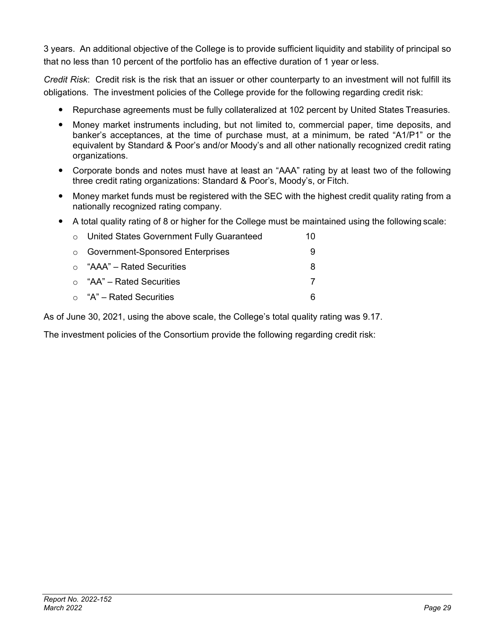3 years. An additional objective of the College is to provide sufficient liquidity and stability of principal so that no less than 10 percent of the portfolio has an effective duration of 1 year or less.

*Credit Risk*: Credit risk is the risk that an issuer or other counterparty to an investment will not fulfill its obligations. The investment policies of the College provide for the following regarding credit risk:

- Repurchase agreements must be fully collateralized at 102 percent by United States Treasuries.
- Money market instruments including, but not limited to, commercial paper, time deposits, and banker's acceptances, at the time of purchase must, at a minimum, be rated "A1/P1" or the equivalent by Standard & Poor's and/or Moody's and all other nationally recognized credit rating organizations.
- Corporate bonds and notes must have at least an "AAA" rating by at least two of the following three credit rating organizations: Standard & Poor's, Moody's, or Fitch.
- Money market funds must be registered with the SEC with the highest credit quality rating from a nationally recognized rating company.
- A total quality rating of 8 or higher for the College must be maintained using the following scale:

| o United States Government Fully Guaranteed | 10 |
|---------------------------------------------|----|
| ○ Government-Sponsored Enterprises          | 9  |
| $\circ$ "AAA" – Rated Securities            | 8  |
| $\circ$ "AA" – Rated Securities             |    |
| $\circ$ "A" – Rated Securities              | 6  |

As of June 30, 2021, using the above scale, the College's total quality rating was 9.17.

The investment policies of the Consortium provide the following regarding credit risk: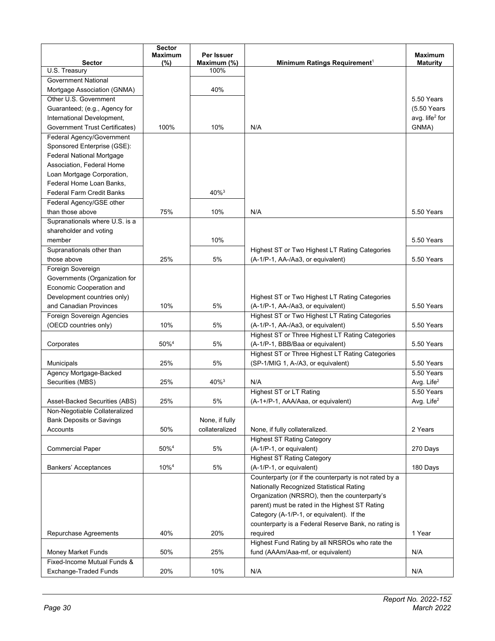| <b>Sector</b>                         | <b>Sector</b><br><b>Maximum</b><br>$(\% )$ | Per Issuer<br>Maximum (%) | Minimum Ratings Requirement <sup>1</sup>               | <b>Maximum</b><br><b>Maturity</b> |
|---------------------------------------|--------------------------------------------|---------------------------|--------------------------------------------------------|-----------------------------------|
| U.S. Treasury                         |                                            | 100%                      |                                                        |                                   |
| <b>Government National</b>            |                                            |                           |                                                        |                                   |
| Mortgage Association (GNMA)           |                                            | 40%                       |                                                        |                                   |
| Other U.S. Government                 |                                            |                           |                                                        | 5.50 Years                        |
| Guaranteed; (e.g., Agency for         |                                            |                           |                                                        | (5.50 Years                       |
| International Development,            |                                            |                           |                                                        | avg. life $2$ for                 |
| <b>Government Trust Certificates)</b> | 100%                                       | 10%                       | N/A                                                    | GNMA)                             |
| Federal Agency/Government             |                                            |                           |                                                        |                                   |
| Sponsored Enterprise (GSE):           |                                            |                           |                                                        |                                   |
| <b>Federal National Mortgage</b>      |                                            |                           |                                                        |                                   |
| Association, Federal Home             |                                            |                           |                                                        |                                   |
| Loan Mortgage Corporation,            |                                            |                           |                                                        |                                   |
| Federal Home Loan Banks,              |                                            |                           |                                                        |                                   |
| <b>Federal Farm Credit Banks</b>      |                                            | $40\%$ <sup>3</sup>       |                                                        |                                   |
| Federal Agency/GSE other              |                                            |                           |                                                        |                                   |
| than those above                      | 75%                                        |                           |                                                        |                                   |
|                                       |                                            | 10%                       | N/A                                                    | 5.50 Years                        |
| Supranationals where U.S. is a        |                                            |                           |                                                        |                                   |
| shareholder and voting                |                                            |                           |                                                        |                                   |
| member                                |                                            | 10%                       |                                                        | 5.50 Years                        |
| Supranationals other than             |                                            |                           | Highest ST or Two Highest LT Rating Categories         |                                   |
| those above                           | 25%                                        | 5%                        | (A-1/P-1, AA-/Aa3, or equivalent)                      | 5.50 Years                        |
| Foreign Sovereign                     |                                            |                           |                                                        |                                   |
| Governments (Organization for         |                                            |                           |                                                        |                                   |
| Economic Cooperation and              |                                            |                           |                                                        |                                   |
| Development countries only)           |                                            |                           | Highest ST or Two Highest LT Rating Categories         |                                   |
| and Canadian Provinces                | 10%                                        | 5%                        | (A-1/P-1, AA-/Aa3, or equivalent)                      | 5.50 Years                        |
| Foreign Sovereign Agencies            |                                            |                           | Highest ST or Two Highest LT Rating Categories         |                                   |
| (OECD countries only)                 | 10%                                        | 5%                        | (A-1/P-1, AA-/Aa3, or equivalent)                      | 5.50 Years                        |
|                                       |                                            |                           | Highest ST or Three Highest LT Rating Categories       |                                   |
| Corporates                            | 50% <sup>4</sup>                           | 5%                        | (A-1/P-1, BBB/Baa or equivalent)                       | 5.50 Years                        |
|                                       |                                            |                           | Highest ST or Three Highest LT Rating Categories       |                                   |
| Municipals                            | 25%                                        | 5%                        | (SP-1/MIG 1, A-/A3, or equivalent)                     | 5.50 Years                        |
| Agency Mortgage-Backed                |                                            |                           |                                                        | 5.50 Years                        |
| Securities (MBS)                      | 25%                                        | $40\%$ <sup>3</sup>       | N/A                                                    | Avg. Life $2$                     |
|                                       |                                            |                           | <b>Highest ST or LT Rating</b>                         | 5.50 Years                        |
| Asset-Backed Securities (ABS)         | 25%                                        | 5%                        | (A-1+/P-1, AAA/Aaa, or equivalent)                     | Ava. Life <sup>2</sup>            |
| Non-Negotiable Collateralized         |                                            |                           |                                                        |                                   |
| <b>Bank Deposits or Savings</b>       |                                            | None, if fully            |                                                        |                                   |
| Accounts                              | 50%                                        | collateralized            | None, if fully collateralized.                         | 2 Years                           |
|                                       |                                            |                           | <b>Highest ST Rating Category</b>                      |                                   |
| <b>Commercial Paper</b>               | 50% <sup>4</sup>                           | 5%                        | (A-1/P-1, or equivalent)                               | 270 Days                          |
|                                       |                                            |                           | <b>Highest ST Rating Category</b>                      |                                   |
| <b>Bankers' Acceptances</b>           | 10% <sup>4</sup>                           | 5%                        | (A-1/P-1, or equivalent)                               | 180 Days                          |
|                                       |                                            |                           | Counterparty (or if the counterparty is not rated by a |                                   |
|                                       |                                            |                           | Nationally Recognized Statistical Rating               |                                   |
|                                       |                                            |                           | Organization (NRSRO), then the counterparty's          |                                   |
|                                       |                                            |                           | parent) must be rated in the Highest ST Rating         |                                   |
|                                       |                                            |                           | Category (A-1/P-1, or equivalent). If the              |                                   |
|                                       |                                            |                           | counterparty is a Federal Reserve Bank, no rating is   |                                   |
| Repurchase Agreements                 | 40%                                        | 20%                       | required                                               | 1 Year                            |
|                                       |                                            |                           | Highest Fund Rating by all NRSROs who rate the         |                                   |
| Money Market Funds                    | 50%                                        | 25%                       | fund (AAAm/Aaa-mf, or equivalent)                      | N/A                               |
| Fixed-Income Mutual Funds &           |                                            |                           |                                                        |                                   |
|                                       |                                            |                           |                                                        |                                   |
| Exchange-Traded Funds                 | 20%                                        | 10%                       | N/A                                                    | N/A                               |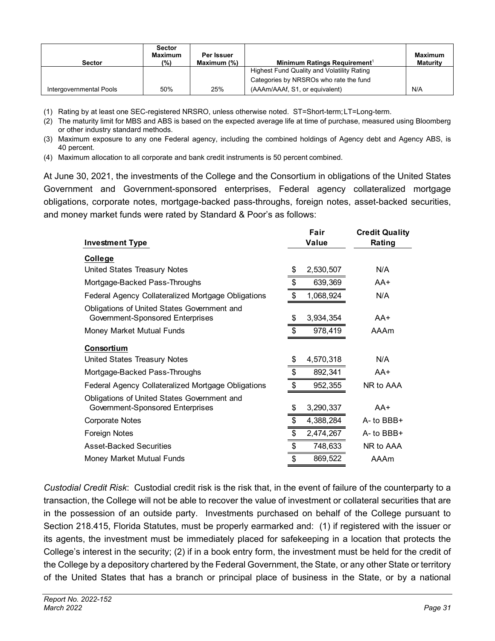| <b>Sector</b>           | <b>Sector</b><br><b>Maximum</b><br>(%) | Per Issuer<br>Maximum (%) | Minimum Ratings Requirement <sup>1</sup>   | <b>Maximum</b><br><b>Maturity</b> |
|-------------------------|----------------------------------------|---------------------------|--------------------------------------------|-----------------------------------|
|                         |                                        |                           | Highest Fund Quality and Volatility Rating |                                   |
|                         |                                        |                           | Categories by NRSROs who rate the fund     |                                   |
| Intergovernmental Pools | 50%                                    | 25%                       | (AAAm/AAAf, S1, or equivalent)             | N/A                               |

(1) Rating by at least one SEC-registered NRSRO, unless otherwise noted. ST=Short-term; LT=Long-term.

(2) The maturity limit for MBS and ABS is based on the expected average life at time of purchase, measured using Bloomberg or other industry standard methods.

(3) Maximum exposure to any one Federal agency, including the combined holdings of Agency debt and Agency ABS, is 40 percent.

(4) Maximum allocation to all corporate and bank credit instruments is 50 percent combined.

At June 30, 2021, the investments of the College and the Consortium in obligations of the United States Government and Government-sponsored enterprises, Federal agency collateralized mortgage obligations, corporate notes, mortgage-backed pass-throughs, foreign notes, asset-backed securities, and money market funds were rated by Standard & Poor's as follows:

|                                                                                 | Fair | <b>Credit Quality</b> |               |
|---------------------------------------------------------------------------------|------|-----------------------|---------------|
| <b>Investment Type</b>                                                          |      | Value                 | Rating        |
| <b>College</b>                                                                  |      |                       |               |
| United States Treasury Notes                                                    | \$   | 2,530,507             | N/A           |
| Mortgage-Backed Pass-Throughs                                                   | \$   | 639,369               | $AA+$         |
| Federal Agency Collateralized Mortgage Obligations                              | \$   | 1,068,924             | N/A           |
| Obligations of United States Government and<br>Government-Sponsored Enterprises | \$   | 3,934,354             | $AA+$         |
| Money Market Mutual Funds                                                       | \$   | 978,419               | AAAm          |
| Consortium                                                                      |      |                       |               |
| United States Treasury Notes                                                    | \$   | 4,570,318             | N/A           |
| Mortgage-Backed Pass-Throughs                                                   | \$   | 892,341               | $AA+$         |
| Federal Agency Collateralized Mortgage Obligations                              | \$   | 952,355               | NR to AAA     |
| Obligations of United States Government and<br>Government-Sponsored Enterprises | \$   | 3,290,337             | $AA+$         |
| <b>Corporate Notes</b>                                                          | \$   | 4,388,284             | $A - to BB +$ |
| Foreign Notes                                                                   | \$   | 2,474,267             | $A - to BB +$ |
| <b>Asset-Backed Securities</b>                                                  | \$   | 748,633               | NR to AAA     |
| Money Market Mutual Funds                                                       | \$   | 869,522               | AAAm          |

*Custodial Credit Risk*: Custodial credit risk is the risk that, in the event of failure of the counterparty to a transaction, the College will not be able to recover the value of investment or collateral securities that are in the possession of an outside party. Investments purchased on behalf of the College pursuant to Section 218.415, Florida Statutes, must be properly earmarked and: (1) if registered with the issuer or its agents, the investment must be immediately placed for safekeeping in a location that protects the College's interest in the security; (2) if in a book entry form, the investment must be held for the credit of the College by a depository chartered by the Federal Government, the State, or any other State or territory of the United States that has a branch or principal place of business in the State, or by a national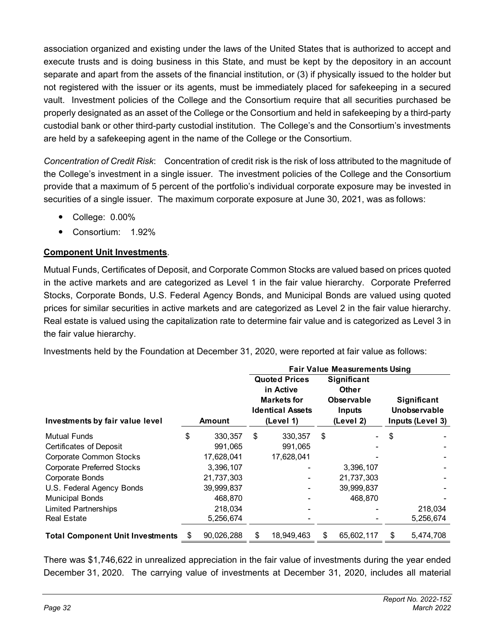association organized and existing under the laws of the United States that is authorized to accept and execute trusts and is doing business in this State, and must be kept by the depository in an account separate and apart from the assets of the financial institution, or (3) if physically issued to the holder but not registered with the issuer or its agents, must be immediately placed for safekeeping in a secured vault. Investment policies of the College and the Consortium require that all securities purchased be properly designated as an asset of the College or the Consortium and held in safekeeping by a third-party custodial bank or other third-party custodial institution. The College's and the Consortium's investments are held by a safekeeping agent in the name of the College or the Consortium.

*Concentration of Credit Risk*: Concentration of credit risk is the risk of loss attributed to the magnitude of the College's investment in a single issuer. The investment policies of the College and the Consortium provide that a maximum of 5 percent of the portfolio's individual corporate exposure may be invested in securities of a single issuer. The maximum corporate exposure at June 30, 2021, was as follows:

- College: 0.00%
- Consortium: 1.92%

## **Component Unit Investments**.

Mutual Funds, Certificates of Deposit, and Corporate Common Stocks are valued based on prices quoted in the active markets and are categorized as Level 1 in the fair value hierarchy. Corporate Preferred Stocks, Corporate Bonds, U.S. Federal Agency Bonds, and Municipal Bonds are valued using quoted prices for similar securities in active markets and are categorized as Level 2 in the fair value hierarchy. Real estate is valued using the capitalization rate to determine fair value and is categorized as Level 3 in the fair value hierarchy.

Investments held by the Foundation at December 31, 2020, were reported at fair value as follows:

|                                         |               | <b>Fair Value Measurements Using</b> |                                                            |    |                                          |      |                                                 |  |  |
|-----------------------------------------|---------------|--------------------------------------|------------------------------------------------------------|----|------------------------------------------|------|-------------------------------------------------|--|--|
|                                         |               | <b>Quoted Prices</b><br>in Active    |                                                            |    | Significant<br><b>Other</b>              |      |                                                 |  |  |
| Investments by fair value level         | Amount        |                                      | <b>Markets for</b><br><b>Identical Assets</b><br>(Level 1) |    | <b>Observable</b><br>Inputs<br>(Level 2) |      | Significant<br>Unobservable<br>Inputs (Level 3) |  |  |
| <b>Mutual Funds</b>                     | \$<br>330,357 | \$.                                  | 330,357                                                    | S  |                                          | - \$ |                                                 |  |  |
| Certificates of Deposit                 | 991,065       |                                      | 991,065                                                    |    |                                          |      |                                                 |  |  |
| <b>Corporate Common Stocks</b>          | 17,628,041    |                                      | 17,628,041                                                 |    |                                          |      |                                                 |  |  |
| <b>Corporate Preferred Stocks</b>       | 3,396,107     |                                      |                                                            |    | 3,396,107                                |      |                                                 |  |  |
| <b>Corporate Bonds</b>                  | 21,737,303    |                                      |                                                            |    | 21,737,303                               |      |                                                 |  |  |
| U.S. Federal Agency Bonds               | 39,999,837    |                                      |                                                            |    | 39,999,837                               |      |                                                 |  |  |
| <b>Municipal Bonds</b>                  | 468,870       |                                      |                                                            |    | 468,870                                  |      |                                                 |  |  |
| <b>Limited Partnerships</b>             | 218,034       |                                      |                                                            |    |                                          |      | 218,034                                         |  |  |
| <b>Real Estate</b>                      | 5,256,674     |                                      |                                                            |    |                                          |      | 5,256,674                                       |  |  |
| <b>Total Component Unit Investments</b> | 90,026,288    | \$                                   | 18,949,463                                                 | \$ | 65,602,117                               | \$   | 5,474,708                                       |  |  |

There was \$1,746,622 in unrealized appreciation in the fair value of investments during the year ended December 31, 2020. The carrying value of investments at December 31, 2020, includes all material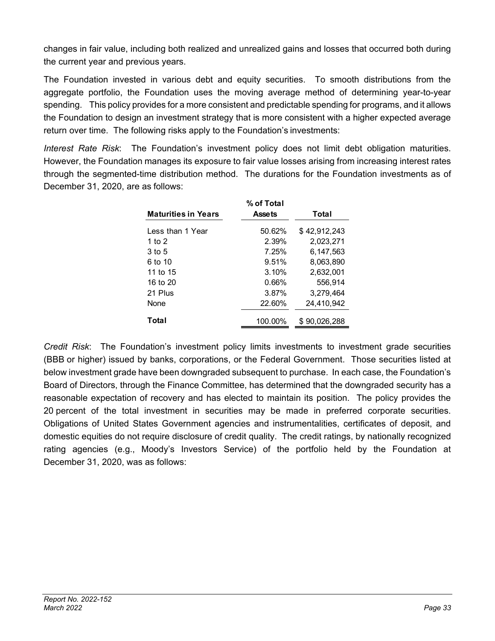changes in fair value, including both realized and unrealized gains and losses that occurred both during the current year and previous years.

The Foundation invested in various debt and equity securities. To smooth distributions from the aggregate portfolio, the Foundation uses the moving average method of determining year-to-year spending. This policy provides for a more consistent and predictable spending for programs, and it allows the Foundation to design an investment strategy that is more consistent with a higher expected average return over time. The following risks apply to the Foundation's investments:

*Interest Rate Risk*: The Foundation's investment policy does not limit debt obligation maturities. However, the Foundation manages its exposure to fair value losses arising from increasing interest rates through the segmented-time distribution method. The durations for the Foundation investments as of December 31, 2020, are as follows:

|                            | % of Total     |                        |  |  |  |
|----------------------------|----------------|------------------------|--|--|--|
| <b>Maturities in Years</b> | <b>Assets</b>  | Total                  |  |  |  |
| Less than 1 Year           | 50.62%         | \$42,912,243           |  |  |  |
| 1 to $2$<br>3 to 5         | 2.39%<br>7.25% | 2,023,271<br>6,147,563 |  |  |  |
| 6 to 10<br>11 to 15        | 9.51%<br>3.10% | 8,063,890<br>2,632,001 |  |  |  |
| 16 to 20<br>21 Plus        | 0.66%<br>3.87% | 556,914<br>3,279,464   |  |  |  |
| None                       | 22.60%         | 24,410,942             |  |  |  |
| Total                      | 100.00%        | \$90,026,288           |  |  |  |

*Credit Risk*: The Foundation's investment policy limits investments to investment grade securities (BBB or higher) issued by banks, corporations, or the Federal Government. Those securities listed at below investment grade have been downgraded subsequent to purchase. In each case, the Foundation's Board of Directors, through the Finance Committee, has determined that the downgraded security has a reasonable expectation of recovery and has elected to maintain its position. The policy provides the 20 percent of the total investment in securities may be made in preferred corporate securities. Obligations of United States Government agencies and instrumentalities, certificates of deposit, and domestic equities do not require disclosure of credit quality. The credit ratings, by nationally recognized rating agencies (e.g., Moody's Investors Service) of the portfolio held by the Foundation at December 31, 2020, was as follows: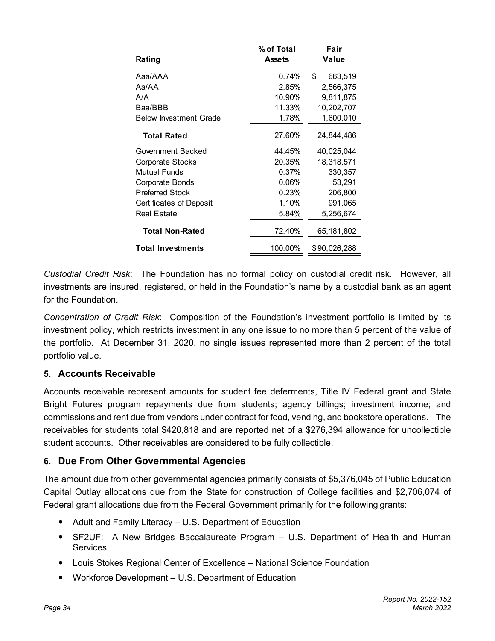|                               | % of Total    | Fair          |  |  |
|-------------------------------|---------------|---------------|--|--|
| Rating                        | <b>Assets</b> | Value         |  |  |
| Aaa/AAA                       | 0.74%         | \$<br>663,519 |  |  |
| Aa/AA                         | 2.85%         | 2,566,375     |  |  |
| A/A                           | 10.90%        | 9,811,875     |  |  |
| Baa/BBB                       | 11.33%        | 10,202,707    |  |  |
| <b>Below Investment Grade</b> | 1.78%         | 1,600,010     |  |  |
| <b>Total Rated</b>            | 27.60%        | 24,844,486    |  |  |
| Government Backed             | 44.45%        | 40,025,044    |  |  |
| Corporate Stocks              | 20.35%        | 18,318,571    |  |  |
| Mutual Funds                  | 0.37%         | 330,357       |  |  |
| Corporate Bonds               | 0.06%         | 53,291        |  |  |
| <b>Preferred Stock</b>        | 0.23%         | 206,800       |  |  |
| Certificates of Deposit       | 1.10%         | 991,065       |  |  |
| <b>Real Estate</b>            | 5.84%         | 5,256,674     |  |  |
| <b>Total Non-Rated</b>        | 72.40%        | 65,181,802    |  |  |
| <b>Total Investments</b>      | 100.00%       | \$90,026,288  |  |  |

*Custodial Credit Risk*: The Foundation has no formal policy on custodial credit risk. However, all investments are insured, registered, or held in the Foundation's name by a custodial bank as an agent for the Foundation.

*Concentration of Credit Risk*: Composition of the Foundation's investment portfolio is limited by its investment policy, which restricts investment in any one issue to no more than 5 percent of the value of the portfolio. At December 31, 2020, no single issues represented more than 2 percent of the total portfolio value.

## **5. Accounts Receivable**

Accounts receivable represent amounts for student fee deferments, Title IV Federal grant and State Bright Futures program repayments due from students; agency billings; investment income; and commissions and rent due from vendors under contract for food, vending, and bookstore operations. The receivables for students total \$420,818 and are reported net of a \$276,394 allowance for uncollectible student accounts. Other receivables are considered to be fully collectible.

## **6. Due From Other Governmental Agencies**

The amount due from other governmental agencies primarily consists of \$5,376,045 of Public Education Capital Outlay allocations due from the State for construction of College facilities and \$2,706,074 of Federal grant allocations due from the Federal Government primarily for the following grants:

- Adult and Family Literacy U.S. Department of Education
- SF2UF: A New Bridges Baccalaureate Program U.S. Department of Health and Human **Services**
- Louis Stokes Regional Center of Excellence National Science Foundation
- Workforce Development U.S. Department of Education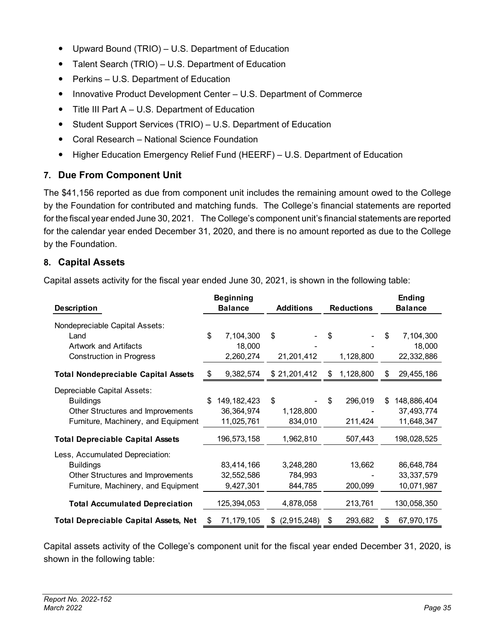- Upward Bound (TRIO) U.S. Department of Education
- Talent Search (TRIO) U.S. Department of Education
- Perkins U.S. Department of Education
- Innovative Product Development Center U.S. Department of Commerce
- Title III Part A U.S. Department of Education
- Student Support Services (TRIO) U.S. Department of Education
- Coral Research National Science Foundation
- Higher Education Emergency Relief Fund (HEERF) U.S. Department of Education

## **7. Due From Component Unit**

The \$41,156 reported as due from component unit includes the remaining amount owed to the College by the Foundation for contributed and matching funds. The College's financial statements are reported for the fiscal year ended June 30, 2021. The College's component unit's financial statements are reported for the calendar year ended December 31, 2020, and there is no amount reported as due to the College by the Foundation.

## **8. Capital Assets**

Capital assets activity for the fiscal year ended June 30, 2021, is shown in the following table:

| <b>Description</b>                           |     | <b>Beginning</b><br><b>Balance</b> |    | <b>Additions</b> |     | <b>Reductions</b> |    | Ending<br><b>Balance</b> |
|----------------------------------------------|-----|------------------------------------|----|------------------|-----|-------------------|----|--------------------------|
|                                              |     |                                    |    |                  |     |                   |    |                          |
| Nondepreciable Capital Assets:               |     |                                    |    |                  |     |                   |    |                          |
| Land                                         | \$  | 7,104,300                          | \$ |                  | \$  |                   | \$ | 7,104,300                |
| <b>Artwork and Artifacts</b>                 |     | 18,000                             |    |                  |     |                   |    | 18,000                   |
| <b>Construction in Progress</b>              |     | 2,260,274                          |    | 21,201,412       |     | 1,128,800         |    | 22,332,886               |
| <b>Total Nondepreciable Capital Assets</b>   | \$  | 9,382,574                          |    | \$21,201,412     | \$  | 1,128,800         | \$ | 29,455,186               |
| Depreciable Capital Assets:                  |     |                                    |    |                  |     |                   |    |                          |
| <b>Buildings</b>                             | \$. | 149, 182, 423                      | \$ |                  | \$. | 296,019           | \$ | 148,886,404              |
| Other Structures and Improvements            |     | 36, 364, 974                       |    | 1,128,800        |     |                   |    | 37,493,774               |
| Furniture, Machinery, and Equipment          |     | 11,025,761                         |    | 834,010          |     | 211,424           |    | 11,648,347               |
| <b>Total Depreciable Capital Assets</b>      |     | 196,573,158                        |    | 1,962,810        |     | 507,443           |    | 198,028,525              |
| Less, Accumulated Depreciation:              |     |                                    |    |                  |     |                   |    |                          |
| <b>Buildings</b>                             |     | 83,414,166                         |    | 3,248,280        |     | 13,662            |    | 86,648,784               |
| Other Structures and Improvements            |     | 32,552,586                         |    | 784,993          |     |                   |    | 33, 337, 579             |
| Furniture, Machinery, and Equipment          |     | 9,427,301                          |    | 844,785          |     | 200,099           |    | 10,071,987               |
| <b>Total Accumulated Depreciation</b>        |     | 125,394,053                        |    | 4,878,058        |     | 213,761           |    | 130,058,350              |
| <b>Total Depreciable Capital Assets, Net</b> | S   | 71,179,105                         | S. | (2,915,248)      |     | 293,682           | S  | 67,970,175               |

Capital assets activity of the College's component unit for the fiscal year ended December 31, 2020, is shown in the following table: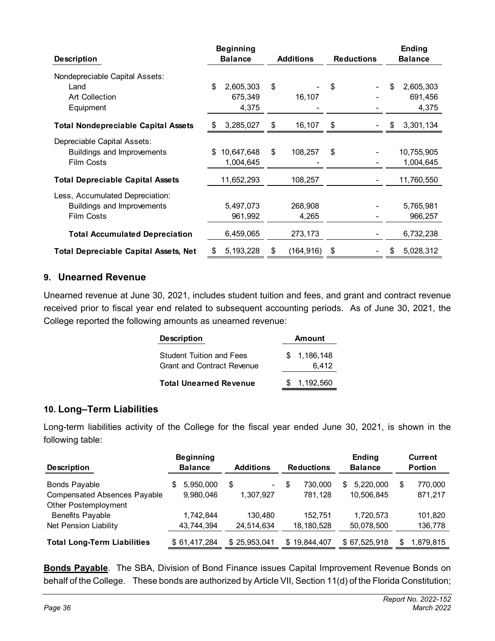|                                              | <b>Beginning</b>  |                  |                   | Ending          |
|----------------------------------------------|-------------------|------------------|-------------------|-----------------|
| <b>Description</b>                           | <b>Balance</b>    | <b>Additions</b> | <b>Reductions</b> | <b>Balance</b>  |
| Nondepreciable Capital Assets:               |                   |                  |                   |                 |
| Land                                         | \$<br>2,605,303   | \$               | \$                | \$<br>2,605,303 |
| <b>Art Collection</b>                        | 675,349           | 16,107           |                   | 691,456         |
| Equipment                                    | 4,375             |                  |                   | 4,375           |
| <b>Total Nondepreciable Capital Assets</b>   | 3,285,027         | \$<br>16,107     | \$                | \$<br>3,301,134 |
| Depreciable Capital Assets:                  |                   |                  |                   |                 |
| Buildings and Improvements                   | \$<br>10,647,648  | \$<br>108,257    | \$                | 10,755,905      |
| <b>Film Costs</b>                            | 1,004,645         |                  |                   | 1,004,645       |
| <b>Total Depreciable Capital Assets</b>      | 11,652,293        | 108,257          |                   | 11,760,550      |
| Less, Accumulated Depreciation:              |                   |                  |                   |                 |
| Buildings and Improvements                   | 5,497,073         | 268,908          |                   | 5,765,981       |
| <b>Film Costs</b>                            | 961,992           | 4,265            |                   | 966,257         |
| <b>Total Accumulated Depreciation</b>        | 6,459,065         | 273,173          |                   | 6,732,238       |
| <b>Total Depreciable Capital Assets, Net</b> | \$<br>5, 193, 228 | \$<br>(164, 916) | \$                | \$<br>5,028,312 |

#### **9. Unearned Revenue**

Unearned revenue at June 30, 2021, includes student tuition and fees, and grant and contract revenue received prior to fiscal year end related to subsequent accounting periods. As of June 30, 2021, the College reported the following amounts as unearned revenue:

| <b>Description</b>                                            | Amount               |  |  |
|---------------------------------------------------------------|----------------------|--|--|
| <b>Student Tuition and Fees</b><br>Grant and Contract Revenue | \$1,186,148<br>6.412 |  |  |
| <b>Total Unearned Revenue</b>                                 | \$1,192,560          |  |  |

## **10. Long–Term Liabilities**

Long-term liabilities activity of the College for the fiscal year ended June 30, 2021, is shown in the following table:

| <b>Description</b>                  | <b>Beginning</b><br><b>Balance</b> | <b>Reductions</b><br><b>Additions</b> |               | <b>Ending</b><br><b>Balance</b> | Current<br><b>Portion</b> |
|-------------------------------------|------------------------------------|---------------------------------------|---------------|---------------------------------|---------------------------|
| <b>Bonds Payable</b>                | 5,950,000                          | \$                                    | \$<br>730.000 | 5.220.000<br>\$.                | 770,000<br>\$             |
| <b>Compensated Absences Payable</b> | 9,980,046                          | 1.307.927                             | 781,128       | 10,506,845                      | 871,217                   |
| Other Postemployment                |                                    |                                       |               |                                 |                           |
| <b>Benefits Payable</b>             | 1,742,844                          | 130.480                               | 152.751       | 1.720.573                       | 101,820                   |
| <b>Net Pension Liability</b>        | 43,744,394                         | 24,514,634                            | 18, 180, 528  | 50,078,500                      | 136,778                   |
| <b>Total Long-Term Liabilities</b>  | \$61,417,284                       | \$25,953,041                          | \$19,844,407  | \$67,525,918                    | 1,879,815<br>\$.          |

**Bonds Payable**. The SBA, Division of Bond Finance issues Capital Improvement Revenue Bonds on behalf of the College. These bonds are authorized by Article VII, Section 11(d) of the Florida Constitution;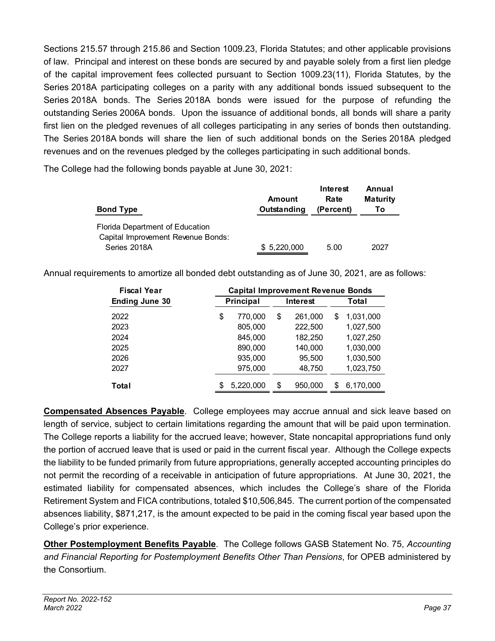Sections 215.57 through 215.86 and Section 1009.23, Florida Statutes; and other applicable provisions of law. Principal and interest on these bonds are secured by and payable solely from a first lien pledge of the capital improvement fees collected pursuant to Section 1009.23(11), Florida Statutes, by the Series 2018A participating colleges on a parity with any additional bonds issued subsequent to the Series 2018A bonds. The Series 2018A bonds were issued for the purpose of refunding the outstanding Series 2006A bonds. Upon the issuance of additional bonds, all bonds will share a parity first lien on the pledged revenues of all colleges participating in any series of bonds then outstanding. The Series 2018A bonds will share the lien of such additional bonds on the Series 2018A pledged revenues and on the revenues pledged by the colleges participating in such additional bonds.

The College had the following bonds payable at June 30, 2021:

| <b>Bond Type</b>                                                      | Amount<br>Outstanding | Interest<br>Rate<br>(Percent) | Annual<br><b>Maturity</b><br>Т٥ |
|-----------------------------------------------------------------------|-----------------------|-------------------------------|---------------------------------|
| Florida Department of Education<br>Capital Improvement Revenue Bonds: |                       |                               |                                 |
| Series 2018A                                                          | \$5,220,000           | 5.00                          | 2027                            |

Annual requirements to amortize all bonded debt outstanding as of June 30, 2021, are as follows:

| <b>Fiscal Year</b>    | <b>Capital Improvement Revenue Bonds</b> |           |    |         |       |           |
|-----------------------|------------------------------------------|-----------|----|---------|-------|-----------|
| <b>Ending June 30</b> | Principal<br>Interest                    |           |    |         | Total |           |
| 2022                  | \$                                       | 770,000   | \$ | 261,000 | S     | 1,031,000 |
| 2023                  |                                          | 805,000   |    | 222,500 |       | 1,027,500 |
| 2024                  |                                          | 845,000   |    | 182,250 |       | 1,027,250 |
| 2025                  |                                          | 890,000   |    | 140,000 |       | 1,030,000 |
| 2026                  |                                          | 935,000   |    | 95,500  |       | 1,030,500 |
| 2027                  |                                          | 975,000   |    | 48,750  |       | 1,023,750 |
| Total                 | \$                                       | 5,220,000 | \$ | 950,000 | \$.   | 6,170,000 |

**Compensated Absences Payable**. College employees may accrue annual and sick leave based on length of service, subject to certain limitations regarding the amount that will be paid upon termination. The College reports a liability for the accrued leave; however, State noncapital appropriations fund only the portion of accrued leave that is used or paid in the current fiscal year. Although the College expects the liability to be funded primarily from future appropriations, generally accepted accounting principles do not permit the recording of a receivable in anticipation of future appropriations. At June 30, 2021, the estimated liability for compensated absences, which includes the College's share of the Florida Retirement System and FICA contributions, totaled \$10,506,845. The current portion of the compensated absences liability, \$871,217, is the amount expected to be paid in the coming fiscal year based upon the College's prior experience.

**Other Postemployment Benefits Payable**. The College follows GASB Statement No. 75, *Accounting and Financial Reporting for Postemployment Benefits Other Than Pensions*, for OPEB administered by the Consortium.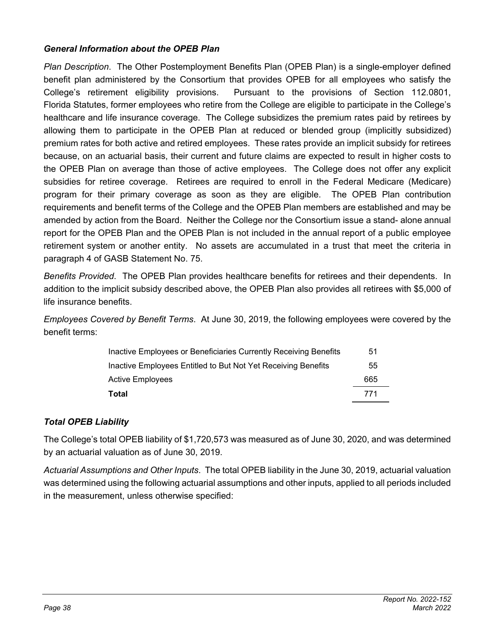## *General Information about the OPEB Plan*

*Plan Description*. The Other Postemployment Benefits Plan (OPEB Plan) is a single-employer defined benefit plan administered by the Consortium that provides OPEB for all employees who satisfy the College's retirement eligibility provisions. Pursuant to the provisions of Section 112.0801, Florida Statutes, former employees who retire from the College are eligible to participate in the College's healthcare and life insurance coverage. The College subsidizes the premium rates paid by retirees by allowing them to participate in the OPEB Plan at reduced or blended group (implicitly subsidized) premium rates for both active and retired employees. These rates provide an implicit subsidy for retirees because, on an actuarial basis, their current and future claims are expected to result in higher costs to the OPEB Plan on average than those of active employees. The College does not offer any explicit subsidies for retiree coverage. Retirees are required to enroll in the Federal Medicare (Medicare) program for their primary coverage as soon as they are eligible. The OPEB Plan contribution requirements and benefit terms of the College and the OPEB Plan members are established and may be amended by action from the Board. Neither the College nor the Consortium issue a stand- alone annual report for the OPEB Plan and the OPEB Plan is not included in the annual report of a public employee retirement system or another entity. No assets are accumulated in a trust that meet the criteria in paragraph 4 of GASB Statement No. 75.

*Benefits Provided*. The OPEB Plan provides healthcare benefits for retirees and their dependents. In addition to the implicit subsidy described above, the OPEB Plan also provides all retirees with \$5,000 of life insurance benefits.

*Employees Covered by Benefit Terms*. At June 30, 2019, the following employees were covered by the benefit terms:

| Inactive Employees or Beneficiaries Currently Receiving Benefits | 51  |  |
|------------------------------------------------------------------|-----|--|
| Inactive Employees Entitled to But Not Yet Receiving Benefits    | 55  |  |
| Active Employees                                                 | 665 |  |
| Total                                                            | 771 |  |

## *Total OPEB Liability*

The College's total OPEB liability of \$1,720,573 was measured as of June 30, 2020, and was determined by an actuarial valuation as of June 30, 2019.

*Actuarial Assumptions and Other Inputs*. The total OPEB liability in the June 30, 2019, actuarial valuation was determined using the following actuarial assumptions and other inputs, applied to all periods included in the measurement, unless otherwise specified: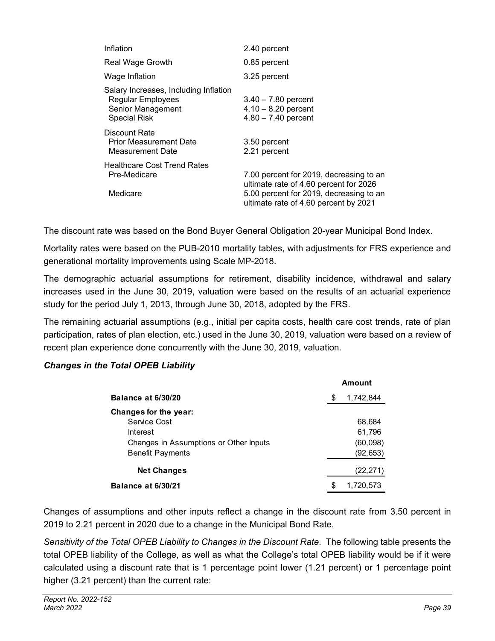| Inflation                                                                                                     | 2.40 percent                                                                                                                                                          |
|---------------------------------------------------------------------------------------------------------------|-----------------------------------------------------------------------------------------------------------------------------------------------------------------------|
| Real Wage Growth                                                                                              | 0.85 percent                                                                                                                                                          |
| Wage Inflation                                                                                                | 3.25 percent                                                                                                                                                          |
| Salary Increases, Including Inflation<br><b>Regular Employees</b><br>Senior Management<br><b>Special Risk</b> | $3.40 - 7.80$ percent<br>$4.10 - 8.20$ percent<br>$4.80 - 7.40$ percent                                                                                               |
| Discount Rate<br><b>Prior Measurement Date</b><br><b>Measurement Date</b>                                     | 3.50 percent<br>2.21 percent                                                                                                                                          |
| <b>Healthcare Cost Trend Rates</b><br>Pre-Medicare<br>Medicare                                                | 7.00 percent for 2019, decreasing to an<br>ultimate rate of 4.60 percent for 2026<br>5.00 percent for 2019, decreasing to an<br>ultimate rate of 4.60 percent by 2021 |
|                                                                                                               |                                                                                                                                                                       |

The discount rate was based on the Bond Buyer General Obligation 20-year Municipal Bond Index.

Mortality rates were based on the PUB-2010 mortality tables, with adjustments for FRS experience and generational mortality improvements using Scale MP-2018.

The demographic actuarial assumptions for retirement, disability incidence, withdrawal and salary increases used in the June 30, 2019, valuation were based on the results of an actuarial experience study for the period July 1, 2013, through June 30, 2018, adopted by the FRS.

The remaining actuarial assumptions (e.g., initial per capita costs, health care cost trends, rate of plan participation, rates of plan election, etc.) used in the June 30, 2019, valuation were based on a review of recent plan experience done concurrently with the June 30, 2019, valuation.

## *Changes in the Total OPEB Liability*

|                                        |    | Amount    |
|----------------------------------------|----|-----------|
| Balance at 6/30/20                     | \$ | 1,742,844 |
| Changes for the year:                  |    |           |
| Service Cost                           |    | 68,684    |
| Interest                               |    | 61,796    |
| Changes in Assumptions or Other Inputs |    | (60,098)  |
| <b>Benefit Payments</b>                |    | (92, 653) |
| <b>Net Changes</b>                     |    | (22,271)  |
| Balance at 6/30/21                     | S  | 1,720,573 |

Changes of assumptions and other inputs reflect a change in the discount rate from 3.50 percent in 2019 to 2.21 percent in 2020 due to a change in the Municipal Bond Rate.

*Sensitivity of the Total OPEB Liability to Changes in the Discount Rate*. The following table presents the total OPEB liability of the College, as well as what the College's total OPEB liability would be if it were calculated using a discount rate that is 1 percentage point lower (1.21 percent) or 1 percentage point higher (3.21 percent) than the current rate: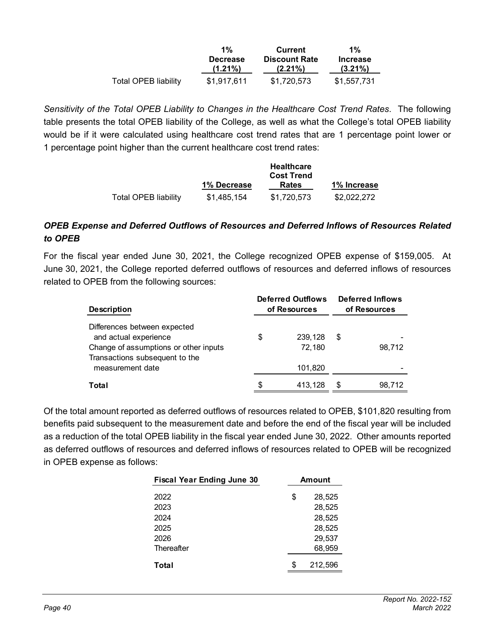|                      | 1%                            | Current                            | $1\%$                         |
|----------------------|-------------------------------|------------------------------------|-------------------------------|
|                      | <b>Decrease</b><br>$(1.21\%)$ | <b>Discount Rate</b><br>$(2.21\%)$ | <b>Increase</b><br>$(3.21\%)$ |
| Total OPEB liability | \$1.917.611                   | \$1.720.573                        | \$1.557.731                   |

*Sensitivity of the Total OPEB Liability to Changes in the Healthcare Cost Trend Rates*. The following table presents the total OPEB liability of the College, as well as what the College's total OPEB liability would be if it were calculated using healthcare cost trend rates that are 1 percentage point lower or 1 percentage point higher than the current healthcare cost trend rates:

|                             |             | <b>Healthcare</b><br><b>Cost Trend</b> |             |
|-----------------------------|-------------|----------------------------------------|-------------|
|                             | 1% Decrease | Rates                                  | 1% Increase |
| <b>Total OPEB liability</b> | \$1.485.154 | \$1.720.573                            | \$2,022,272 |

## *OPEB Expense and Deferred Outflows of Resources and Deferred Inflows of Resources Related to OPEB*

For the fiscal year ended June 30, 2021, the College recognized OPEB expense of \$159,005. At June 30, 2021, the College reported deferred outflows of resources and deferred inflows of resources related to OPEB from the following sources:

| <b>Description</b>                                                                                                               | <b>Deferred Outflows</b><br>of Resources | Deferred Inflows<br>of Resources |
|----------------------------------------------------------------------------------------------------------------------------------|------------------------------------------|----------------------------------|
| Differences between expected<br>and actual experience<br>Change of assumptions or other inputs<br>Transactions subsequent to the | \$<br>239,128<br>72,180                  | \$<br>98,712                     |
| measurement date                                                                                                                 | 101,820                                  |                                  |
| Total                                                                                                                            | \$<br>413,128                            | \$<br>98.712                     |

Of the total amount reported as deferred outflows of resources related to OPEB, \$101,820 resulting from benefits paid subsequent to the measurement date and before the end of the fiscal year will be included as a reduction of the total OPEB liability in the fiscal year ended June 30, 2022. Other amounts reported as deferred outflows of resources and deferred inflows of resources related to OPEB will be recognized in OPEB expense as follows:

| <b>Fiscal Year Ending June 30</b> | Amount |         |  |
|-----------------------------------|--------|---------|--|
| 2022                              | \$     | 28,525  |  |
| 2023                              |        | 28,525  |  |
| 2024                              | 28,525 |         |  |
| 2025                              | 28.525 |         |  |
| 2026                              |        | 29,537  |  |
| Thereafter                        | 68,959 |         |  |
| Total                             | S.     | 212,596 |  |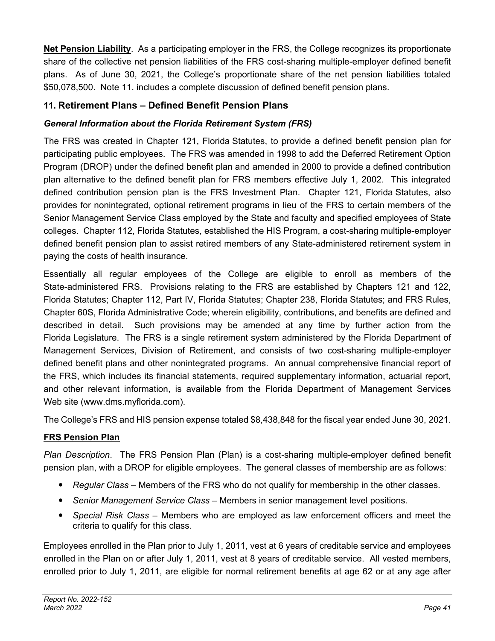**Net Pension Liability**. As a participating employer in the FRS, the College recognizes its proportionate share of the collective net pension liabilities of the FRS cost-sharing multiple-employer defined benefit plans. As of June 30, 2021, the College's proportionate share of the net pension liabilities totaled \$50,078,500. Note 11. includes a complete discussion of defined benefit pension plans.

## **11. Retirement Plans – Defined Benefit Pension Plans**

## *General Information about the Florida Retirement System (FRS)*

The FRS was created in Chapter 121, Florida Statutes, to provide a defined benefit pension plan for participating public employees. The FRS was amended in 1998 to add the Deferred Retirement Option Program (DROP) under the defined benefit plan and amended in 2000 to provide a defined contribution plan alternative to the defined benefit plan for FRS members effective July 1, 2002. This integrated defined contribution pension plan is the FRS Investment Plan. Chapter 121, Florida Statutes, also provides for nonintegrated, optional retirement programs in lieu of the FRS to certain members of the Senior Management Service Class employed by the State and faculty and specified employees of State colleges. Chapter 112, Florida Statutes, established the HIS Program, a cost-sharing multiple-employer defined benefit pension plan to assist retired members of any State-administered retirement system in paying the costs of health insurance.

Essentially all regular employees of the College are eligible to enroll as members of the State-administered FRS. Provisions relating to the FRS are established by Chapters 121 and 122, Florida Statutes; Chapter 112, Part IV, Florida Statutes; Chapter 238, Florida Statutes; and FRS Rules, Chapter 60S, Florida Administrative Code; wherein eligibility, contributions, and benefits are defined and described in detail. Such provisions may be amended at any time by further action from the Florida Legislature. The FRS is a single retirement system administered by the Florida Department of Management Services, Division of Retirement, and consists of two cost-sharing multiple-employer defined benefit plans and other nonintegrated programs. An annual comprehensive financial report of the FRS, which includes its financial statements, required supplementary information, actuarial report, and other relevant information, is available from the Florida Department of Management Services Web site (www.dms.myflorida.com).

The College's FRS and HIS pension expense totaled \$8,438,848 for the fiscal year ended June 30, 2021.

## **FRS Pension Plan**

*Plan Description*. The FRS Pension Plan (Plan) is a cost-sharing multiple-employer defined benefit pension plan, with a DROP for eligible employees. The general classes of membership are as follows:

- *Regular Class* Members of the FRS who do not qualify for membership in the other classes.
- *Senior Management Service Class* Members in senior management level positions.
- *Special Risk Class* Members who are employed as law enforcement officers and meet the criteria to qualify for this class.

Employees enrolled in the Plan prior to July 1, 2011, vest at 6 years of creditable service and employees enrolled in the Plan on or after July 1, 2011, vest at 8 years of creditable service. All vested members, enrolled prior to July 1, 2011, are eligible for normal retirement benefits at age 62 or at any age after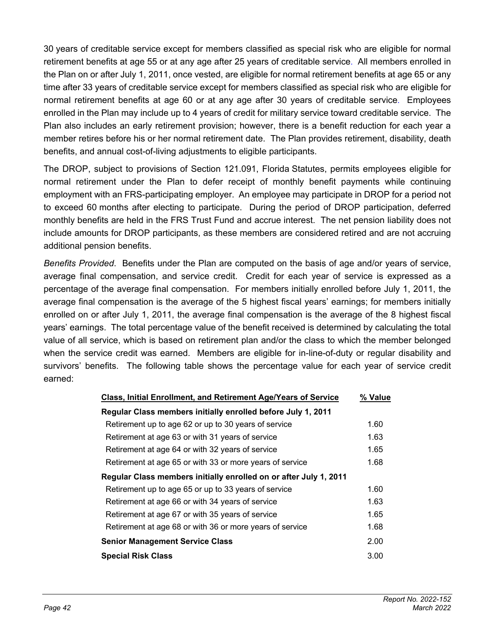30 years of creditable service except for members classified as special risk who are eligible for normal retirement benefits at age 55 or at any age after 25 years of creditable service. All members enrolled in the Plan on or after July 1, 2011, once vested, are eligible for normal retirement benefits at age 65 or any time after 33 years of creditable service except for members classified as special risk who are eligible for normal retirement benefits at age 60 or at any age after 30 years of creditable service. Employees enrolled in the Plan may include up to 4 years of credit for military service toward creditable service. The Plan also includes an early retirement provision; however, there is a benefit reduction for each year a member retires before his or her normal retirement date. The Plan provides retirement, disability, death benefits, and annual cost-of-living adjustments to eligible participants.

The DROP, subject to provisions of Section 121.091, Florida Statutes, permits employees eligible for normal retirement under the Plan to defer receipt of monthly benefit payments while continuing employment with an FRS-participating employer. An employee may participate in DROP for a period not to exceed 60 months after electing to participate. During the period of DROP participation, deferred monthly benefits are held in the FRS Trust Fund and accrue interest. The net pension liability does not include amounts for DROP participants, as these members are considered retired and are not accruing additional pension benefits.

*Benefits Provided*. Benefits under the Plan are computed on the basis of age and/or years of service, average final compensation, and service credit. Credit for each year of service is expressed as a percentage of the average final compensation. For members initially enrolled before July 1, 2011, the average final compensation is the average of the 5 highest fiscal years' earnings; for members initially enrolled on or after July 1, 2011, the average final compensation is the average of the 8 highest fiscal years' earnings. The total percentage value of the benefit received is determined by calculating the total value of all service, which is based on retirement plan and/or the class to which the member belonged when the service credit was earned. Members are eligible for in-line-of-duty or regular disability and survivors' benefits. The following table shows the percentage value for each year of service credit earned:

| Class, Initial Enrollment, and Retirement Age/Years of Service    | % Value |
|-------------------------------------------------------------------|---------|
| Regular Class members initially enrolled before July 1, 2011      |         |
| Retirement up to age 62 or up to 30 years of service              | 1.60    |
| Retirement at age 63 or with 31 years of service                  | 1.63    |
| Retirement at age 64 or with 32 years of service                  | 1.65    |
| Retirement at age 65 or with 33 or more years of service          | 1.68    |
| Regular Class members initially enrolled on or after July 1, 2011 |         |
| Retirement up to age 65 or up to 33 years of service              | 1.60    |
| Retirement at age 66 or with 34 years of service                  | 1.63    |
| Retirement at age 67 or with 35 years of service                  | 1.65    |
| Retirement at age 68 or with 36 or more years of service          | 1.68    |
| <b>Senior Management Service Class</b>                            | 2.00    |
| <b>Special Risk Class</b>                                         | 3.00    |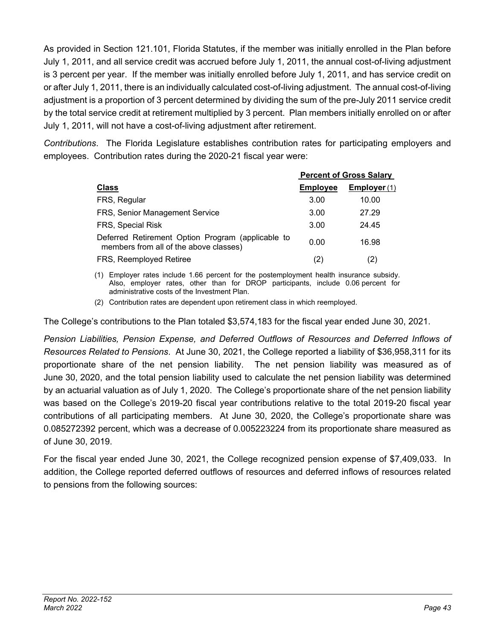As provided in Section 121.101, Florida Statutes, if the member was initially enrolled in the Plan before July 1, 2011, and all service credit was accrued before July 1, 2011, the annual cost-of-living adjustment is 3 percent per year. If the member was initially enrolled before July 1, 2011, and has service credit on or after July 1, 2011, there is an individually calculated cost-of-living adjustment. The annual cost-of-living adjustment is a proportion of 3 percent determined by dividing the sum of the pre-July 2011 service credit by the total service credit at retirement multiplied by 3 percent. Plan members initially enrolled on or after July 1, 2011, will not have a cost-of-living adjustment after retirement.

*Contributions*. The Florida Legislature establishes contribution rates for participating employers and employees. Contribution rates during the 2020-21 fiscal year were:

|                                                                                             |                 | <b>Percent of Gross Salary</b> |
|---------------------------------------------------------------------------------------------|-----------------|--------------------------------|
| <b>Class</b>                                                                                | <b>Employee</b> | Employer(1)                    |
| FRS, Regular                                                                                | 3.00            | 10.00                          |
| <b>FRS, Senior Management Service</b>                                                       | 3.00            | 27.29                          |
| FRS, Special Risk                                                                           | 3.00            | 24.45                          |
| Deferred Retirement Option Program (applicable to<br>members from all of the above classes) | 0.00            | 16.98                          |
| FRS, Reemployed Retiree                                                                     | (2)             | (2)                            |

(1) Employer rates include 1.66 percent for the postemployment health insurance subsidy. Also, employer rates, other than for DROP participants, include 0.06 percent for administrative costs of the Investment Plan.

(2) Contribution rates are dependent upon retirement class in which reemployed.

The College's contributions to the Plan totaled \$3,574,183 for the fiscal year ended June 30, 2021.

*Pension Liabilities, Pension Expense, and Deferred Outflows of Resources and Deferred Inflows of Resources Related to Pensions*. At June 30, 2021, the College reported a liability of \$36,958,311 for its proportionate share of the net pension liability. The net pension liability was measured as of June 30, 2020, and the total pension liability used to calculate the net pension liability was determined by an actuarial valuation as of July 1, 2020. The College's proportionate share of the net pension liability was based on the College's 2019-20 fiscal year contributions relative to the total 2019-20 fiscal year contributions of all participating members. At June 30, 2020, the College's proportionate share was 0.085272392 percent, which was a decrease of 0.005223224 from its proportionate share measured as of June 30, 2019.

For the fiscal year ended June 30, 2021, the College recognized pension expense of \$7,409,033. In addition, the College reported deferred outflows of resources and deferred inflows of resources related to pensions from the following sources: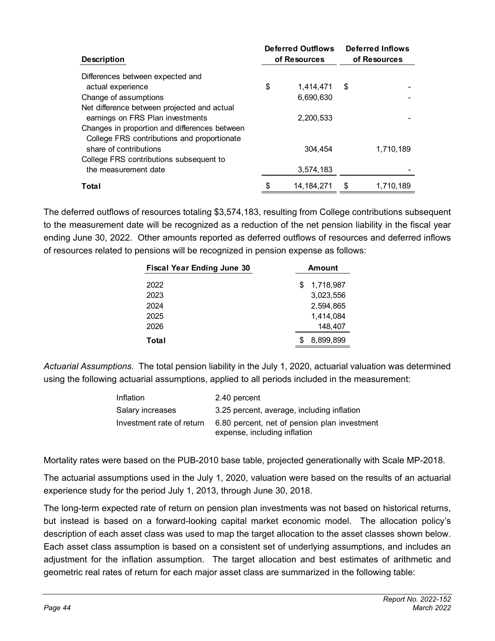| <b>Description</b>                            | <b>Deferred Outflows</b><br>of Resources |              | Deferred Inflows<br>of Resources |           |
|-----------------------------------------------|------------------------------------------|--------------|----------------------------------|-----------|
| Differences between expected and              |                                          |              |                                  |           |
| actual experience                             | \$                                       | 1,414,471    | S                                |           |
| Change of assumptions                         |                                          | 6,690,630    |                                  |           |
| Net difference between projected and actual   |                                          |              |                                  |           |
| earnings on FRS Plan investments              |                                          | 2,200,533    |                                  |           |
| Changes in proportion and differences between |                                          |              |                                  |           |
| College FRS contributions and proportionate   |                                          |              |                                  |           |
| share of contributions                        |                                          | 304.454      |                                  | 1,710,189 |
| College FRS contributions subsequent to       |                                          |              |                                  |           |
| the measurement date                          |                                          | 3,574,183    |                                  |           |
| Total                                         | \$                                       | 14, 184, 271 | \$                               | 1,710,189 |

The deferred outflows of resources totaling \$3,574,183, resulting from College contributions subsequent to the measurement date will be recognized as a reduction of the net pension liability in the fiscal year ending June 30, 2022. Other amounts reported as deferred outflows of resources and deferred inflows of resources related to pensions will be recognized in pension expense as follows:

| <b>Fiscal Year Ending June 30</b> | Amount         |
|-----------------------------------|----------------|
| 2022                              | 1,718,987<br>S |
| 2023                              | 3,023,556      |
| 2024                              | 2,594,865      |
| 2025                              | 1,414,084      |
| 2026                              | 148,407        |
| Total                             | 8,899,899      |

*Actuarial Assumptions*. The total pension liability in the July 1, 2020, actuarial valuation was determined using the following actuarial assumptions, applied to all periods included in the measurement:

| Inflation                 | 2.40 percent                                                                 |
|---------------------------|------------------------------------------------------------------------------|
| Salary increases          | 3.25 percent, average, including inflation                                   |
| Investment rate of return | 6.80 percent, net of pension plan investment<br>expense, including inflation |

Mortality rates were based on the PUB-2010 base table, projected generationally with Scale MP-2018.

The actuarial assumptions used in the July 1, 2020, valuation were based on the results of an actuarial experience study for the period July 1, 2013, through June 30, 2018.

The long-term expected rate of return on pension plan investments was not based on historical returns, but instead is based on a forward-looking capital market economic model. The allocation policy's description of each asset class was used to map the target allocation to the asset classes shown below. Each asset class assumption is based on a consistent set of underlying assumptions, and includes an adjustment for the inflation assumption. The target allocation and best estimates of arithmetic and geometric real rates of return for each major asset class are summarized in the following table: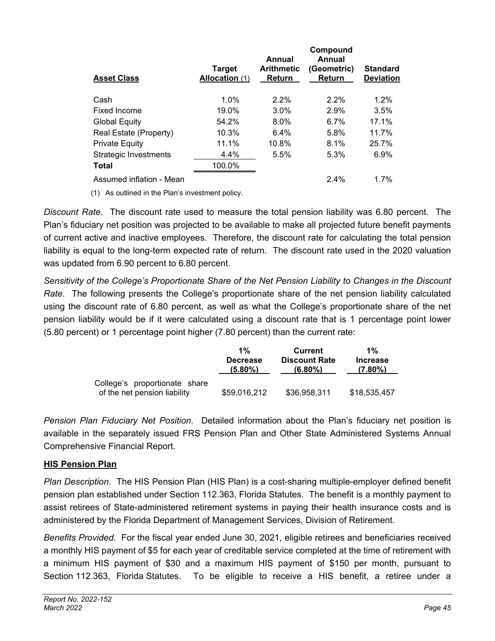| Asset Class              | <b>Target</b><br>Allocation (1) | Annual<br><b>Arithmetic</b><br>Return | Compound<br>Annual<br>(Geometric)<br>Return | <b>Standard</b><br><b>Deviation</b> |
|--------------------------|---------------------------------|---------------------------------------|---------------------------------------------|-------------------------------------|
| Cash                     | 1.0%                            | 2.2%                                  | 2.2%                                        | $1.2\%$                             |
| Fixed Income             | 19.0%                           | 3.0%                                  | 2.9%                                        | 3.5%                                |
| <b>Global Equity</b>     | 54.2%                           | 8.0%                                  | 6.7%                                        | 17.1%                               |
| Real Estate (Property)   | 10.3%                           | 6.4%                                  | 5.8%                                        | 11.7%                               |
| <b>Private Equity</b>    | 11.1%                           | 10.8%                                 | 8.1%                                        | 25.7%                               |
| Strategic Investments    | 4.4%                            | 5.5%                                  | 5.3%                                        | 6.9%                                |
| Total                    | 100.0%                          |                                       |                                             |                                     |
| Assumed inflation - Mean |                                 |                                       | 2.4%                                        | 1.7%                                |
|                          |                                 |                                       |                                             |                                     |

(1) As outlined in the Plan's investment policy.

*Discount Rate*. The discount rate used to measure the total pension liability was 6.80 percent. The Plan's fiduciary net position was projected to be available to make all projected future benefit payments of current active and inactive employees. Therefore, the discount rate for calculating the total pension liability is equal to the long-term expected rate of return. The discount rate used in the 2020 valuation was updated from 6.90 percent to 6.80 percent.

*Sensitivity of the College's Proportionate Share of the Net Pension Liability to Changes in the Discount Rate*. The following presents the College's proportionate share of the net pension liability calculated using the discount rate of 6.80 percent, as well as what the College's proportionate share of the net pension liability would be if it were calculated using a discount rate that is 1 percentage point lower (5.80 percent) or 1 percentage point higher (7.80 percent) than the current rate:

|                               | 1%                            | <b>Current</b>                     | $1\%$                         |
|-------------------------------|-------------------------------|------------------------------------|-------------------------------|
|                               | <b>Decrease</b><br>$(5.80\%)$ | <b>Discount Rate</b><br>$(6.80\%)$ | <b>Increase</b><br>$(7.80\%)$ |
| College's proportionate share |                               |                                    |                               |
| of the net pension liability  | \$59,016,212                  | \$36,958,311                       | \$18,535,457                  |

*Pension Plan Fiduciary Net Position*. Detailed information about the Plan's fiduciary net position is available in the separately issued FRS Pension Plan and Other State Administered Systems Annual Comprehensive Financial Report.

## **HIS Pension Plan**

*Plan Description*. The HIS Pension Plan (HIS Plan) is a cost-sharing multiple-employer defined benefit pension plan established under Section 112.363, Florida Statutes. The benefit is a monthly payment to assist retirees of State-administered retirement systems in paying their health insurance costs and is administered by the Florida Department of Management Services, Division of Retirement.

*Benefits Provided*. For the fiscal year ended June 30, 2021, eligible retirees and beneficiaries received a monthly HIS payment of \$5 for each year of creditable service completed at the time of retirement with a minimum HIS payment of \$30 and a maximum HIS payment of \$150 per month, pursuant to Section 112.363, Florida Statutes. To be eligible to receive a HIS benefit, a retiree under a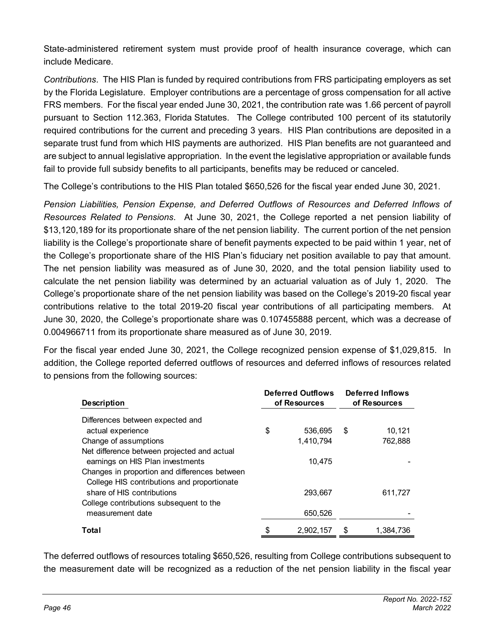State-administered retirement system must provide proof of health insurance coverage, which can include Medicare.

*Contributions*. The HIS Plan is funded by required contributions from FRS participating employers as set by the Florida Legislature. Employer contributions are a percentage of gross compensation for all active FRS members. For the fiscal year ended June 30, 2021, the contribution rate was 1.66 percent of payroll pursuant to Section 112.363, Florida Statutes. The College contributed 100 percent of its statutorily required contributions for the current and preceding 3 years. HIS Plan contributions are deposited in a separate trust fund from which HIS payments are authorized. HIS Plan benefits are not guaranteed and are subject to annual legislative appropriation. In the event the legislative appropriation or available funds fail to provide full subsidy benefits to all participants, benefits may be reduced or canceled.

The College's contributions to the HIS Plan totaled \$650,526 for the fiscal year ended June 30, 2021.

*Pension Liabilities, Pension Expense, and Deferred Outflows of Resources and Deferred Inflows of Resources Related to Pensions*. At June 30, 2021, the College reported a net pension liability of \$13,120,189 for its proportionate share of the net pension liability. The current portion of the net pension liability is the College's proportionate share of benefit payments expected to be paid within 1 year, net of the College's proportionate share of the HIS Plan's fiduciary net position available to pay that amount. The net pension liability was measured as of June 30, 2020, and the total pension liability used to calculate the net pension liability was determined by an actuarial valuation as of July 1, 2020. The College's proportionate share of the net pension liability was based on the College's 2019-20 fiscal year contributions relative to the total 2019-20 fiscal year contributions of all participating members. At June 30, 2020, the College's proportionate share was 0.107455888 percent, which was a decrease of 0.004966711 from its proportionate share measured as of June 30, 2019.

For the fiscal year ended June 30, 2021, the College recognized pension expense of \$1,029,815. In addition, the College reported deferred outflows of resources and deferred inflows of resources related to pensions from the following sources:

| <b>Description</b>                            | <b>Deferred Outflows</b><br>of Resources |           | <b>Deferred Inflows</b><br>of Resources |           |
|-----------------------------------------------|------------------------------------------|-----------|-----------------------------------------|-----------|
| Differences between expected and              |                                          |           |                                         |           |
| actual experience                             | \$                                       | 536,695   | S                                       | 10.121    |
| Change of assumptions                         |                                          | 1,410,794 |                                         | 762,888   |
| Net difference between projected and actual   |                                          |           |                                         |           |
| earnings on HIS Plan investments              |                                          | 10.475    |                                         |           |
| Changes in proportion and differences between |                                          |           |                                         |           |
| College HIS contributions and proportionate   |                                          |           |                                         |           |
| share of HIS contributions                    |                                          | 293.667   |                                         | 611,727   |
| College contributions subsequent to the       |                                          |           |                                         |           |
| measurement date                              |                                          | 650,526   |                                         |           |
| Total                                         | \$                                       | 2,902,157 | \$                                      | 1,384,736 |

The deferred outflows of resources totaling \$650,526, resulting from College contributions subsequent to the measurement date will be recognized as a reduction of the net pension liability in the fiscal year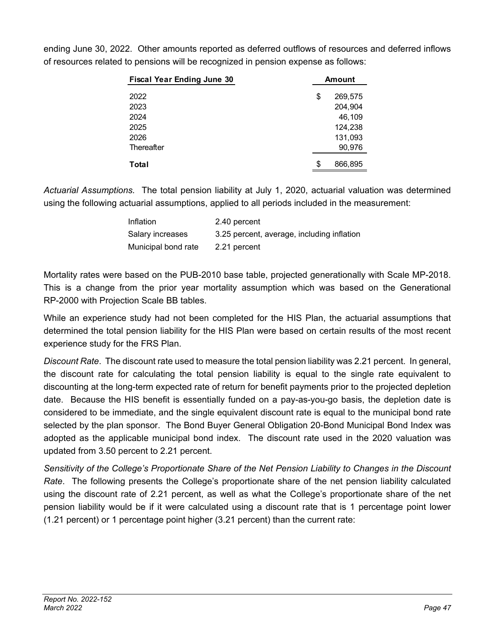| <b>Fiscal Year Ending June 30</b> | <b>Amount</b> |         |
|-----------------------------------|---------------|---------|
| 2022                              | \$            | 269,575 |
| 2023                              |               | 204,904 |
| 2024                              |               | 46,109  |
| 2025                              |               | 124,238 |
| 2026                              |               | 131,093 |
| Thereafter                        |               | 90,976  |
| Total                             | \$            | 866,895 |

ending June 30, 2022. Other amounts reported as deferred outflows of resources and deferred inflows of resources related to pensions will be recognized in pension expense as follows:

*Actuarial Assumptions.* The total pension liability at July 1, 2020, actuarial valuation was determined using the following actuarial assumptions, applied to all periods included in the measurement:

| Inflation           | 2.40 percent                               |
|---------------------|--------------------------------------------|
| Salary increases    | 3.25 percent, average, including inflation |
| Municipal bond rate | 2.21 percent                               |

Mortality rates were based on the PUB-2010 base table, projected generationally with Scale MP-2018. This is a change from the prior year mortality assumption which was based on the Generational RP-2000 with Projection Scale BB tables.

While an experience study had not been completed for the HIS Plan, the actuarial assumptions that determined the total pension liability for the HIS Plan were based on certain results of the most recent experience study for the FRS Plan.

*Discount Rate*. The discount rate used to measure the total pension liability was 2.21 percent. In general, the discount rate for calculating the total pension liability is equal to the single rate equivalent to discounting at the long-term expected rate of return for benefit payments prior to the projected depletion date. Because the HIS benefit is essentially funded on a pay-as-you-go basis, the depletion date is considered to be immediate, and the single equivalent discount rate is equal to the municipal bond rate selected by the plan sponsor. The Bond Buyer General Obligation 20-Bond Municipal Bond Index was adopted as the applicable municipal bond index. The discount rate used in the 2020 valuation was updated from 3.50 percent to 2.21 percent.

*Sensitivity of the College's Proportionate Share of the Net Pension Liability to Changes in the Discount Rate*. The following presents the College's proportionate share of the net pension liability calculated using the discount rate of 2.21 percent, as well as what the College's proportionate share of the net pension liability would be if it were calculated using a discount rate that is 1 percentage point lower (1.21 percent) or 1 percentage point higher (3.21 percent) than the current rate: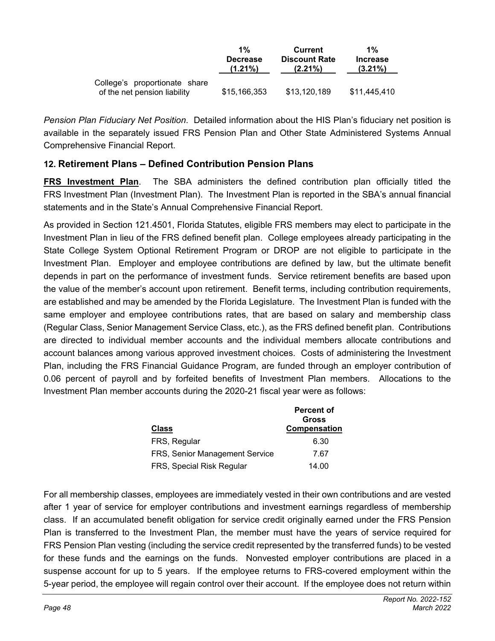|                                                               | 1%                            | <b>Current</b>                     | 1%                            |
|---------------------------------------------------------------|-------------------------------|------------------------------------|-------------------------------|
|                                                               | <b>Decrease</b><br>$(1.21\%)$ | <b>Discount Rate</b><br>$(2.21\%)$ | <b>Increase</b><br>$(3.21\%)$ |
| College's proportionate share<br>of the net pension liability | \$15,166,353                  | \$13,120,189                       | \$11,445,410                  |

*Pension Plan Fiduciary Net Position*. Detailed information about the HIS Plan's fiduciary net position is available in the separately issued FRS Pension Plan and Other State Administered Systems Annual Comprehensive Financial Report.

## **12. Retirement Plans – Defined Contribution Pension Plans**

**FRS Investment Plan**. The SBA administers the defined contribution plan officially titled the FRS Investment Plan (Investment Plan). The Investment Plan is reported in the SBA's annual financial statements and in the State's Annual Comprehensive Financial Report.

As provided in Section 121.4501, Florida Statutes, eligible FRS members may elect to participate in the Investment Plan in lieu of the FRS defined benefit plan. College employees already participating in the State College System Optional Retirement Program or DROP are not eligible to participate in the Investment Plan. Employer and employee contributions are defined by law, but the ultimate benefit depends in part on the performance of investment funds. Service retirement benefits are based upon the value of the member's account upon retirement. Benefit terms, including contribution requirements, are established and may be amended by the Florida Legislature. The Investment Plan is funded with the same employer and employee contributions rates, that are based on salary and membership class (Regular Class, Senior Management Service Class, etc.), as the FRS defined benefit plan. Contributions are directed to individual member accounts and the individual members allocate contributions and account balances among various approved investment choices. Costs of administering the Investment Plan, including the FRS Financial Guidance Program, are funded through an employer contribution of 0.06 percent of payroll and by forfeited benefits of Investment Plan members. Allocations to the Investment Plan member accounts during the 2020-21 fiscal year were as follows:

|                                | <b>Percent of</b><br>Gross |
|--------------------------------|----------------------------|
| Class                          | Compensation               |
| FRS, Regular                   | 6.30                       |
| FRS, Senior Management Service | 7.67                       |
| FRS, Special Risk Regular      | 14.00                      |

For all membership classes, employees are immediately vested in their own contributions and are vested after 1 year of service for employer contributions and investment earnings regardless of membership class. If an accumulated benefit obligation for service credit originally earned under the FRS Pension Plan is transferred to the Investment Plan, the member must have the years of service required for FRS Pension Plan vesting (including the service credit represented by the transferred funds) to be vested for these funds and the earnings on the funds. Nonvested employer contributions are placed in a suspense account for up to 5 years. If the employee returns to FRS-covered employment within the 5-year period, the employee will regain control over their account. If the employee does not return within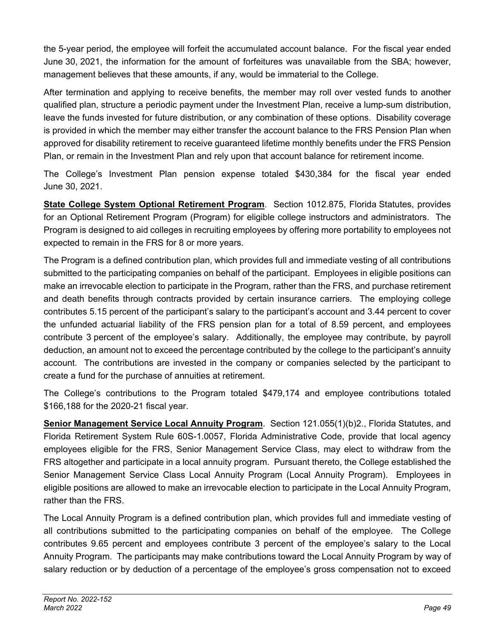the 5-year period, the employee will forfeit the accumulated account balance. For the fiscal year ended June 30, 2021, the information for the amount of forfeitures was unavailable from the SBA; however, management believes that these amounts, if any, would be immaterial to the College.

After termination and applying to receive benefits, the member may roll over vested funds to another qualified plan, structure a periodic payment under the Investment Plan, receive a lump-sum distribution, leave the funds invested for future distribution, or any combination of these options. Disability coverage is provided in which the member may either transfer the account balance to the FRS Pension Plan when approved for disability retirement to receive guaranteed lifetime monthly benefits under the FRS Pension Plan, or remain in the Investment Plan and rely upon that account balance for retirement income.

The College's Investment Plan pension expense totaled \$430,384 for the fiscal year ended June 30, 2021.

**State College System Optional Retirement Program**. Section 1012.875, Florida Statutes, provides for an Optional Retirement Program (Program) for eligible college instructors and administrators. The Program is designed to aid colleges in recruiting employees by offering more portability to employees not expected to remain in the FRS for 8 or more years.

The Program is a defined contribution plan, which provides full and immediate vesting of all contributions submitted to the participating companies on behalf of the participant. Employees in eligible positions can make an irrevocable election to participate in the Program, rather than the FRS, and purchase retirement and death benefits through contracts provided by certain insurance carriers. The employing college contributes 5.15 percent of the participant's salary to the participant's account and 3.44 percent to cover the unfunded actuarial liability of the FRS pension plan for a total of 8.59 percent, and employees contribute 3 percent of the employee's salary. Additionally, the employee may contribute, by payroll deduction, an amount not to exceed the percentage contributed by the college to the participant's annuity account. The contributions are invested in the company or companies selected by the participant to create a fund for the purchase of annuities at retirement.

The College's contributions to the Program totaled \$479,174 and employee contributions totaled \$166,188 for the 2020-21 fiscal year.

**Senior Management Service Local Annuity Program**. Section 121.055(1)(b)2., Florida Statutes, and Florida Retirement System Rule 60S-1.0057, Florida Administrative Code, provide that local agency employees eligible for the FRS, Senior Management Service Class, may elect to withdraw from the FRS altogether and participate in a local annuity program. Pursuant thereto, the College established the Senior Management Service Class Local Annuity Program (Local Annuity Program). Employees in eligible positions are allowed to make an irrevocable election to participate in the Local Annuity Program, rather than the FRS.

The Local Annuity Program is a defined contribution plan, which provides full and immediate vesting of all contributions submitted to the participating companies on behalf of the employee. The College contributes 9.65 percent and employees contribute 3 percent of the employee's salary to the Local Annuity Program. The participants may make contributions toward the Local Annuity Program by way of salary reduction or by deduction of a percentage of the employee's gross compensation not to exceed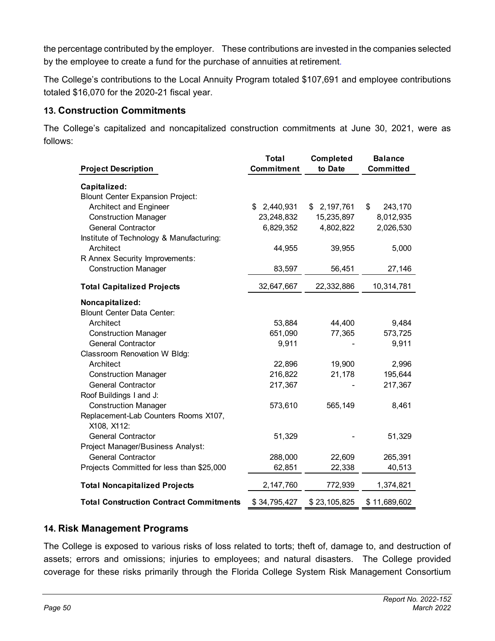the percentage contributed by the employer. These contributions are invested in the companies selected by the employee to create a fund for the purchase of annuities at retirement.

The College's contributions to the Local Annuity Program totaled \$107,691 and employee contributions totaled \$16,070 for the 2020-21 fiscal year.

## **13. Construction Commitments**

The College's capitalized and noncapitalized construction commitments at June 30, 2021, were as follows:

|                                                         | <b>Total</b> | <b>Completed</b> | <b>Balance</b> |
|---------------------------------------------------------|--------------|------------------|----------------|
| <b>Project Description</b>                              | Commitment   | to Date          | Committed      |
|                                                         |              |                  |                |
| Capitalized:<br><b>Blount Center Expansion Project:</b> |              |                  |                |
| <b>Architect and Engineer</b>                           | \$2,440,931  | \$2,197,761      | \$<br>243,170  |
|                                                         |              |                  |                |
| <b>Construction Manager</b>                             | 23,248,832   | 15,235,897       | 8,012,935      |
| <b>General Contractor</b>                               | 6,829,352    | 4,802,822        | 2,026,530      |
| Institute of Technology & Manufacturing:                |              |                  |                |
| Architect                                               | 44,955       | 39,955           | 5,000          |
| R Annex Security Improvements:                          |              |                  |                |
| <b>Construction Manager</b>                             | 83,597       | 56,451           | 27,146         |
| <b>Total Capitalized Projects</b>                       | 32,647,667   | 22,332,886       | 10,314,781     |
| Noncapitalized:                                         |              |                  |                |
| <b>Blount Center Data Center:</b>                       |              |                  |                |
| Architect                                               | 53,884       | 44,400           | 9,484          |
| <b>Construction Manager</b>                             | 651,090      | 77,365           | 573,725        |
| <b>General Contractor</b>                               | 9,911        |                  | 9,911          |
| Classroom Renovation W Bldg:                            |              |                  |                |
| Architect                                               | 22,896       | 19,900           | 2,996          |
| <b>Construction Manager</b>                             | 216,822      | 21,178           | 195,644        |
| <b>General Contractor</b>                               | 217,367      |                  | 217,367        |
| Roof Buildings I and J:                                 |              |                  |                |
| <b>Construction Manager</b>                             | 573,610      | 565,149          | 8,461          |
| Replacement-Lab Counters Rooms X107,                    |              |                  |                |
| X108, X112:                                             |              |                  |                |
| <b>General Contractor</b>                               | 51,329       |                  |                |
|                                                         |              |                  | 51,329         |
| Project Manager/Business Analyst:                       |              |                  |                |
| <b>General Contractor</b>                               | 288,000      | 22,609           | 265,391        |
| Projects Committed for less than \$25,000               | 62,851       | 22,338           | 40,513         |
| <b>Total Noncapitalized Projects</b>                    | 2,147,760    | 772,939          | 1,374,821      |
| <b>Total Construction Contract Commitments</b>          | \$34,795,427 | \$23,105,825     | \$11,689,602   |

## **14. Risk Management Programs**

The College is exposed to various risks of loss related to torts; theft of, damage to, and destruction of assets; errors and omissions; injuries to employees; and natural disasters. The College provided coverage for these risks primarily through the Florida College System Risk Management Consortium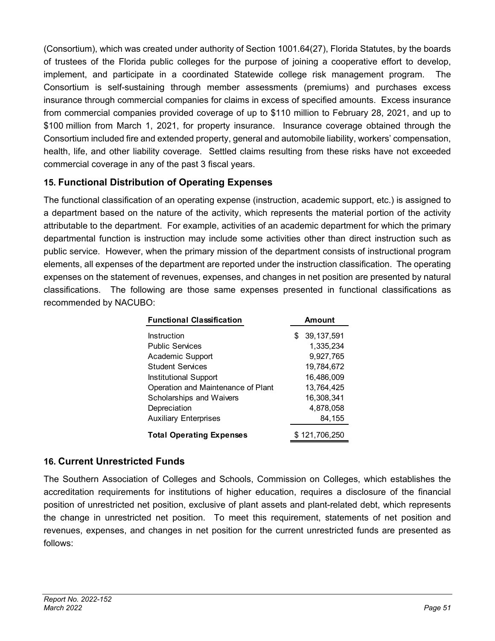(Consortium), which was created under authority of Section 1001.64(27), Florida Statutes, by the boards of trustees of the Florida public colleges for the purpose of joining a cooperative effort to develop, implement, and participate in a coordinated Statewide college risk management program. The Consortium is self-sustaining through member assessments (premiums) and purchases excess insurance through commercial companies for claims in excess of specified amounts. Excess insurance from commercial companies provided coverage of up to \$110 million to February 28, 2021, and up to \$100 million from March 1, 2021, for property insurance. Insurance coverage obtained through the Consortium included fire and extended property, general and automobile liability, workers' compensation, health, life, and other liability coverage. Settled claims resulting from these risks have not exceeded commercial coverage in any of the past 3 fiscal years.

## **15. Functional Distribution of Operating Expenses**

The functional classification of an operating expense (instruction, academic support, etc.) is assigned to a department based on the nature of the activity, which represents the material portion of the activity attributable to the department. For example, activities of an academic department for which the primary departmental function is instruction may include some activities other than direct instruction such as public service. However, when the primary mission of the department consists of instructional program elements, all expenses of the department are reported under the instruction classification. The operating expenses on the statement of revenues, expenses, and changes in net position are presented by natural classifications. The following are those same expenses presented in functional classifications as recommended by NACUBO:

| <b>Functional Classification</b>   | Amount |               |  |  |  |
|------------------------------------|--------|---------------|--|--|--|
| Instruction                        | S      | 39, 137, 591  |  |  |  |
| <b>Public Services</b>             |        | 1,335,234     |  |  |  |
| Academic Support                   |        | 9,927,765     |  |  |  |
| <b>Student Services</b>            |        | 19,784,672    |  |  |  |
| <b>Institutional Support</b>       |        | 16,486,009    |  |  |  |
| Operation and Maintenance of Plant |        | 13,764,425    |  |  |  |
| Scholarships and Waivers           |        | 16,308,341    |  |  |  |
| Depreciation                       |        | 4,878,058     |  |  |  |
| <b>Auxiliary Enterprises</b>       |        | 84,155        |  |  |  |
| <b>Total Operating Expenses</b>    |        | \$121,706,250 |  |  |  |

## **16. Current Unrestricted Funds**

The Southern Association of Colleges and Schools, Commission on Colleges, which establishes the accreditation requirements for institutions of higher education, requires a disclosure of the financial position of unrestricted net position, exclusive of plant assets and plant-related debt, which represents the change in unrestricted net position. To meet this requirement, statements of net position and revenues, expenses, and changes in net position for the current unrestricted funds are presented as follows: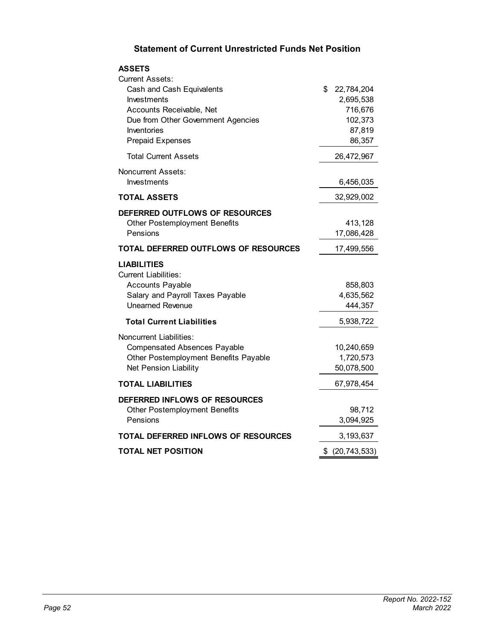| <b>ASSETS</b>                                                      |                               |
|--------------------------------------------------------------------|-------------------------------|
| Current Assets:<br>Cash and Cash Equivalents<br><b>Investments</b> | \$<br>22,784,204<br>2,695,538 |
| Accounts Receivable, Net                                           | 716,676                       |
| Due from Other Government Agencies                                 | 102,373                       |
| Inventories                                                        | 87,819                        |
| <b>Prepaid Expenses</b>                                            | 86,357                        |
| Total Current Assets                                               | 26,472,967                    |
| Noncurrent Assets:                                                 |                               |
| Investments                                                        | 6,456,035                     |
| <b>TOTAL ASSETS</b>                                                | 32,929,002                    |
| DEFERRED OUTFLOWS OF RESOURCES                                     |                               |
| <b>Other Postemployment Benefits</b>                               | 413,128                       |
| Pensions                                                           | 17,086,428                    |
| TOTAL DEFERRED OUTFLOWS OF RESOURCES                               | 17,499,556                    |
| <b>LIABILITIES</b><br><b>Current Liabilities:</b>                  |                               |
| <b>Accounts Payable</b>                                            | 858,803                       |
| Salary and Payroll Taxes Payable                                   | 4,635,562                     |
| <b>Unearned Revenue</b>                                            | 444,357                       |
| <b>Total Current Liabilities</b>                                   | 5,938,722                     |
| <b>Noncurrent Liabilities:</b>                                     |                               |
| <b>Compensated Absences Payable</b>                                | 10,240,659                    |
| Other Postemployment Benefits Payable                              | 1,720,573                     |
| <b>Net Pension Liability</b>                                       | 50,078,500                    |
| <b>TOTAL LIABILITIES</b>                                           | 67,978,454                    |
| DEFERRED INFLOWS OF RESOURCES                                      |                               |
| <b>Other Postemployment Benefits</b>                               | 98,712                        |
| Pensions                                                           | 3,094,925                     |
| TOTAL DEFERRED INFLOWS OF RESOURCES                                | 3,193,637                     |
| TOTAL NET POSITION                                                 | \$ (20, 743, 533)             |

## **Statement of Current Unrestricted Funds Net Position**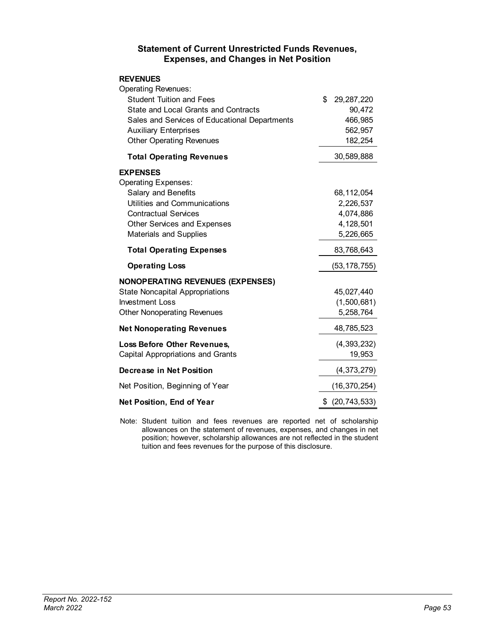| <b>Operating Revenues:</b><br><b>Student Tuition and Fees</b><br>State and Local Grants and Contracts<br>Sales and Services of Educational Departments<br><b>Auxiliary Enterprises</b><br><b>Other Operating Revenues</b> | \$<br>29,287,220<br>90,472<br>466,985<br>562,957<br>182,254 |
|---------------------------------------------------------------------------------------------------------------------------------------------------------------------------------------------------------------------------|-------------------------------------------------------------|
| <b>Total Operating Revenues</b>                                                                                                                                                                                           | 30,589,888                                                  |
| <b>EXPENSES</b><br><b>Operating Expenses:</b><br><b>Salary and Benefits</b><br><b>Utilities and Communications</b><br><b>Contractual Services</b><br><b>Other Services and Expenses</b>                                   | 68,112,054<br>2,226,537<br>4,074,886<br>4,128,501           |
| <b>Materials and Supplies</b>                                                                                                                                                                                             | 5,226,665                                                   |
| <b>Total Operating Expenses</b>                                                                                                                                                                                           | 83,768,643                                                  |
| <b>Operating Loss</b>                                                                                                                                                                                                     | (53, 178, 755)                                              |
| <b>NONOPERATING REVENUES (EXPENSES)</b><br><b>State Noncapital Appropriations</b><br><b>Investment Loss</b><br><b>Other Nonoperating Revenues</b>                                                                         | 45,027,440<br>(1,500,681)<br>5,258,764                      |
| <b>Net Nonoperating Revenues</b>                                                                                                                                                                                          | 48,785,523                                                  |
| <b>Loss Before Other Revenues,</b><br><b>Capital Appropriations and Grants</b>                                                                                                                                            | (4,393,232)<br>19,953                                       |
| <b>Decrease in Net Position</b>                                                                                                                                                                                           | (4,373,279)                                                 |
| Net Position, Beginning of Year                                                                                                                                                                                           | (16,370,254)                                                |
| <b>Net Position, End of Year</b>                                                                                                                                                                                          | \$ (20, 743, 533)                                           |

#### **Statement of Current Unrestricted Funds Revenues, Expenses, and Changes in Net Position**

**REVENUES**

Note: Student tuition and fees revenues are reported net of scholarship allowances on the statement of revenues, expenses, and changes in net position; however, scholarship allowances are not reflected in the student tuition and fees revenues for the purpose of this disclosure.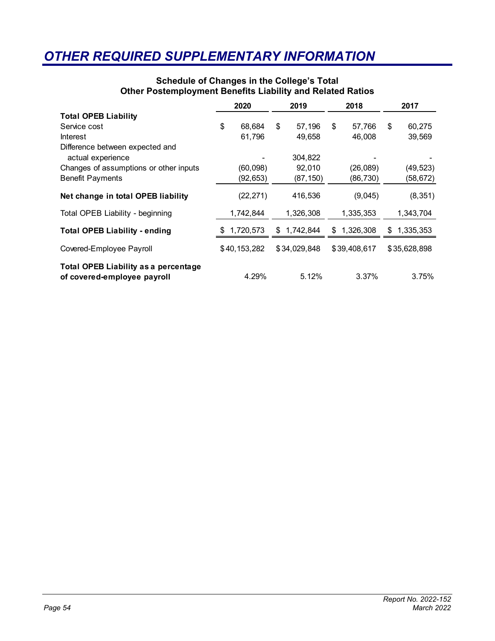## <span id="page-57-0"></span>*OTHER REQUIRED SUPPLEMENTARY INFORMATION*

|                                                                            | 2020<br>2019 |              | 2018         | 2017            |    |              |
|----------------------------------------------------------------------------|--------------|--------------|--------------|-----------------|----|--------------|
| <b>Total OPEB Liability</b>                                                |              |              |              |                 |    |              |
| Service cost                                                               | \$           | 68,684       | \$<br>57,196 | \$<br>57,766    | \$ | 60,275       |
| <b>Interest</b>                                                            |              | 61,796       | 49,658       | 46,008          |    | 39,569       |
| Difference between expected and                                            |              |              |              |                 |    |              |
| actual experience                                                          |              |              | 304,822      |                 |    |              |
| Changes of assumptions or other inputs                                     |              | (60, 098)    | 92,010       | (26,089)        |    | (49, 523)    |
| <b>Benefit Payments</b>                                                    |              | (92, 653)    | (87, 150)    | (86, 730)       |    | (58, 672)    |
| Net change in total OPEB liability                                         |              | (22, 271)    | 416,536      | (9,045)         |    | (8, 351)     |
| Total OPEB Liability - beginning                                           |              | 1,742,844    | 1,326,308    | 1,335,353       |    | 1,343,704    |
| <b>Total OPEB Liability - ending</b>                                       | \$           | 1,720,573    | \$1,742,844  | \$<br>1,326,308 | \$ | 1,335,353    |
| Covered-Employee Payroll                                                   |              | \$40,153,282 | \$34,029,848 | \$39,408,617    |    | \$35,628,898 |
| <b>Total OPEB Liability as a percentage</b><br>of covered-employee payroll |              | 4.29%        | 5.12%        | 3.37%           |    | 3.75%        |

#### **Schedule of Changes in the College's Total Other Postemployment Benefits Liability and Related Ratios**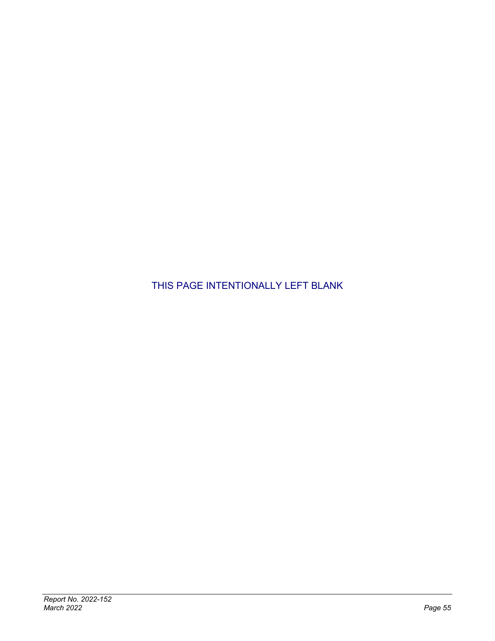THIS PAGE INTENTIONALLY LEFT BLANK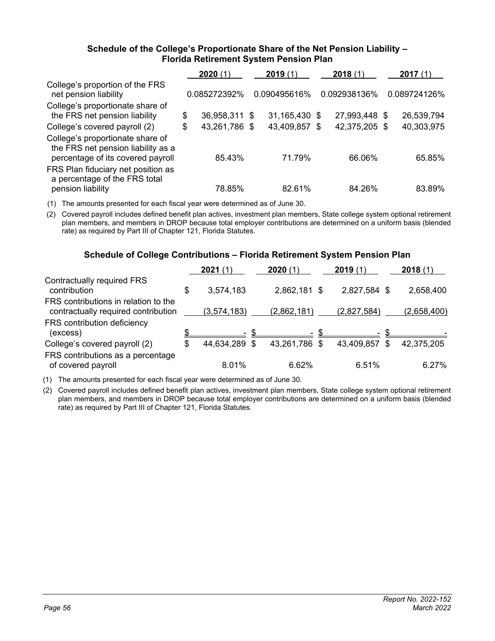#### **Schedule of the College's Proportionate Share of the Net Pension Liability – Florida Retirement System Pension Plan**

<span id="page-59-0"></span>

|                                                                                                             | 2020(1)             | 2019(1)       | 2018(1)       | 2017(1)      |
|-------------------------------------------------------------------------------------------------------------|---------------------|---------------|---------------|--------------|
| College's proportion of the FRS<br>net pension liability<br>College's proportionate share of                | 0.085272392%        | 0.090495616%  | 0.092938136%  | 0.089724126% |
| the FRS net pension liability                                                                               | \$<br>36,958,311 \$ | 31,165,430 \$ | 27,993,448 \$ | 26,539,794   |
| College's covered payroll (2)                                                                               | \$<br>43,261,786 \$ | 43,409,857 \$ | 42,375,205 \$ | 40,303,975   |
| College's proportionate share of<br>the FRS net pension liability as a<br>percentage of its covered payroll | 85.43%              | 71.79%        | 66.06%        | 65.85%       |
| FRS Plan fiduciary net position as<br>a percentage of the FRS total<br>pension liability                    | 78.85%              | 82.61%        | 84.26%        | 83.89%       |

(1) The amounts presented for each fiscal year were determined as of June 30.

(2) Covered payroll includes defined benefit plan actives, investment plan members, State college system optional retirement plan members, and members in DROP because total employer contributions are determined on a uniform basis (blended rate) as required by Part III of Chapter 121, Florida Statutes.

#### **Schedule of College Contributions – Florida Retirement System Pension Plan**

|                                                                             | 2021(1)             | 2020(1)                  | 2019(1)      |     | 2018(1)     |
|-----------------------------------------------------------------------------|---------------------|--------------------------|--------------|-----|-------------|
| <b>Contractually required FRS</b><br>contribution                           | \$<br>3,574,183     | 2,862,181 \$             | 2,827,584 \$ |     | 2,658,400   |
| FRS contributions in relation to the<br>contractually required contribution | (3,574,183)         | (2,862,181)              | (2,827,584)  |     | (2,658,400) |
| FRS contribution deficiency<br>(excess)                                     |                     | $\overline{\phantom{0}}$ |              |     |             |
| College's covered payroll (2)                                               | \$<br>44,634,289 \$ | 43,261,786 \$            | 43,409,857   | \$. | 42,375,205  |
| FRS contributions as a percentage<br>of covered payroll                     | 8.01%               | 6.62%                    | 6.51%        |     | 6.27%       |

(1) The amounts presented for each fiscal year were determined as of June 30.

(2) Covered payroll includes defined benefit plan actives, investment plan members, State college system optional retirement plan members, and members in DROP because total employer contributions are determined on a uniform basis (blended rate) as required by Part III of Chapter 121, Florida Statutes.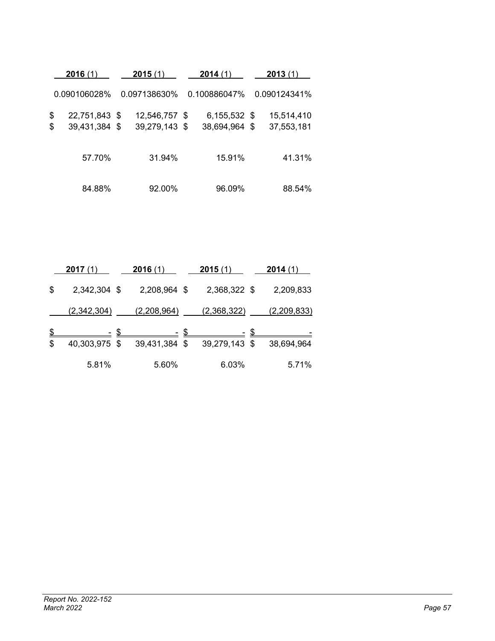|          | 2016(1)                     |      | 2015(1)                     |      | 2014(1)                       |              | 2013 (1                  |  |
|----------|-----------------------------|------|-----------------------------|------|-------------------------------|--------------|--------------------------|--|
|          | 0.090106028%                |      | 0.097138630%                |      | 0.100886047%                  | 0.090124341% |                          |  |
| \$<br>\$ | 22,751,843 \$<br>39,431,384 | - \$ | 12,546,757<br>39,279,143 \$ | - \$ | 6,155,532 \$<br>38,694,964 \$ |              | 15,514,410<br>37,553,181 |  |
|          |                             |      |                             |      |                               |              |                          |  |
|          | 57.70%                      |      | 31.94%                      |      | 15.91%                        |              | 41.31%                   |  |
|          | 84.88%                      |      | 92.00%                      |      | 96.09%                        |              | 88.54%                   |  |

| 2017 (1             | 2016(1)      |     | 2015(1)       | 2014(1)            |
|---------------------|--------------|-----|---------------|--------------------|
| \$<br>2,342,304 \$  | 2,208,964 \$ |     | 2,368,322 \$  | 2,209,833          |
| (2,342,304)         | (2,208,964)  |     | (2,368,322)   | <u>(2,209,833)</u> |
|                     |              |     |               |                    |
| \$<br>40,303,975 \$ | 39,431,384   | -\$ | 39,279,143 \$ | 38,694,964         |
| 5.81%               | 5.60%        |     | 6.03%         | 5.71%              |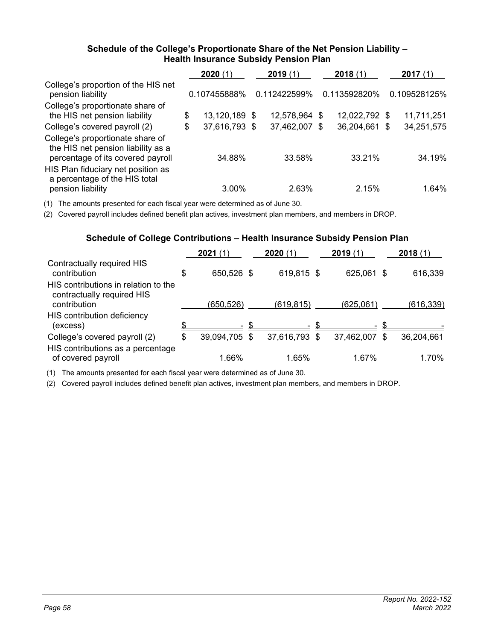#### **Schedule of the College's Proportionate Share of the Net Pension Liability – Health Insurance Subsidy Pension Plan**

<span id="page-61-0"></span>

|                                                                                                             | 2020(1)             | 2019(1)       | 2018(1)       |   | 2017 (1      |
|-------------------------------------------------------------------------------------------------------------|---------------------|---------------|---------------|---|--------------|
| College's proportion of the HIS net<br>pension liability<br>College's proportionate share of                | 0.107455888%        | 0.112422599%  | 0.113592820%  |   | 0.109528125% |
| the HIS net pension liability                                                                               | \$<br>13,120,189 \$ | 12,578,964 \$ | 12,022,792 \$ |   | 11,711,251   |
| College's covered payroll (2)                                                                               | \$<br>37,616,793 \$ | 37,462,007 \$ | 36,204,661    | S | 34,251,575   |
| College's proportionate share of<br>the HIS net pension liability as a<br>percentage of its covered payroll | 34.88%              | 33.58%        | 33.21%        |   | 34.19%       |
| HIS Plan fiduciary net position as<br>a percentage of the HIS total<br>pension liability                    | $3.00\%$            | 2.63%         | 2.15%         |   | 1.64%        |

(1) The amounts presented for each fiscal year were determined as of June 30.

(2) Covered payroll includes defined benefit plan actives, investment plan members, and members in DROP.

#### **Schedule of College Contributions – Health Insurance Subsidy Pension Plan**

|                                                                    | 2021(1)                  | 2020(1)             | 2019(1)                  | 2018(1)          |
|--------------------------------------------------------------------|--------------------------|---------------------|--------------------------|------------------|
| Contractually required HIS<br>contribution                         | \$<br>650,526 \$         | 619,815 \$          | 625,061 \$               | 616,339          |
| HIS contributions in relation to the<br>contractually required HIS |                          |                     |                          |                  |
| contribution                                                       | (650, 526)               | (619, 815)          | (625,061)                | <u>(616,339)</u> |
| HIS contribution deficiency                                        |                          |                     |                          |                  |
| (excess)                                                           | $\overline{\phantom{0}}$ |                     | $\overline{\phantom{0}}$ |                  |
| College's covered payroll (2)                                      | \$<br>39,094,705         | \$<br>37,616,793 \$ | 37,462,007               | \$<br>36,204,661 |
| HIS contributions as a percentage<br>of covered payroll            | 1.66%                    | 1.65%               | 1.67%                    | 1.70%            |

(1) The amounts presented for each fiscal year were determined as of June 30.

(2) Covered payroll includes defined benefit plan actives, investment plan members, and members in DROP.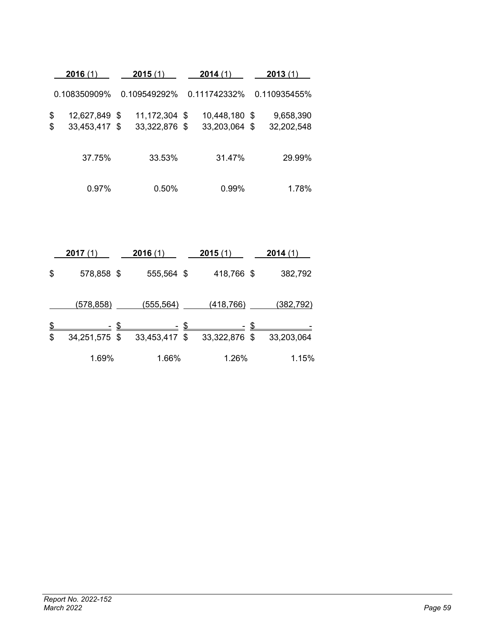| 2016(1) |              |      | 2015(1)       | 2014 (1)      | 2013 (1      |
|---------|--------------|------|---------------|---------------|--------------|
|         | 0.108350909% |      | 0.109549292%  | 0.111742332%  | 0.110935455% |
| \$      | 12,627,849   | - \$ | 11,172,304 \$ | 10,448,180 \$ | 9,658,390    |
| \$      | 33,453,417   | - \$ | 33,322,876 \$ | 33,203,064 \$ | 32,202,548   |
|         | 37.75%       |      | 33.53%        | 31.47%        | 29.99%       |
|         | 0.97%        |      | 0.50%         | 0.99%         | 1.78%        |

| 2017(1)             | 2016(1)       | 2015(1)       | 2014(1)    |
|---------------------|---------------|---------------|------------|
| \$<br>578,858 \$    | 555,564 \$    | 418,766 \$    | 382,792    |
| (578, 858)          | (555, 564)    | (418, 766)    | (382, 792) |
|                     |               |               |            |
| \$<br>34,251,575 \$ | 33,453,417 \$ | 33,322,876 \$ | 33,203,064 |
| 1.69%               | 1.66%         | 1.26%         | 1.15%      |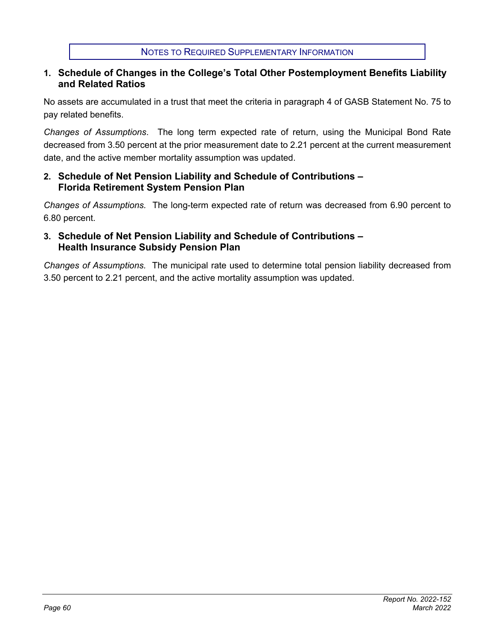## <span id="page-63-0"></span>**1. Schedule of Changes in the College's Total Other Postemployment Benefits Liability and Related Ratios**

No assets are accumulated in a trust that meet the criteria in paragraph 4 of GASB Statement No. 75 to pay related benefits.

*Changes of Assumptions*. The long term expected rate of return, using the Municipal Bond Rate decreased from 3.50 percent at the prior measurement date to 2.21 percent at the current measurement date, and the active member mortality assumption was updated.

## **2. Schedule of Net Pension Liability and Schedule of Contributions – Florida Retirement System Pension Plan**

*Changes of Assumptions.* The long-term expected rate of return was decreased from 6.90 percent to 6.80 percent.

## **3. Schedule of Net Pension Liability and Schedule of Contributions – Health Insurance Subsidy Pension Plan**

*Changes of Assumptions.* The municipal rate used to determine total pension liability decreased from 3.50 percent to 2.21 percent, and the active mortality assumption was updated.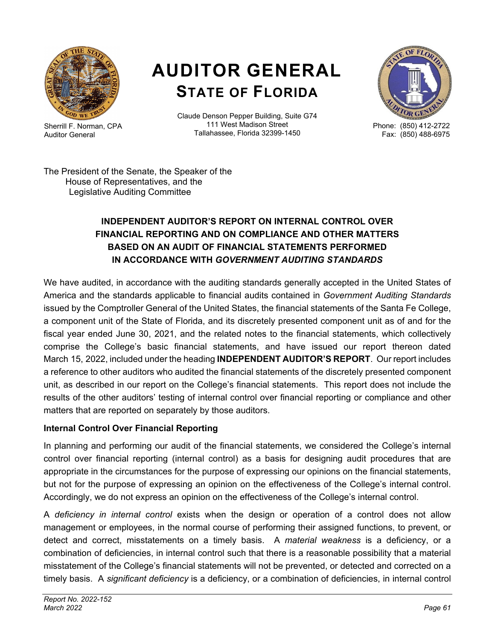<span id="page-64-0"></span>

Sherrill F. Norman, CPA Auditor General

# **AUDITOR GENERAL STATE OF FLORIDA**

Claude Denson Pepper Building, Suite G74 111 West Madison Street Tallahassee, Florida 32399-1450



Phone: (850) 412-2722 Fax: (850) 488-6975

The President of the Senate, the Speaker of the House of Representatives, and the Legislative Auditing Committee

## **INDEPENDENT AUDITOR'S REPORT ON INTERNAL CONTROL OVER FINANCIAL REPORTING AND ON COMPLIANCE AND OTHER MATTERS BASED ON AN AUDIT OF FINANCIAL STATEMENTS PERFORMED IN ACCORDANCE WITH** *GOVERNMENT AUDITING STANDARDS*

We have audited, in accordance with the auditing standards generally accepted in the United States of America and the standards applicable to financial audits contained in *Government Auditing Standards* issued by the Comptroller General of the United States, the financial statements of the Santa Fe College, a component unit of the State of Florida, and its discretely presented component unit as of and for the fiscal year ended June 30, 2021, and the related notes to the financial statements, which collectively comprise the College's basic financial statements, and have issued our report thereon dated March 15, 2022, included under the heading **INDEPENDENT AUDITOR'S REPORT**. Our report includes a reference to other auditors who audited the financial statements of the discretely presented component unit, as described in our report on the College's financial statements. This report does not include the results of the other auditors' testing of internal control over financial reporting or compliance and other matters that are reported on separately by those auditors.

## **Internal Control Over Financial Reporting**

In planning and performing our audit of the financial statements, we considered the College's internal control over financial reporting (internal control) as a basis for designing audit procedures that are appropriate in the circumstances for the purpose of expressing our opinions on the financial statements, but not for the purpose of expressing an opinion on the effectiveness of the College's internal control. Accordingly, we do not express an opinion on the effectiveness of the College's internal control.

A *deficiency in internal control* exists when the design or operation of a control does not allow management or employees, in the normal course of performing their assigned functions, to prevent, or detect and correct, misstatements on a timely basis. A *material weakness* is a deficiency, or a combination of deficiencies, in internal control such that there is a reasonable possibility that a material misstatement of the College's financial statements will not be prevented, or detected and corrected on a timely basis. A *significant deficiency* is a deficiency, or a combination of deficiencies, in internal control